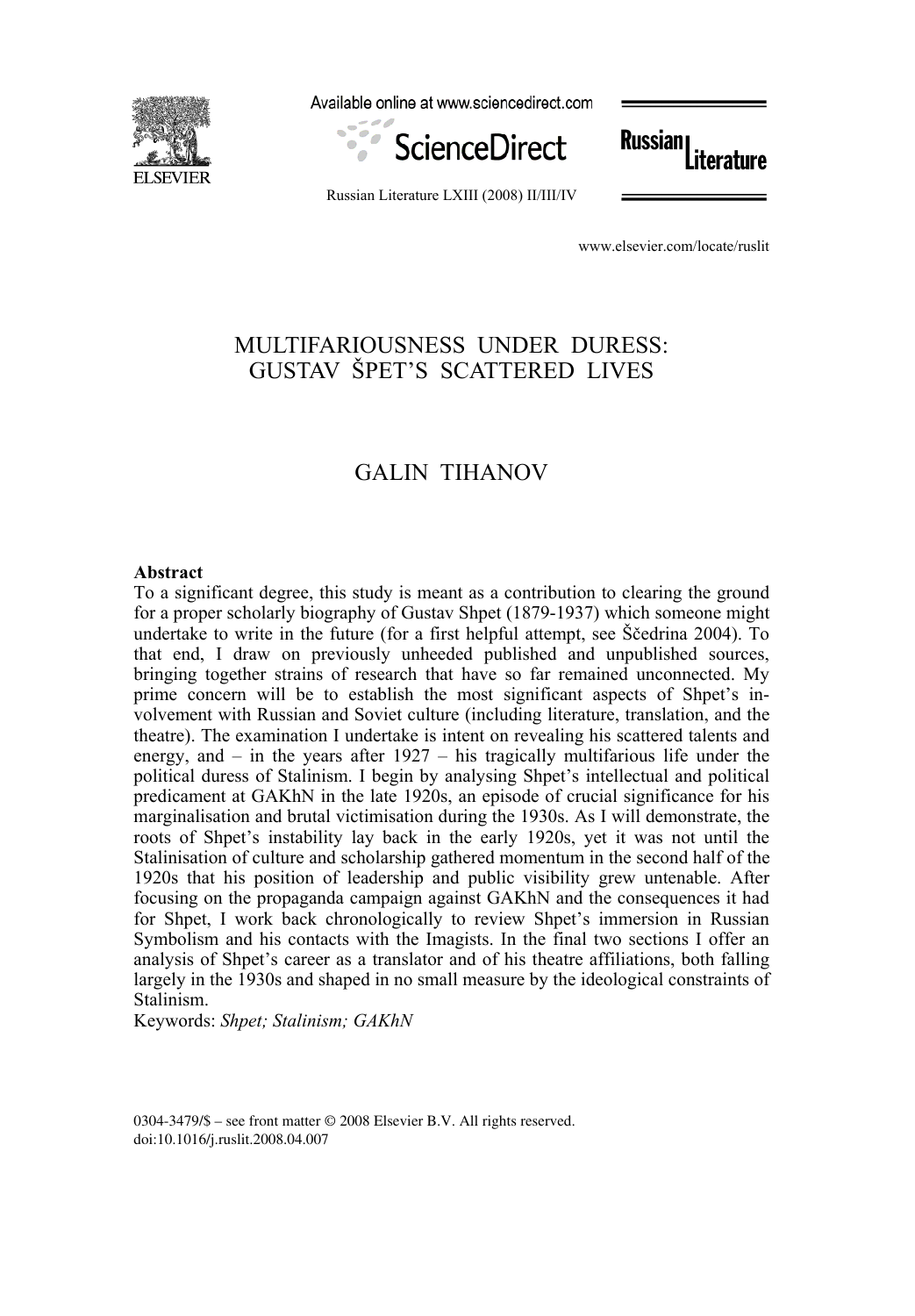

Available online at www.sciencedirect.com



Russian<br>Literature

Russian Literature LXIII (2008) II/III/IV

www.elsevier.com/locate/ruslit

# MULTIFARIOUSNESS UNDER DURESS: GUSTAV ŠPET'S SCATTERED LIVES

# GALIN TIHANOV

#### **Abstract**

To a significant degree, this study is meant as a contribution to clearing the ground for a proper scholarly biography of Gustav Shpet (1879-1937) which someone might undertake to write in the future (for a first helpful attempt, see Scedrina 2004). To that end, I draw on previously unheeded published and unpublished sources, bringing together strains of research that have so far remained unconnected. My prime concern will be to establish the most significant aspects of Shpet's involvement with Russian and Soviet culture (including literature, translation, and the theatre). The examination I undertake is intent on revealing his scattered talents and energy, and – in the years after 1927 – his tragically multifarious life under the political duress of Stalinism. I begin by analysing Shpet's intellectual and political predicament at GAKhN in the late 1920s, an episode of crucial significance for his marginalisation and brutal victimisation during the 1930s. As I will demonstrate, the roots of Shpet's instability lay back in the early 1920s, yet it was not until the Stalinisation of culture and scholarship gathered momentum in the second half of the 1920s that his position of leadership and public visibility grew untenable. After focusing on the propaganda campaign against GAKhN and the consequences it had for Shpet, I work back chronologically to review Shpet's immersion in Russian Symbolism and his contacts with the Imagists. In the final two sections I offer an analysis of Shpet's career as a translator and of his theatre affiliations, both falling largely in the 1930s and shaped in no small measure by the ideological constraints of Stalinism.

Keywords: *Shpet; Stalinism; GAKhN* 

0304-3479/\$ – see front matter © 2008 Elsevier B.V. All rights reserved. doi:10.1016/j.ruslit.2008.04.007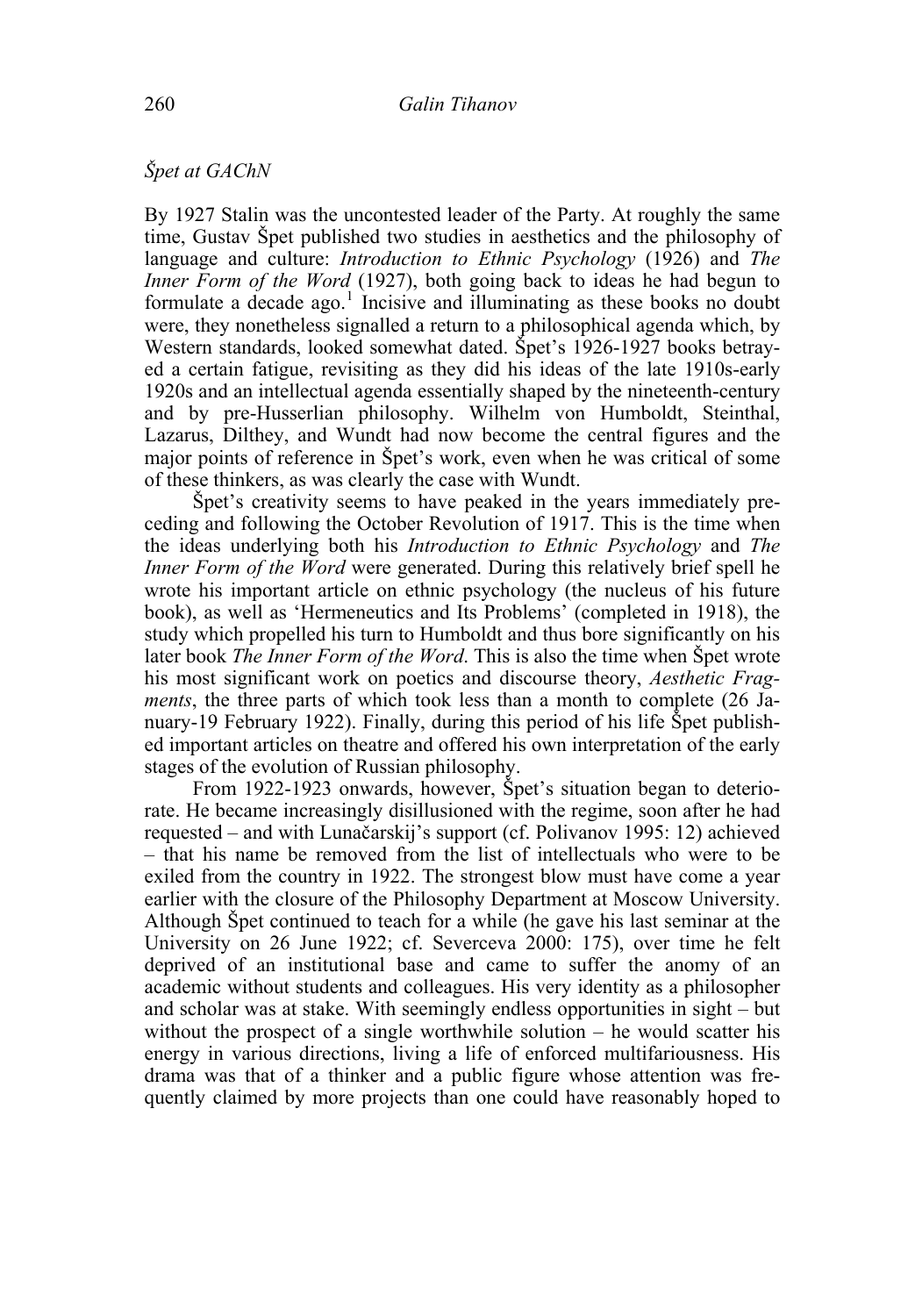### *Špet at GAChN*

By 1927 Stalin was the uncontested leader of the Party. At roughly the same time, Gustav Špet published two studies in aesthetics and the philosophy of language and culture: *Introduction to Ethnic Psychology* (1926) and *The Inner Form of the Word* (1927), both going back to ideas he had begun to formulate a decade ago.<sup>1</sup> Incisive and illuminating as these books no doubt were, they nonetheless signalled a return to a philosophical agenda which, by Western standards, looked somewhat dated. Špet's 1926-1927 books betrayed a certain fatigue, revisiting as they did his ideas of the late 1910s-early 1920s and an intellectual agenda essentially shaped by the nineteenth-century and by pre-Husserlian philosophy. Wilhelm von Humboldt, Steinthal, Lazarus, Dilthey, and Wundt had now become the central figures and the major points of reference in Špet's work, even when he was critical of some of these thinkers, as was clearly the case with Wundt.

 Špet's creativity seems to have peaked in the years immediately preceding and following the October Revolution of 1917. This is the time when the ideas underlying both his *Introduction to Ethnic Psychology* and *The Inner Form of the Word* were generated. During this relatively brief spell he wrote his important article on ethnic psychology (the nucleus of his future book), as well as 'Hermeneutics and Its Problems' (completed in 1918), the study which propelled his turn to Humboldt and thus bore significantly on his later book *The Inner Form of the Word*. This is also the time when Špet wrote his most significant work on poetics and discourse theory, *Aesthetic Fragments*, the three parts of which took less than a month to complete (26 January-19 February 1922). Finally, during this period of his life Špet published important articles on theatre and offered his own interpretation of the early stages of the evolution of Russian philosophy.

 From 1922-1923 onwards, however, Špet's situation began to deteriorate. He became increasingly disillusioned with the regime, soon after he had requested – and with Lunačarskij's support (cf. Polivanov 1995: 12) achieved – that his name be removed from the list of intellectuals who were to be exiled from the country in 1922. The strongest blow must have come a year earlier with the closure of the Philosophy Department at Moscow University. Although Špet continued to teach for a while (he gave his last seminar at the University on 26 June 1922; cf. Severceva 2000: 175), over time he felt deprived of an institutional base and came to suffer the anomy of an academic without students and colleagues. His very identity as a philosopher and scholar was at stake. With seemingly endless opportunities in sight – but without the prospect of a single worthwhile solution – he would scatter his energy in various directions, living a life of enforced multifariousness. His drama was that of a thinker and a public figure whose attention was frequently claimed by more projects than one could have reasonably hoped to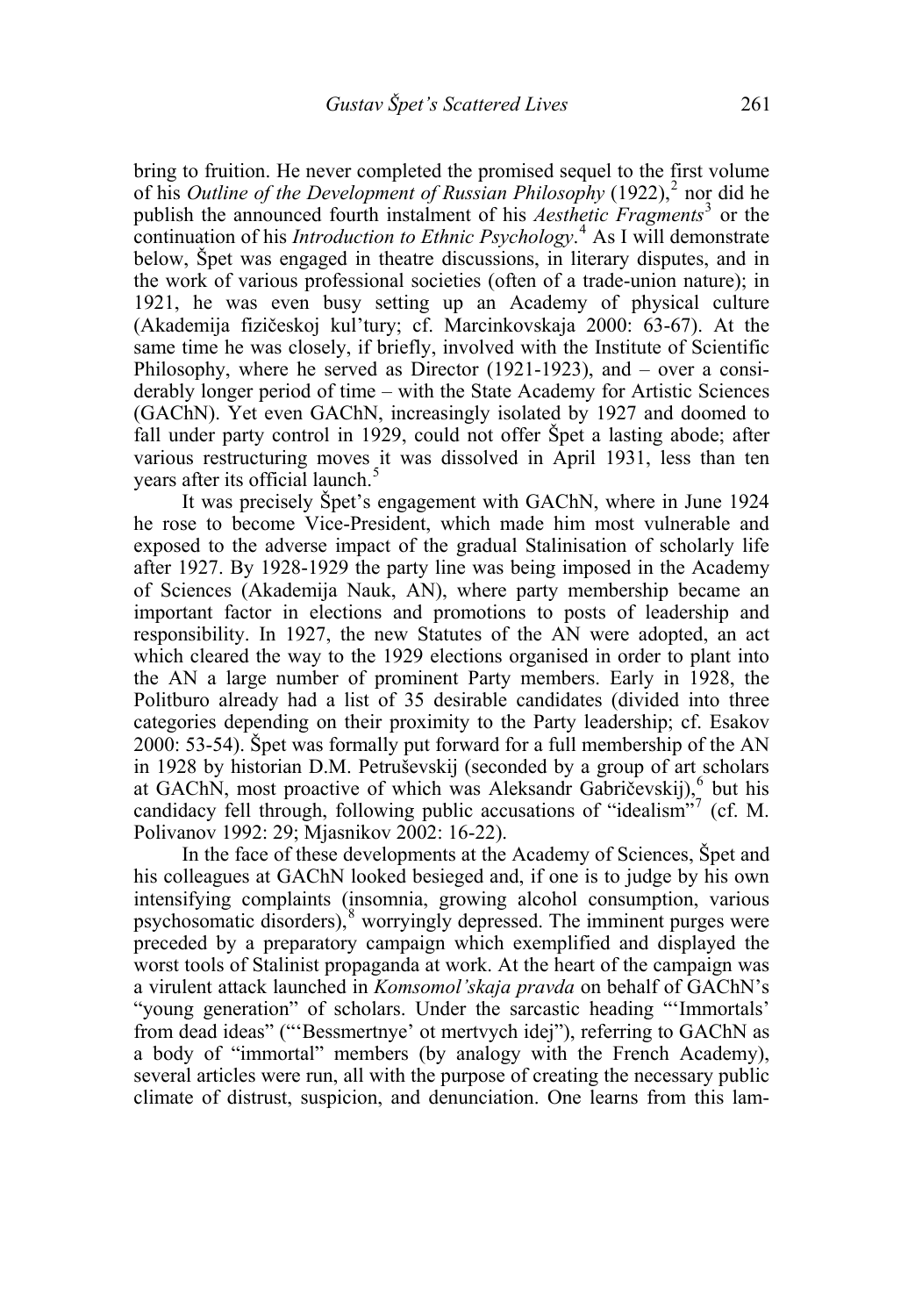bring to fruition. He never completed the promised sequel to the first volume of his *Outline of the Development of Russian Philosophy* (1922),<sup>2</sup> nor did he publish the announced fourth instalment of his *Aesthetic Fragments*<sup>3</sup> or the continuation of his *Introduction to Ethnic Psychology*. 4 As I will demonstrate below, Špet was engaged in theatre discussions, in literary disputes, and in the work of various professional societies (often of a trade-union nature); in 1921, he was even busy setting up an Academy of physical culture (Akademija fizičeskoj kul'tury; cf. Marcinkovskaja 2000: 63-67). At the same time he was closely, if briefly, involved with the Institute of Scientific Philosophy, where he served as Director (1921-1923), and – over a considerably longer period of time – with the State Academy for Artistic Sciences (GAChN). Yet even GAChN, increasingly isolated by 1927 and doomed to fall under party control in 1929, could not offer Špet a lasting abode; after various restructuring moves it was dissolved in April 1931, less than ten years after its official launch.<sup>5</sup>

 It was precisely Špet's engagement with GAChN, where in June 1924 he rose to become Vice-President, which made him most vulnerable and exposed to the adverse impact of the gradual Stalinisation of scholarly life after 1927. By 1928-1929 the party line was being imposed in the Academy of Sciences (Akademija Nauk, AN), where party membership became an important factor in elections and promotions to posts of leadership and responsibility. In 1927, the new Statutes of the AN were adopted, an act which cleared the way to the 1929 elections organised in order to plant into the AN a large number of prominent Party members. Early in 1928, the Politburo already had a list of 35 desirable candidates (divided into three categories depending on their proximity to the Party leadership; cf. Esakov 2000: 53-54). Špet was formally put forward for a full membership of the AN in 1928 by historian D.M. Petruševskij (seconded by a group of art scholars at GAChN, most proactive of which was Aleksandr Gabričevskij),<sup>6</sup> but his candidacy fell through, following public accusations of "idealism"<sup>77</sup> (cf. M. Polivanov 1992: 29; Mjasnikov 2002: 16-22).

 In the face of these developments at the Academy of Sciences, Špet and his colleagues at GAChN looked besieged and, if one is to judge by his own intensifying complaints (insomnia, growing alcohol consumption, various psychosomatic disorders),<sup>8</sup> worryingly depressed. The imminent purges were preceded by a preparatory campaign which exemplified and displayed the worst tools of Stalinist propaganda at work. At the heart of the campaign was a virulent attack launched in *Komsomol'skaja pravda* on behalf of GAChN's "young generation" of scholars. Under the sarcastic heading "'Immortals' from dead ideas" ("'Bessmertnye' ot mertvych idej"), referring to GAChN as a body of "immortal" members (by analogy with the French Academy), several articles were run, all with the purpose of creating the necessary public climate of distrust, suspicion, and denunciation. One learns from this lam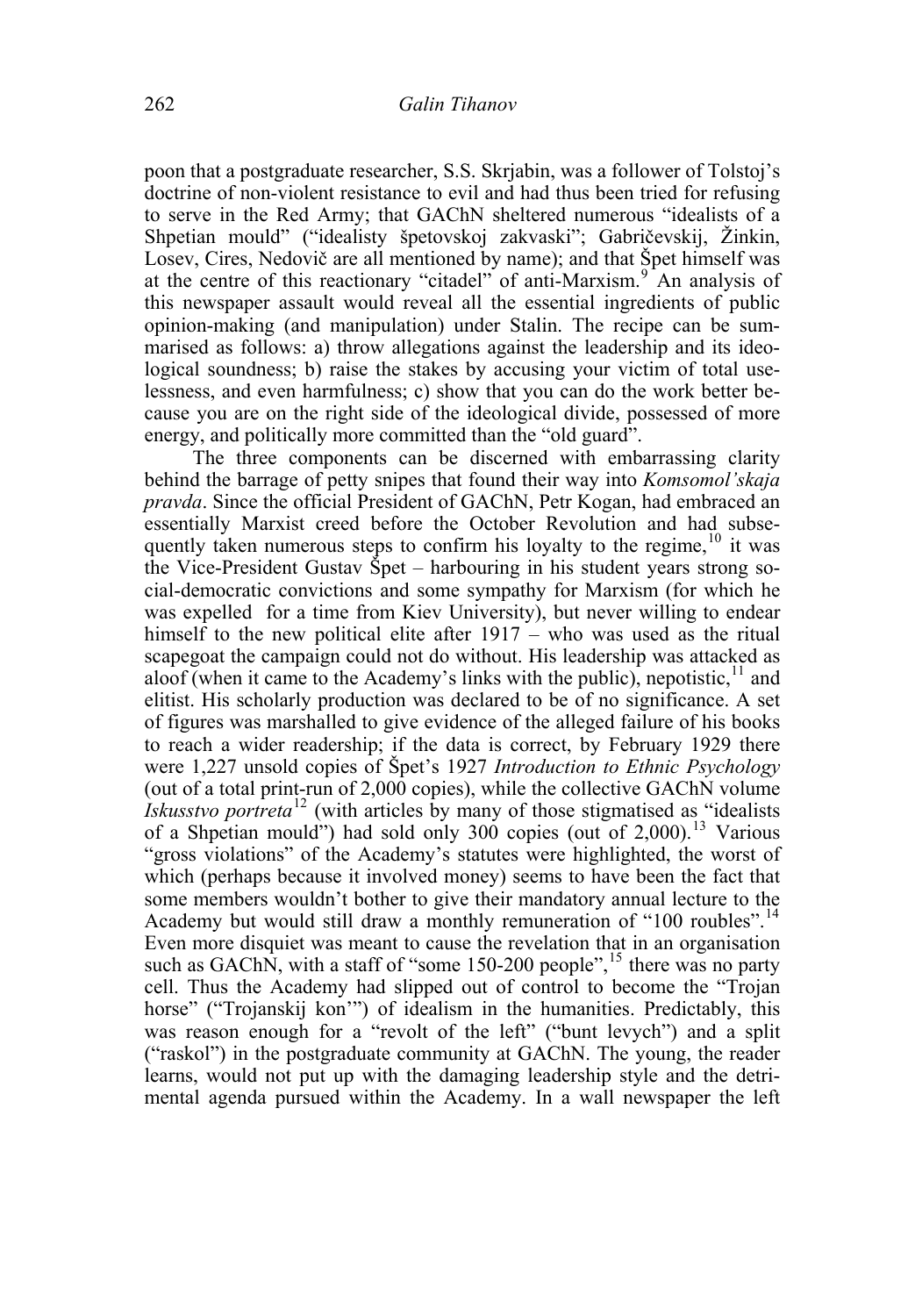poon that a postgraduate researcher, S.S. Skrjabin, was a follower of Tolstoj's doctrine of non-violent resistance to evil and had thus been tried for refusing to serve in the Red Army; that GAChN sheltered numerous "idealists of a Shpetian mould" ("idealisty špetovskoj zakvaski"; Gabričevskij, Žinkin, Losey, Cires, Nedovič are all mentioned by name); and that Špet himself was at the centre of this reactionary "citadel" of anti-Marxism.<sup>9</sup> An analysis of this newspaper assault would reveal all the essential ingredients of public opinion-making (and manipulation) under Stalin. The recipe can be summarised as follows: a) throw allegations against the leadership and its ideological soundness; b) raise the stakes by accusing your victim of total uselessness, and even harmfulness; c) show that you can do the work better because you are on the right side of the ideological divide, possessed of more energy, and politically more committed than the "old guard".

 The three components can be discerned with embarrassing clarity behind the barrage of petty snipes that found their way into *Komsomol'skaja pravda*. Since the official President of GAChN, Petr Kogan, had embraced an essentially Marxist creed before the October Revolution and had subsequently taken numerous steps to confirm his loyalty to the regime,  $10$  it was the Vice-President Gustav Špet – harbouring in his student years strong social-democratic convictions and some sympathy for Marxism (for which he was expelled for a time from Kiev University), but never willing to endear himself to the new political elite after 1917 – who was used as the ritual scapegoat the campaign could not do without. His leadership was attacked as aloof (when it came to the Academy's links with the public), nepotistic,  $11$  and elitist. His scholarly production was declared to be of no significance. A set of figures was marshalled to give evidence of the alleged failure of his books to reach a wider readership; if the data is correct, by February 1929 there were 1,227 unsold copies of Špet's 1927 *Introduction to Ethnic Psychology* (out of a total print-run of 2,000 copies), while the collective GAChN volume  $\hat{I}$ skusstvo portreta<sup>12</sup> (with articles by many of those stigmatised as "idealists") of a Shpetian mould") had sold only  $300$  copies (out of 2,000).<sup>13</sup> Various "gross violations" of the Academy's statutes were highlighted, the worst of which (perhaps because it involved money) seems to have been the fact that some members wouldn't bother to give their mandatory annual lecture to the Academy but would still draw a monthly remuneration of "100 roubles".<sup>14</sup> Even more disquiet was meant to cause the revelation that in an organisation such as GAChN, with a staff of "some 150-200 people",  $^{15}$  there was no party cell. Thus the Academy had slipped out of control to become the "Trojan horse" ("Trojanskij kon'") of idealism in the humanities. Predictably, this was reason enough for a "revolt of the left" ("bunt levych") and a split ("raskol") in the postgraduate community at GAChN. The young, the reader learns, would not put up with the damaging leadership style and the detrimental agenda pursued within the Academy. In a wall newspaper the left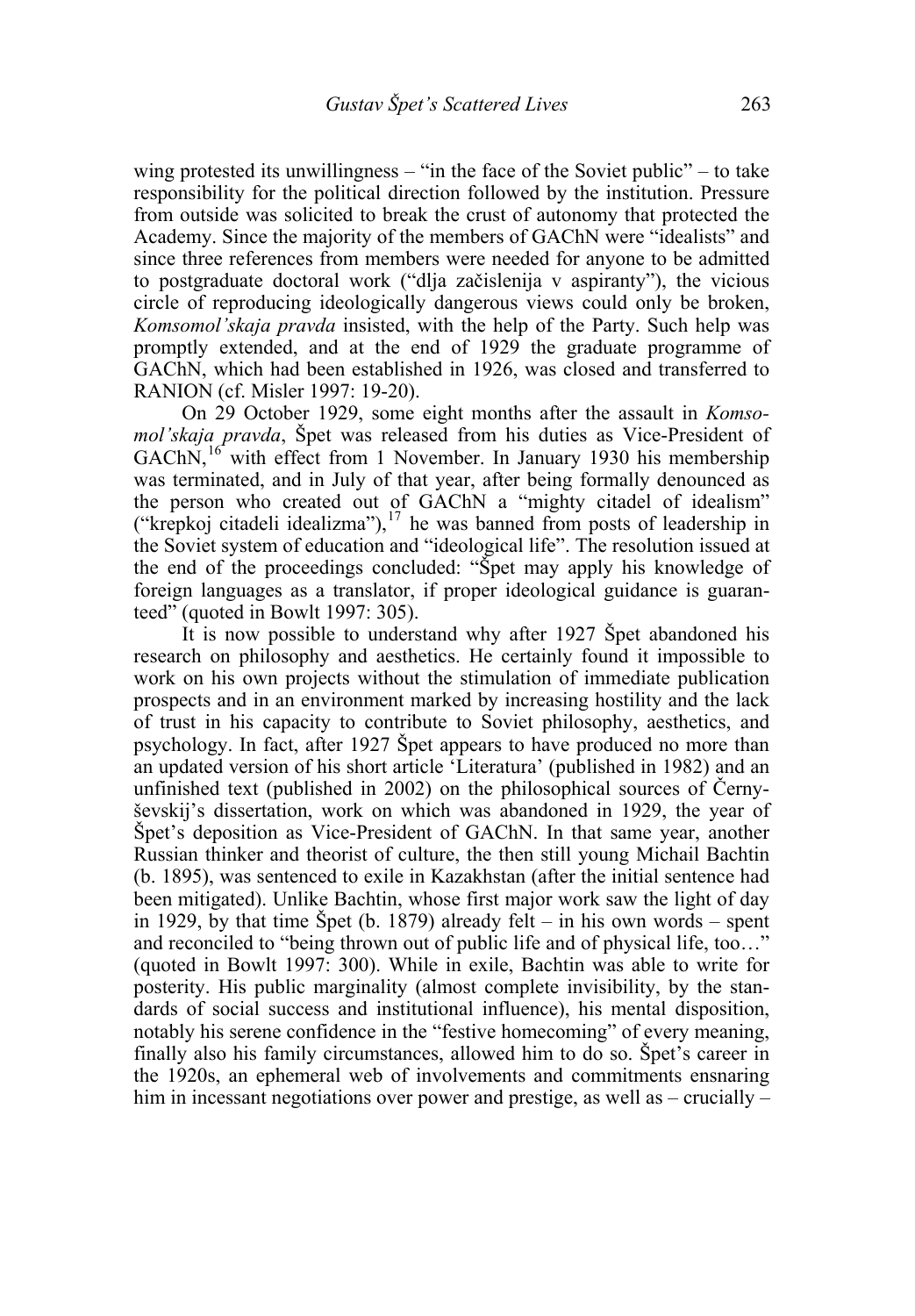wing protested its unwillingness – "in the face of the Soviet public" – to take responsibility for the political direction followed by the institution. Pressure from outside was solicited to break the crust of autonomy that protected the Academy. Since the majority of the members of GAChN were "idealists" and since three references from members were needed for anyone to be admitted to postgraduate doctoral work ("dlja začislenija v aspiranty"), the vicious circle of reproducing ideologically dangerous views could only be broken, *Komsomol'skaja pravda* insisted, with the help of the Party. Such help was promptly extended, and at the end of 1929 the graduate programme of GAChN, which had been established in 1926, was closed and transferred to RANION (cf. Misler 1997: 19-20).

 On 29 October 1929, some eight months after the assault in *Komsomol'skaja pravda*, Špet was released from his duties as Vice-President of GAChN, <sup>16</sup> with effect from 1 November. In January 1930 his membership was terminated, and in July of that year, after being formally denounced as the person who created out of GAChN a "mighty citadel of idealism" ("krepkoj citadeli idealizma"), $17$  he was banned from posts of leadership in the Soviet system of education and "ideological life". The resolution issued at the end of the proceedings concluded: "Špet may apply his knowledge of foreign languages as a translator, if proper ideological guidance is guaranteed" (quoted in Bowlt 1997: 305).

 It is now possible to understand why after 1927 Špet abandoned his research on philosophy and aesthetics. He certainly found it impossible to work on his own projects without the stimulation of immediate publication prospects and in an environment marked by increasing hostility and the lack of trust in his capacity to contribute to Soviet philosophy, aesthetics, and psychology. In fact, after 1927 Špet appears to have produced no more than an updated version of his short article 'Literatura' (published in 1982) and an unfinished text (published in  $2002$ ) on the philosophical sources of  $\check{C}$ ernyševskij's dissertation, work on which was abandoned in 1929, the year of Špet's deposition as Vice-President of GAChN. In that same year, another Russian thinker and theorist of culture, the then still young Michail Bachtin (b. 1895), was sentenced to exile in Kazakhstan (after the initial sentence had been mitigated). Unlike Bachtin, whose first major work saw the light of day in 1929, by that time Spet (b. 1879) already felt – in his own words – spent and reconciled to "being thrown out of public life and of physical life, too…" (quoted in Bowlt 1997: 300). While in exile, Bachtin was able to write for posterity. His public marginality (almost complete invisibility, by the standards of social success and institutional influence), his mental disposition, notably his serene confidence in the "festive homecoming" of every meaning, finally also his family circumstances, allowed him to do so. Špet's career in the 1920s, an ephemeral web of involvements and commitments ensnaring him in incessant negotiations over power and prestige, as well as – crucially –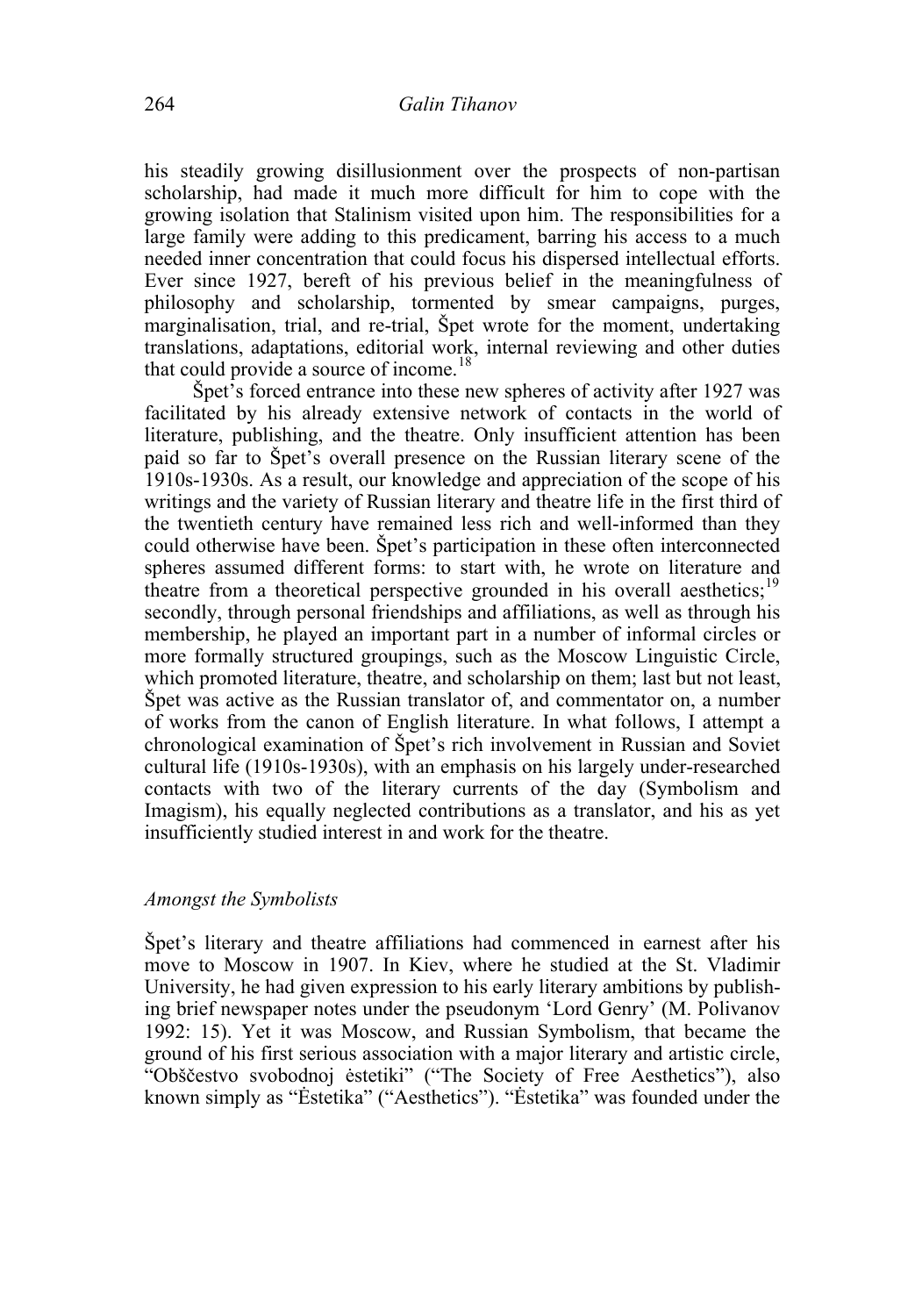his steadily growing disillusionment over the prospects of non-partisan scholarship, had made it much more difficult for him to cope with the growing isolation that Stalinism visited upon him. The responsibilities for a large family were adding to this predicament, barring his access to a much needed inner concentration that could focus his dispersed intellectual efforts. Ever since 1927, bereft of his previous belief in the meaningfulness of philosophy and scholarship, tormented by smear campaigns, purges, marginalisation, trial, and re-trial, Špet wrote for the moment, undertaking translations, adaptations, editorial work, internal reviewing and other duties that could provide a source of income.<sup>18</sup>

 Špet's forced entrance into these new spheres of activity after 1927 was facilitated by his already extensive network of contacts in the world of literature, publishing, and the theatre. Only insufficient attention has been paid so far to Špet's overall presence on the Russian literary scene of the 1910s-1930s. As a result, our knowledge and appreciation of the scope of his writings and the variety of Russian literary and theatre life in the first third of the twentieth century have remained less rich and well-informed than they could otherwise have been. Špet's participation in these often interconnected spheres assumed different forms: to start with, he wrote on literature and theatre from a theoretical perspective grounded in his overall aesthetics:<sup>19</sup> secondly, through personal friendships and affiliations, as well as through his membership, he played an important part in a number of informal circles or more formally structured groupings, such as the Moscow Linguistic Circle, which promoted literature, theatre, and scholarship on them; last but not least, Špet was active as the Russian translator of, and commentator on, a number of works from the canon of English literature. In what follows, I attempt a chronological examination of Špet's rich involvement in Russian and Soviet cultural life (1910s-1930s), with an emphasis on his largely under-researched contacts with two of the literary currents of the day (Symbolism and Imagism), his equally neglected contributions as a translator, and his as yet insufficiently studied interest in and work for the theatre.

#### *Amongst the Symbolists*

Špet's literary and theatre affiliations had commenced in earnest after his move to Moscow in 1907. In Kiev, where he studied at the St. Vladimir University, he had given expression to his early literary ambitions by publishing brief newspaper notes under the pseudonym 'Lord Genry' (M. Polivanov 1992: 15). Yet it was Moscow, and Russian Symbolism, that became the ground of his first serious association with a major literary and artistic circle, "Obščestvo svobodnoj ėstetiki" ("The Society of Free Aesthetics"), also known simply as "Estetika" ("Aesthetics"). "Estetika" was founded under the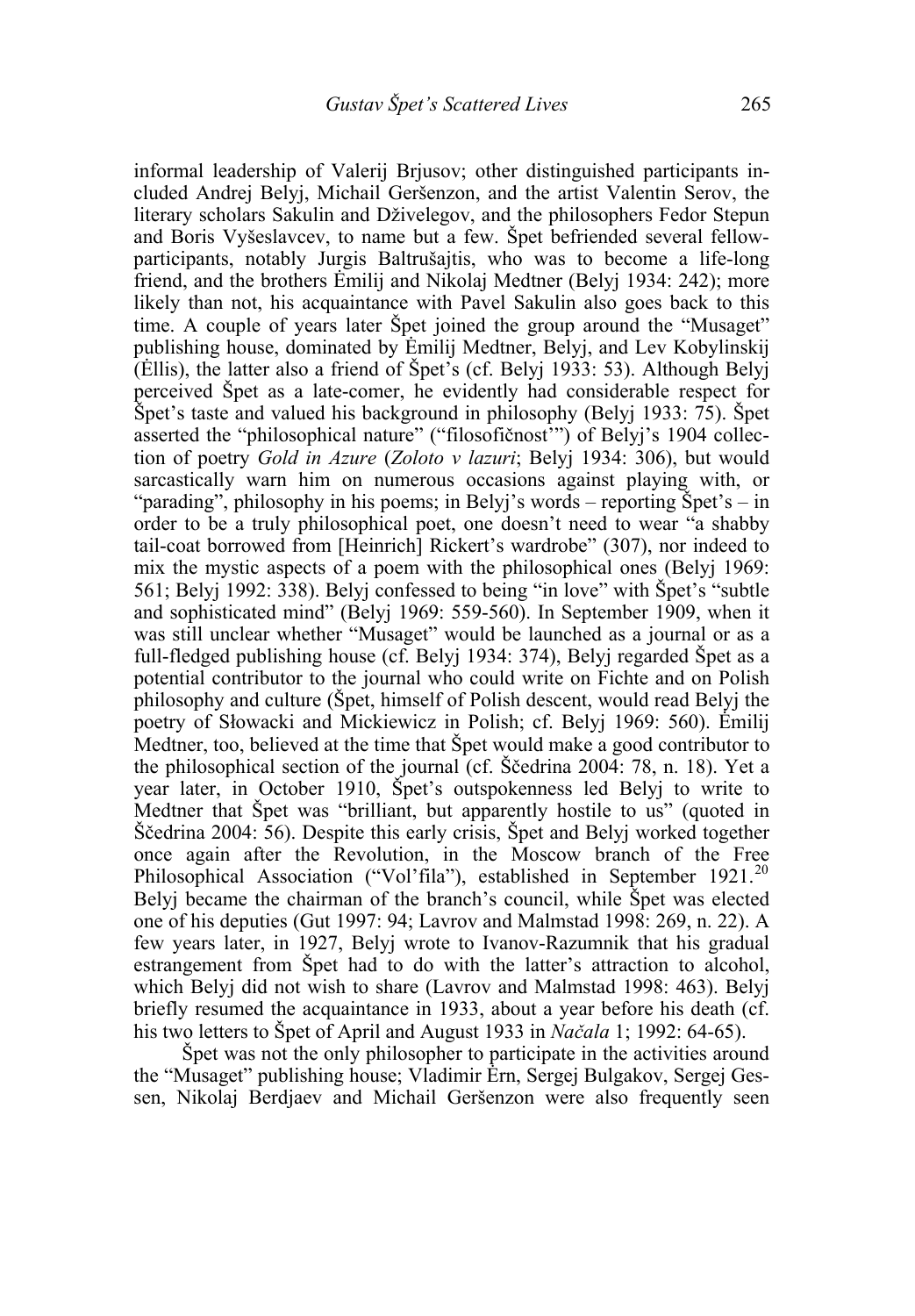informal leadership of Valerij Brjusov; other distinguished participants included Andrej Belyj, Michail Geršenzon, and the artist Valentin Serov, the literary scholars Sakulin and Dživelegov, and the philosophers Fedor Stepun and Boris Vyšeslavcev, to name but a few. Špet befriended several fellowparticipants, notably Jurgis Baltrušajtis, who was to become a life-long friend, and the brothers Emilij and Nikolaj Medtner (Belyj 1934: 242); more likely than not, his acquaintance with Pavel Sakulin also goes back to this time. A couple of years later Špet joined the group around the "Musaget" publishing house, dominated by Emilij Medtner, Belyj, and Lev Kobylinskij  $\overline{C}$ (Ellis), the latter also a friend of Špet's (cf. Belvi 1933: 53). Although Belvi perceived Špet as a late-comer, he evidently had considerable respect for Špet's taste and valued his background in philosophy (Belyj 1933: 75). Špet asserted the "philosophical nature" ("filosofičnost") of Belyj's 1904 collection of poetry *Gold in Azure* (*Zoloto v lazuri*; Belyj 1934: 306), but would sarcastically warn him on numerous occasions against playing with, or "parading", philosophy in his poems; in Belyj's words – reporting Špet's – in order to be a truly philosophical poet, one doesn't need to wear "a shabby tail-coat borrowed from [Heinrich] Rickert's wardrobe" (307), nor indeed to mix the mystic aspects of a poem with the philosophical ones (Belyj 1969: 561; Belyj 1992: 338). Belyj confessed to being "in love" with Špet's "subtle and sophisticated mind" (Belyj 1969: 559-560). In September 1909, when it was still unclear whether "Musaget" would be launched as a journal or as a full-fledged publishing house (cf. Belyj 1934: 374), Belyj regarded Špet as a potential contributor to the journal who could write on Fichte and on Polish philosophy and culture (Špet, himself of Polish descent, would read Belyj the poetry of Słowacki and Mickiewicz in Polish; cf. Belyj 1969: 560). Émilij Medtner, too, believed at the time that Špet would make a good contributor to the philosophical section of the journal (cf. Ščedrina 2004: 78, n. 18). Yet a year later, in October 1910, Špet's outspokenness led Belyj to write to Medtner that Špet was "brilliant, but apparently hostile to us" (quoted in Ščedrina 2004: 56). Despite this early crisis, Špet and Belyj worked together once again after the Revolution, in the Moscow branch of the Free Philosophical Association ("Vol'fila"), established in September 1921.<sup>20</sup> Belyj became the chairman of the branch's council, while Špet was elected one of his deputies (Gut 1997: 94; Lavrov and Malmstad 1998: 269, n. 22). A few years later, in 1927, Belyj wrote to Ivanov-Razumnik that his gradual estrangement from Špet had to do with the latter's attraction to alcohol, which Belyj did not wish to share (Lavrov and Malmstad 1998: 463). Belyj briefly resumed the acquaintance in 1933, about a year before his death (cf. his two letters to Špet of April and August 1933 in *Načala* 1; 1992: 64-65).

 Špet was not the only philosopher to participate in the activities around the "Musaget" publishing house; Vladimir Ern, Sergej Bulgakov, Sergej Gessen, Nikolaj Berdjaev and Michail Geršenzon were also frequently seen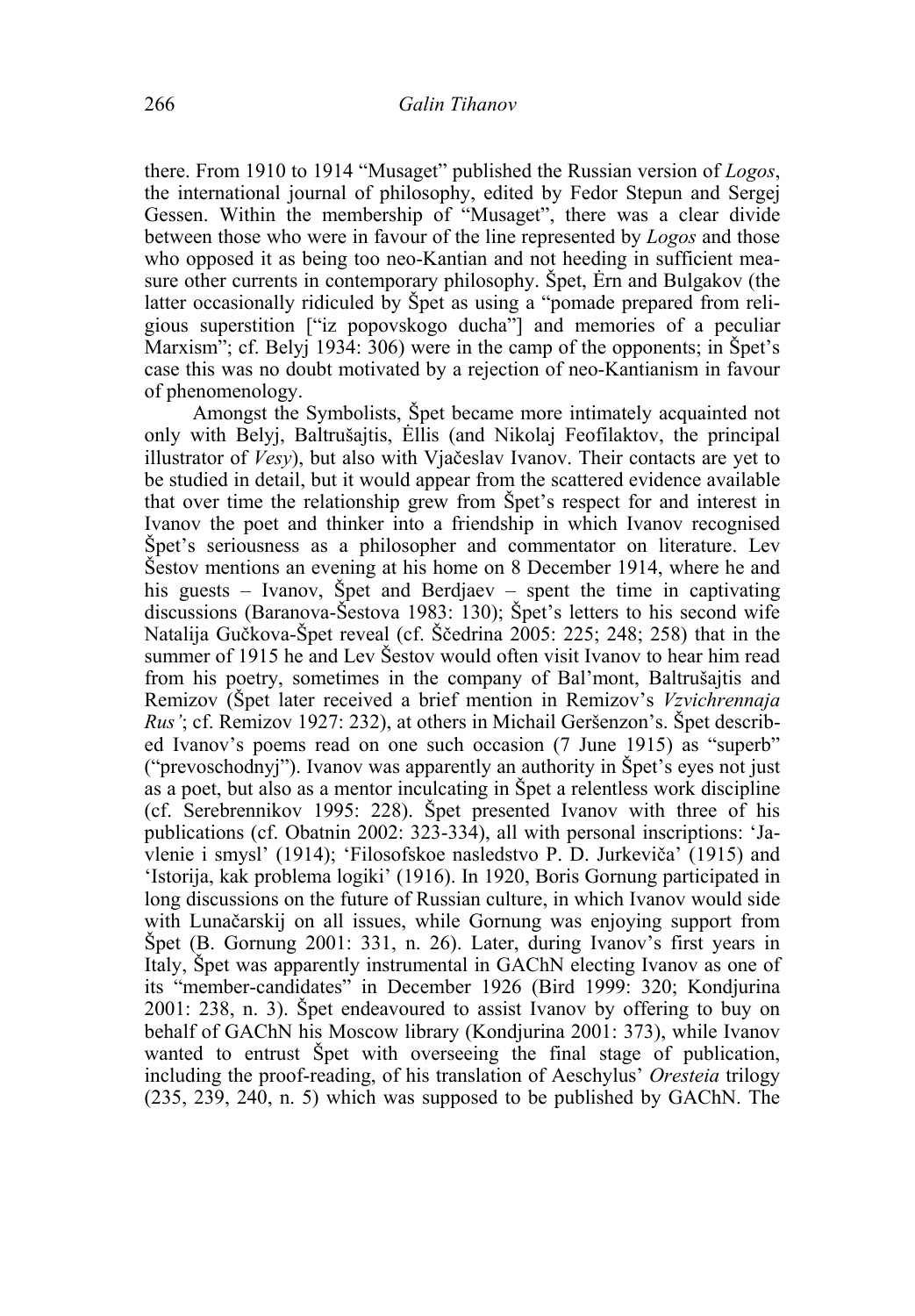there. From 1910 to 1914 "Musaget" published the Russian version of *Logos*, the international journal of philosophy, edited by Fedor Stepun and Sergej Gessen. Within the membership of "Musaget", there was a clear divide between those who were in favour of the line represented by *Logos* and those who opposed it as being too neo-Kantian and not heeding in sufficient measure other currents in contemporary philosophy. Špet, Ern and Bulgakov (the latter occasionally ridiculed by Špet as using a "pomade prepared from religious superstition ["iz popovskogo ducha"] and memories of a peculiar Marxism": cf. Belyi 1934: 306) were in the camp of the opponents: in Spet's case this was no doubt motivated by a rejection of neo-Kantianism in favour of phenomenology.

 Amongst the Symbolists, Špet became more intimately acquainted not only with Belyj, Baltrušajtis, Ellis (and Nikolaj Feofilaktov, the principal illustrator of *Vesy*), but also with Viačeslav Ivanov. Their contacts are yet to be studied in detail, but it would appear from the scattered evidence available that over time the relationship grew from Špet's respect for and interest in Ivanov the poet and thinker into a friendship in which Ivanov recognised Špet's seriousness as a philosopher and commentator on literature. Lev Šestov mentions an evening at his home on 8 December 1914, where he and his guests – Ivanov, Špet and Berdjaev – spent the time in captivating discussions (Baranova-Šestova 1983: 130); Špet's letters to his second wife Natalija Gučkova-Špet reveal (cf. Ščedrina 2005: 225; 248; 258) that in the summer of 1915 he and Lev Šestov would often visit Ivanov to hear him read from his poetry, sometimes in the company of Bal'mont, Baltrušajtis and Remizov (Špet later received a brief mention in Remizov's *Vzvichrennaja Rus'*; cf. Remizov 1927: 232), at others in Michail Geršenzon's. Špet described Ivanov's poems read on one such occasion (7 June 1915) as "superb" ("prevoschodnyj"). Ivanov was apparently an authority in Špet's eyes not just as a poet, but also as a mentor inculcating in Špet a relentless work discipline (cf. Serebrennikov 1995: 228). Špet presented Ivanov with three of his publications (cf. Obatnin 2002: 323-334), all with personal inscriptions: 'Javlenie i smysl' (1914); 'Filosofskoe nasledstvo P. D. Jurkeviča' (1915) and 'Istorija, kak problema logiki' (1916). In 1920, Boris Gornung participated in long discussions on the future of Russian culture, in which Ivanov would side with Lunačarskij on all issues, while Gornung was enjoying support from Špet (B. Gornung 2001: 331, n. 26). Later, during Ivanov's first years in Italy, Špet was apparently instrumental in GAChN electing Ivanov as one of its "member-candidates" in December 1926 (Bird 1999: 320; Kondjurina 2001: 238, n. 3). Špet endeavoured to assist Ivanov by offering to buy on behalf of GAChN his Moscow library (Kondjurina 2001: 373), while Ivanov wanted to entrust Špet with overseeing the final stage of publication, including the proof-reading, of his translation of Aeschylus' *Oresteia* trilogy (235, 239, 240, n. 5) which was supposed to be published by GAChN. The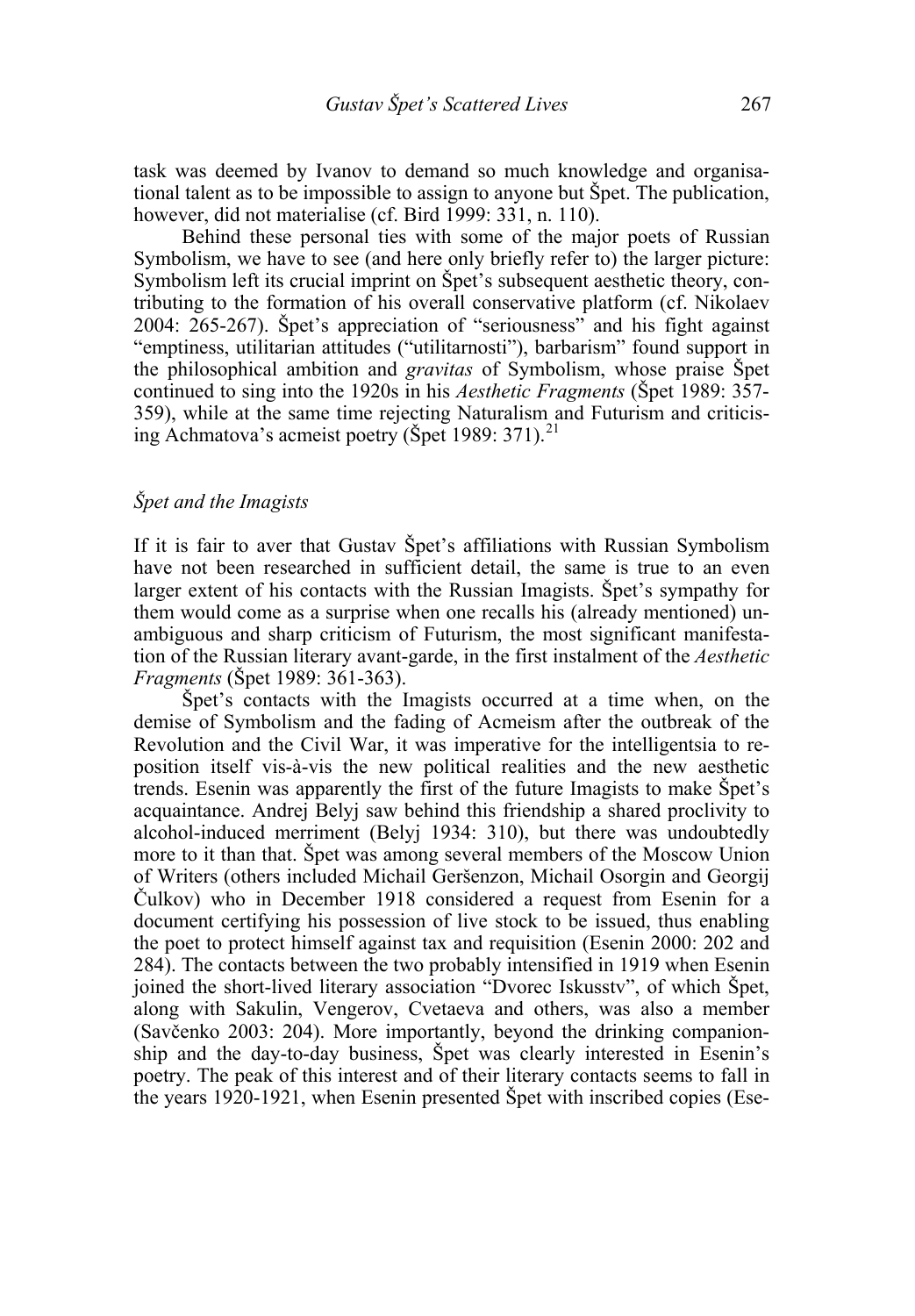task was deemed by Ivanov to demand so much knowledge and organisational talent as to be impossible to assign to anyone but Špet. The publication, however, did not materialise (cf. Bird 1999: 331, n. 110).

 Behind these personal ties with some of the major poets of Russian Symbolism, we have to see (and here only briefly refer to) the larger picture: Symbolism left its crucial imprint on Špet's subsequent aesthetic theory, contributing to the formation of his overall conservative platform (cf. Nikolaev 2004: 265-267). Špet's appreciation of "seriousness" and his fight against "emptiness, utilitarian attitudes ("utilitarnosti"), barbarism" found support in the philosophical ambition and *gravitas* of Symbolism, whose praise Špet continued to sing into the 1920s in his *Aesthetic Fragments* (Špet 1989: 357- 359), while at the same time rejecting Naturalism and Futurism and criticising Achmatova's acmeist poetry (Špet 1989: 371).<sup>21</sup>

### *Špet and the Imagists*

If it is fair to aver that Gustav Špet's affiliations with Russian Symbolism have not been researched in sufficient detail, the same is true to an even larger extent of his contacts with the Russian Imagists. Špet's sympathy for them would come as a surprise when one recalls his (already mentioned) unambiguous and sharp criticism of Futurism, the most significant manifestation of the Russian literary avant-garde, in the first instalment of the *Aesthetic Fragments* (Špet 1989: 361-363).

 Špet's contacts with the Imagists occurred at a time when, on the demise of Symbolism and the fading of Acmeism after the outbreak of the Revolution and the Civil War, it was imperative for the intelligentsia to reposition itself vis-à-vis the new political realities and the new aesthetic trends. Esenin was apparently the first of the future Imagists to make Špet's acquaintance. Andrej Belyj saw behind this friendship a shared proclivity to alcohol-induced merriment (Belyj 1934: 310), but there was undoubtedly more to it than that. Špet was among several members of the Moscow Union of Writers (others included Michail Geršenzon, Michail Osorgin and Georgij Čulkov) who in December 1918 considered a request from Esenin for a document certifying his possession of live stock to be issued, thus enabling the poet to protect himself against tax and requisition (Esenin 2000: 202 and 284). The contacts between the two probably intensified in 1919 when Esenin joined the short-lived literary association "Dvorec Iskusstv", of which Špet, along with Sakulin, Vengerov, Cvetaeva and others, was also a member  $(Savčenko 2003: 204)$ . More importantly, beyond the drinking companionship and the day-to-day business, Špet was clearly interested in Esenin's poetry. The peak of this interest and of their literary contacts seems to fall in the years 1920-1921, when Esenin presented Špet with inscribed copies (Ese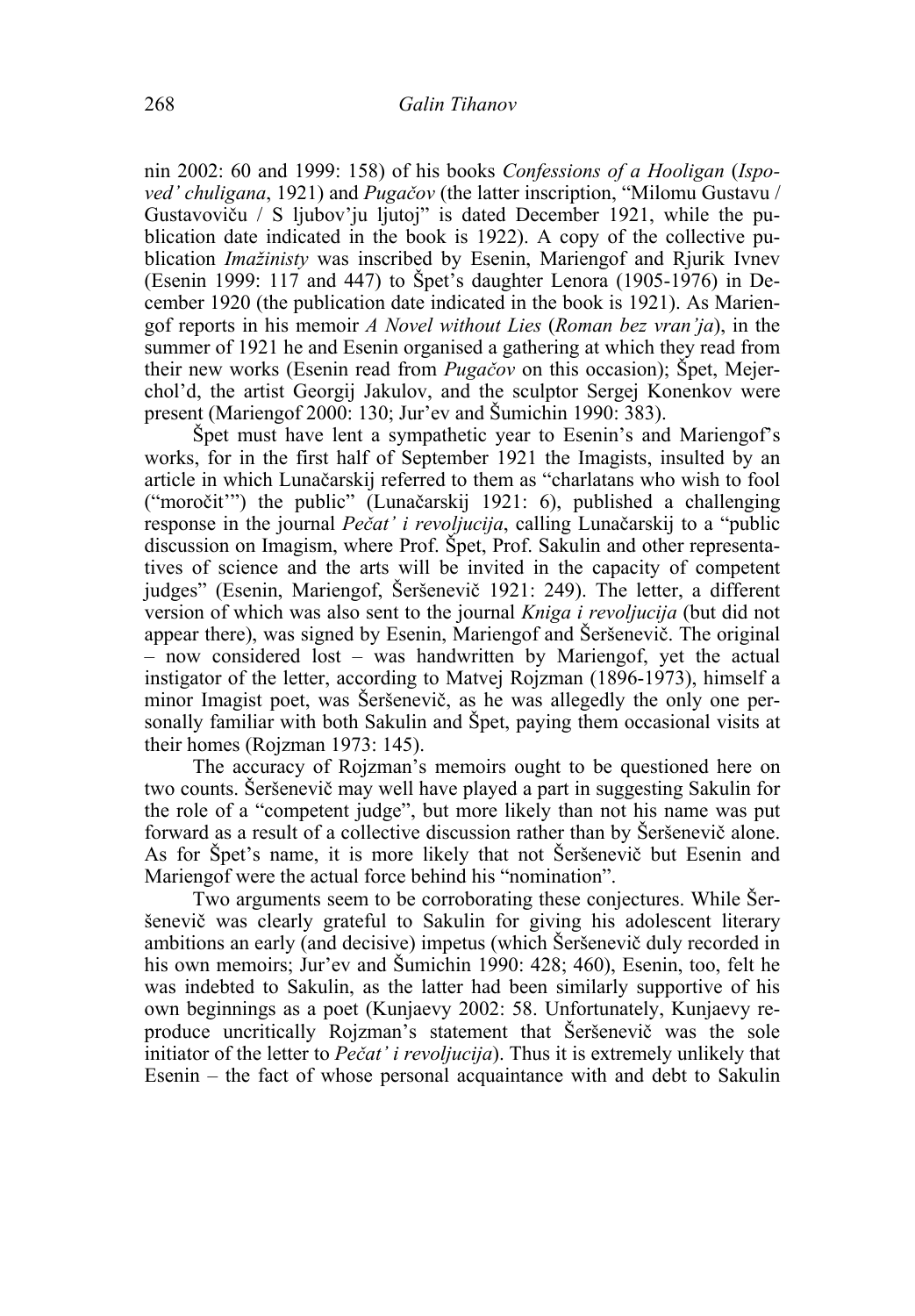nin 2002: 60 and 1999: 158) of his books *Confessions of a Hooligan* (*Ispoved' chuligana*, 1921) and *Pugaþov* (the latter inscription, "Milomu Gustavu / Gustavoviču / S ljubov'ju ljutoj" is dated December 1921, while the publication date indicated in the book is 1922). A copy of the collective publication *Imažinisty* was inscribed by Esenin, Mariengof and Rjurik Ivnev (Esenin 1999: 117 and 447) to Špet's daughter Lenora (1905-1976) in December 1920 (the publication date indicated in the book is 1921). As Mariengof reports in his memoir *A Novel without Lies* (*Roman bez vran'ja*), in the summer of 1921 he and Esenin organised a gathering at which they read from their new works (Esenin read from *Pugačov* on this occasion): Špet, Mejerchol'd, the artist Georgij Jakulov, and the sculptor Sergej Konenkov were present (Mariengof 2000: 130; Jur'ev and Šumichin 1990: 383).

 Špet must have lent a sympathetic year to Esenin's and Mariengof's works, for in the first half of September 1921 the Imagists, insulted by an article in which Lunačarskij referred to them as "charlatans who wish to fool ("moročit") the public" (Lunačarskij 1921: 6), published a challenging response in the journal *Pečat' i revoljucija*, calling Lunačarskij to a "public discussion on Imagism, where Prof. Špet, Prof. Sakulin and other representatives of science and the arts will be invited in the capacity of competent judges" (Esenin, Mariengof, Šeršenevič 1921: 249). The letter, a different version of which was also sent to the journal *Kniga i revoljucija* (but did not appear there), was signed by Esenin, Mariengof and Šeršenevič. The original – now considered lost – was handwritten by Mariengof, yet the actual instigator of the letter, according to Matvej Rojzman (1896-1973), himself a minor Imagist poet, was Šeršenevič, as he was allegedly the only one personally familiar with both Sakulin and Špet, paying them occasional visits at their homes (Rojzman 1973: 145).

 The accuracy of Rojzman's memoirs ought to be questioned here on two counts. Šeršenevič may well have played a part in suggesting Sakulin for the role of a "competent judge", but more likely than not his name was put forward as a result of a collective discussion rather than by Šeršenevič alone. As for Špet's name, it is more likely that not Šeršenevič but Esenin and Mariengof were the actual force behind his "nomination".

 Two arguments seem to be corroborating these conjectures. While Šeršeneviþ was clearly grateful to Sakulin for giving his adolescent literary ambitions an early (and decisive) impetus (which Šeršenevič duly recorded in his own memoirs; Jur'ev and Šumichin 1990: 428; 460), Esenin, too, felt he was indebted to Sakulin, as the latter had been similarly supportive of his own beginnings as a poet (Kunjaevy 2002: 58. Unfortunately, Kunjaevy reproduce uncritically Rojzman's statement that Šeršenevič was the sole initiator of the letter to *Pečat' i revoljucija*). Thus it is extremely unlikely that Esenin – the fact of whose personal acquaintance with and debt to Sakulin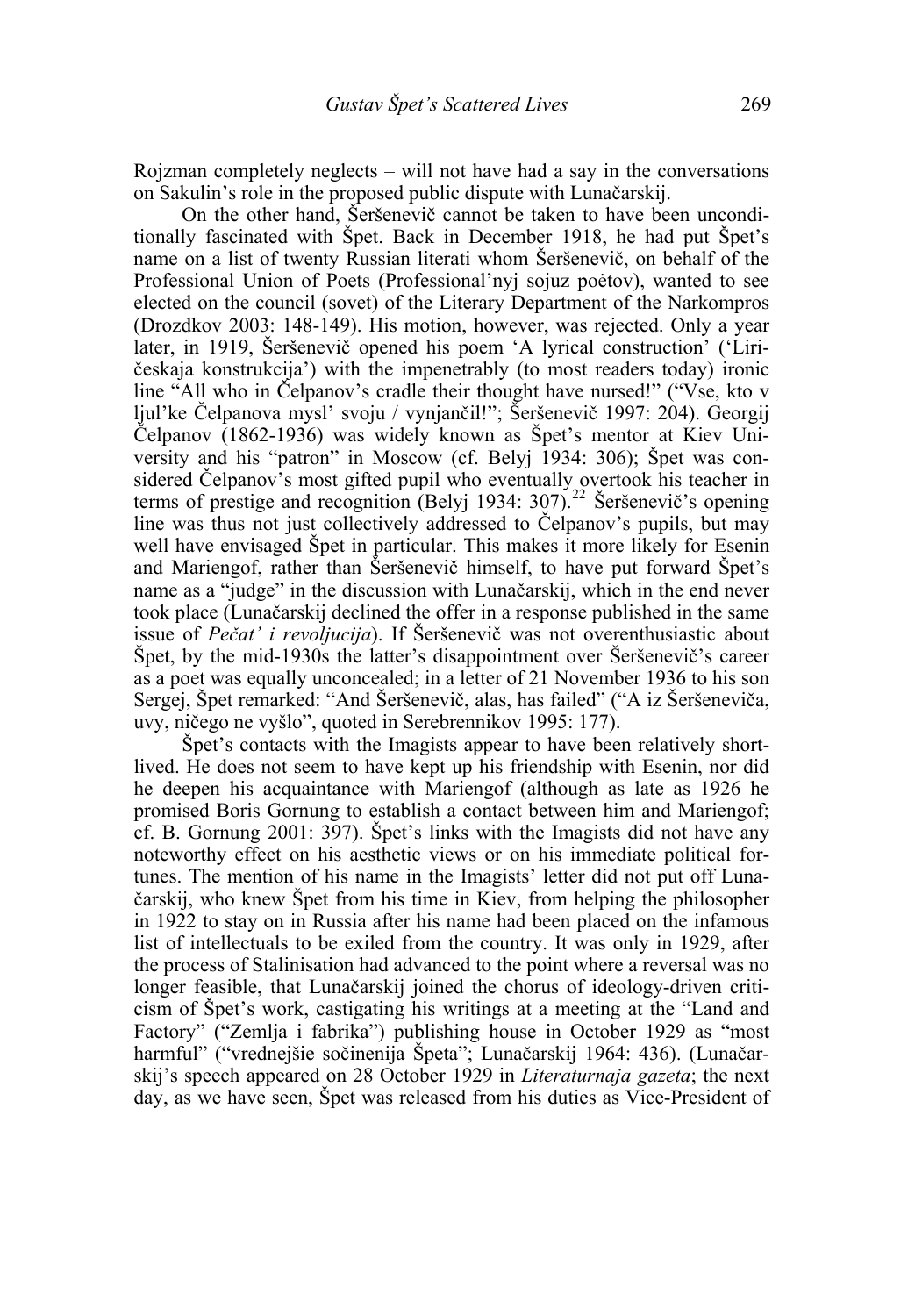Rojzman completely neglects – will not have had a say in the conversations on Sakulin's role in the proposed public dispute with Lunačarskij.

On the other hand, Šeršenevič cannot be taken to have been unconditionally fascinated with Špet. Back in December 1918, he had put Špet's name on a list of twenty Russian literati whom Šeršenevič, on behalf of the Professional Union of Poets (Professional'nyj sojuz poetov), wanted to see elected on the council (sovet) of the Literary Department of the Narkompros (Drozdkov 2003: 148-149). His motion, however, was rejected. Only a year later, in 1919, Šeršenevič opened his poem 'A lyrical construction' ('Liričeskaja konstrukcija') with the impenetrably (to most readers today) ironic line "All who in Čelpanov's cradle their thought have nursed!" ("Vse, kto v ljul'ke Čelpanova mysl' svoju / vynjančil!"; Šeršenevič 1997: 204). Georgij ýelpanov (1862-1936) was widely known as Špet's mentor at Kiev University and his "patron" in Moscow (cf. Belyj 1934: 306); Špet was considered Čelpanov's most gifted pupil who eventually overtook his teacher in terms of prestige and recognition (Belyj 1934:  $307$ )<sup>22</sup> Šeršenevič's opening line was thus not just collectively addressed to Čelpanov's pupils, but may well have envisaged Špet in particular. This makes it more likely for Esenin and Mariengof, rather than Šeršenevič himself, to have put forward Špet's name as a "judge" in the discussion with Lunačarskij, which in the end never took place (Lunačarskij declined the offer in a response published in the same issue of *Pečat' i revoljucija*). If Šeršenevič was not overenthusiastic about Špet, by the mid-1930s the latter's disappointment over Šeršenevič's career as a poet was equally unconcealed; in a letter of 21 November 1936 to his son Sergej, Špet remarked: "And Šeršenevič, alas, has failed" ("A iz Šeršeneviča, uvy, ničego ne vyšlo", quoted in Serebrennikov 1995: 177).

 Špet's contacts with the Imagists appear to have been relatively shortlived. He does not seem to have kept up his friendship with Esenin, nor did he deepen his acquaintance with Mariengof (although as late as 1926 he promised Boris Gornung to establish a contact between him and Mariengof; cf. B. Gornung 2001: 397). Špet's links with the Imagists did not have any noteworthy effect on his aesthetic views or on his immediate political fortunes. The mention of his name in the Imagists' letter did not put off Lunačarskij, who knew Špet from his time in Kiev, from helping the philosopher in 1922 to stay on in Russia after his name had been placed on the infamous list of intellectuals to be exiled from the country. It was only in 1929, after the process of Stalinisation had advanced to the point where a reversal was no longer feasible, that Lunačarskij joined the chorus of ideology-driven criticism of Špet's work, castigating his writings at a meeting at the "Land and Factory" ("Zemlja i fabrika") publishing house in October 1929 as "most harmful" ("vrednejšie sočinenija Špeta"; Lunačarskij 1964: 436). (Lunačarskij's speech appeared on 28 October 1929 in *Literaturnaja gazeta*; the next day, as we have seen, Špet was released from his duties as Vice-President of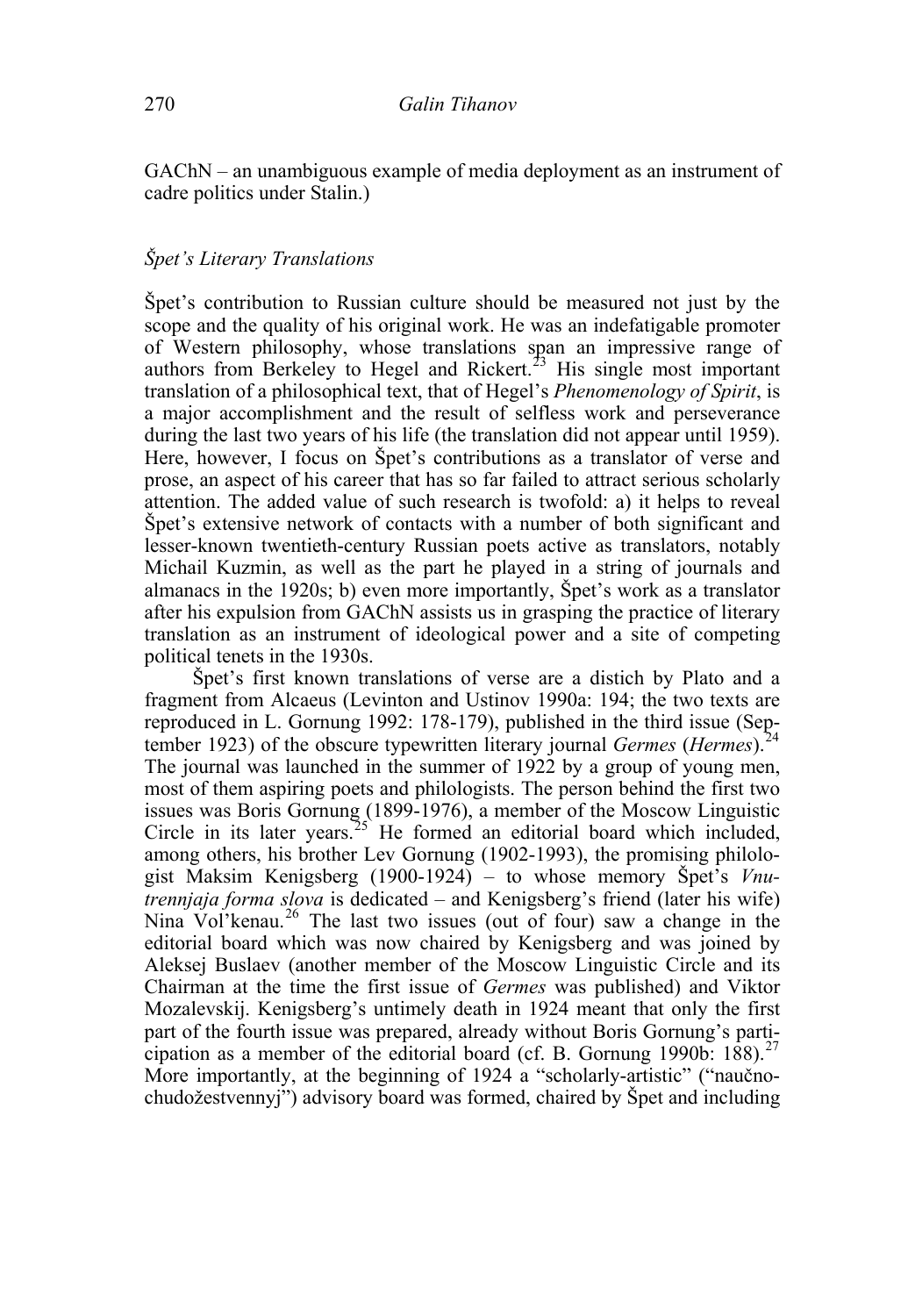GAChN – an unambiguous example of media deployment as an instrument of cadre politics under Stalin.)

## *Špet's Literary Translations*

Špet's contribution to Russian culture should be measured not just by the scope and the quality of his original work. He was an indefatigable promoter of Western philosophy, whose translations span an impressive range of authors from Berkeley to Hegel and Rickert.<sup> $\frac{23}{3}$ </sup> His single most important translation of a philosophical text, that of Hegel's *Phenomenology of Spirit*, is a major accomplishment and the result of selfless work and perseverance during the last two years of his life (the translation did not appear until 1959). Here, however, I focus on Špet's contributions as a translator of verse and prose, an aspect of his career that has so far failed to attract serious scholarly attention. The added value of such research is twofold: a) it helps to reveal Špet's extensive network of contacts with a number of both significant and lesser-known twentieth-century Russian poets active as translators, notably Michail Kuzmin, as well as the part he played in a string of journals and almanacs in the 1920s; b) even more importantly, Špet's work as a translator after his expulsion from GAChN assists us in grasping the practice of literary translation as an instrument of ideological power and a site of competing political tenets in the 1930s.

 Špet's first known translations of verse are a distich by Plato and a fragment from Alcaeus (Levinton and Ustinov 1990a: 194; the two texts are reproduced in L. Gornung 1992: 178-179), published in the third issue (September 1923) of the obscure typewritten literary journal *Germes* (*Hermes*).<sup>2</sup> The journal was launched in the summer of 1922 by a group of young men, most of them aspiring poets and philologists. The person behind the first two issues was Boris Gornung (1899-1976), a member of the Moscow Linguistic Circle in its later years.<sup>25</sup> He formed an editorial board which included, among others, his brother Lev Gornung (1902-1993), the promising philologist Maksim Kenigsberg (1900-1924) – to whose memory Špet's *Vnutrennjaja forma slova* is dedicated – and Kenigsberg's friend (later his wife) Nina Vol'kenau.<sup>26</sup> The last two issues (out of four) saw a change in the editorial board which was now chaired by Kenigsberg and was joined by Aleksej Buslaev (another member of the Moscow Linguistic Circle and its Chairman at the time the first issue of *Germes* was published) and Viktor Mozalevskij. Kenigsberg's untimely death in 1924 meant that only the first part of the fourth issue was prepared, already without Boris Gornung's participation as a member of the editorial board (cf. B. Gornung 1990b: 188).<sup>27</sup> More importantly, at the beginning of 1924 a "scholarly-artistic" ("naučnochudožestvennyj") advisory board was formed, chaired by Špet and including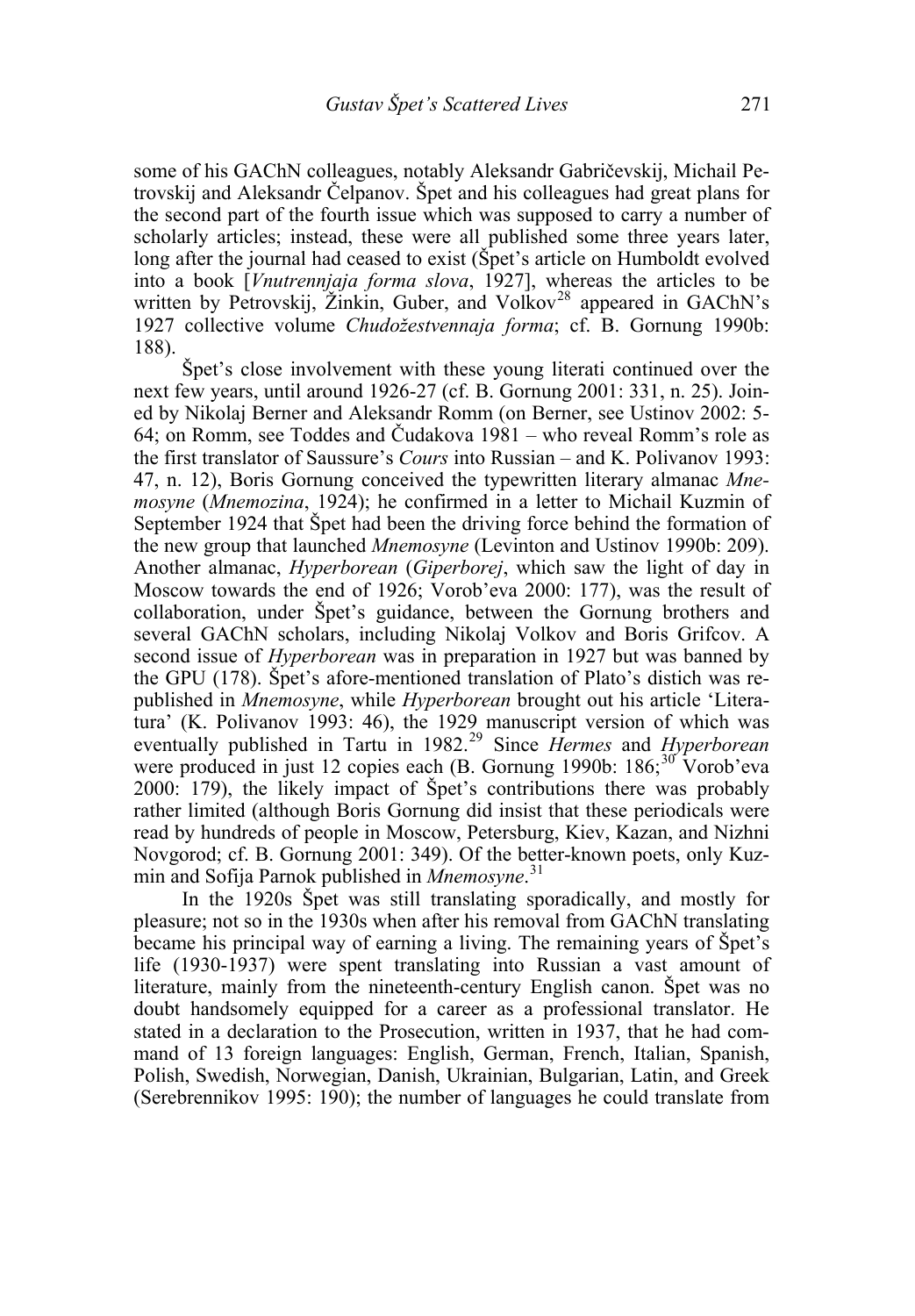some of his GAChN colleagues, notably Aleksandr Gabričevskij, Michail Petrovskij and Aleksandr ýelpanov. Špet and his colleagues had great plans for the second part of the fourth issue which was supposed to carry a number of scholarly articles; instead, these were all published some three years later, long after the journal had ceased to exist (Spet's article on Humboldt evolved into a book [*Vnutrennjaja forma slova*, 1927], whereas the articles to be written by Petrovskij, Žinkin, Guber, and Volkov<sup>28</sup> appeared in GAChN's 1927 collective volume *Chudožestvennaja forma*; cf. B. Gornung 1990b: 188).

 Špet's close involvement with these young literati continued over the next few years, until around 1926-27 (cf. B. Gornung 2001: 331, n. 25). Joined by Nikolaj Berner and Aleksandr Romm (on Berner, see Ustinov 2002: 5- 64; on Romm, see Toddes and Čudakova 1981 – who reveal Romm's role as the first translator of Saussure's *Cours* into Russian – and K. Polivanov 1993: 47, n. 12), Boris Gornung conceived the typewritten literary almanac *Mnemosyne* (*Mnemozina*, 1924); he confirmed in a letter to Michail Kuzmin of September 1924 that Špet had been the driving force behind the formation of the new group that launched *Mnemosyne* (Levinton and Ustinov 1990b: 209). Another almanac, *Hyperborean* (*Giperborej*, which saw the light of day in Moscow towards the end of 1926; Vorob'eva 2000: 177), was the result of collaboration, under Špet's guidance, between the Gornung brothers and several GAChN scholars, including Nikolaj Volkov and Boris Grifcov. A second issue of *Hyperborean* was in preparation in 1927 but was banned by the GPU (178). Špet's afore-mentioned translation of Plato's distich was republished in *Mnemosyne*, while *Hyperborean* brought out his article 'Literatura' (K. Polivanov 1993: 46), the 1929 manuscript version of which was eventually published in Tartu in 1982.29 Since *Hermes* and *Hyperborean* were produced in just 12 copies each (B. Gornung 1990b: 186;<sup>30</sup> Vorob'eva 2000: 179), the likely impact of Špet's contributions there was probably rather limited (although Boris Gornung did insist that these periodicals were read by hundreds of people in Moscow, Petersburg, Kiev, Kazan, and Nizhni Novgorod; cf. B. Gornung 2001: 349). Of the better-known poets, only Kuzmin and Sofija Parnok published in *Mnemosyne*. 31

 In the 1920s Špet was still translating sporadically, and mostly for pleasure; not so in the 1930s when after his removal from GAChN translating became his principal way of earning a living. The remaining years of Špet's life (1930-1937) were spent translating into Russian a vast amount of literature, mainly from the nineteenth-century English canon. Špet was no doubt handsomely equipped for a career as a professional translator. He stated in a declaration to the Prosecution, written in 1937, that he had command of 13 foreign languages: English, German, French, Italian, Spanish, Polish, Swedish, Norwegian, Danish, Ukrainian, Bulgarian, Latin, and Greek (Serebrennikov 1995: 190); the number of languages he could translate from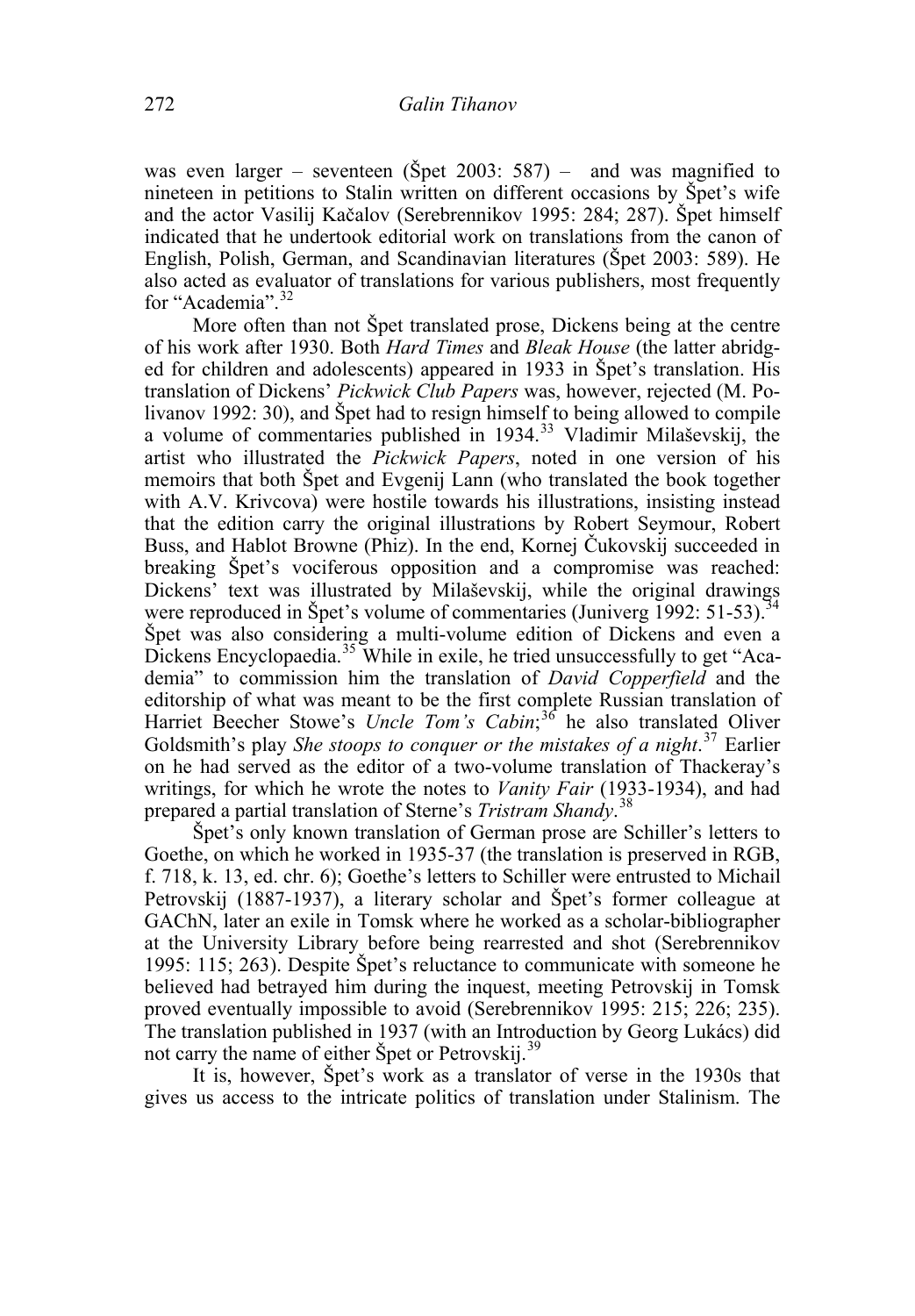was even larger – seventeen (Spet 2003:  $587$ ) – and was magnified to nineteen in petitions to Stalin written on different occasions by Špet's wife and the actor Vasilij Kačalov (Serebrennikov 1995: 284; 287). Špet himself indicated that he undertook editorial work on translations from the canon of English, Polish, German, and Scandinavian literatures (Špet 2003: 589). He also acted as evaluator of translations for various publishers, most frequently for "Academia".<sup>32</sup>

 More often than not Špet translated prose, Dickens being at the centre of his work after 1930. Both *Hard Times* and *Bleak House* (the latter abridged for children and adolescents) appeared in 1933 in Špet's translation. His translation of Dickens' *Pickwick Club Papers* was, however, rejected (M. Polivanov 1992: 30), and Špet had to resign himself to being allowed to compile a volume of commentaries published in 1934.<sup>33</sup> Vladimir Milaševskij, the artist who illustrated the *Pickwick Papers*, noted in one version of his memoirs that both Špet and Evgenij Lann (who translated the book together with A.V. Krivcova) were hostile towards his illustrations, insisting instead that the edition carry the original illustrations by Robert Seymour, Robert Buss, and Hablot Browne (Phiz). In the end, Kornej Čukovskij succeeded in breaking Špet's vociferous opposition and a compromise was reached: Dickens' text was illustrated by Milaševskij, while the original drawings were reproduced in Špet's volume of commentaries (Juniverg 1992: 51-53).<sup>34</sup> Špet was also considering a multi-volume edition of Dickens and even a Dickens Encyclopaedia.<sup>35</sup> While in exile, he tried unsuccessfully to get "Academia" to commission him the translation of *David Copperfield* and the editorship of what was meant to be the first complete Russian translation of Harriet Beecher Stowe's *Uncle Tom's Cabin*;<sup>36</sup> he also translated Oliver Goldsmith's play *She stoops to conquer or the mistakes of a night*. 37 Earlier on he had served as the editor of a two-volume translation of Thackeray's writings, for which he wrote the notes to *Vanity Fair* (1933-1934), and had prepared a partial translation of Sterne's *Tristram Shandy*. 38

 Špet's only known translation of German prose are Schiller's letters to Goethe, on which he worked in 1935-37 (the translation is preserved in RGB, f. 718, k. 13, ed. chr. 6); Goethe's letters to Schiller were entrusted to Michail Petrovskij (1887-1937), a literary scholar and Špet's former colleague at GAChN, later an exile in Tomsk where he worked as a scholar-bibliographer at the University Library before being rearrested and shot (Serebrennikov 1995: 115; 263). Despite Špet's reluctance to communicate with someone he believed had betrayed him during the inquest, meeting Petrovskij in Tomsk proved eventually impossible to avoid (Serebrennikov 1995: 215; 226; 235). The translation published in 1937 (with an Introduction by Georg Lukács) did not carry the name of either Špet or Petrovskij.<sup>39</sup>

 It is, however, Špet's work as a translator of verse in the 1930s that gives us access to the intricate politics of translation under Stalinism. The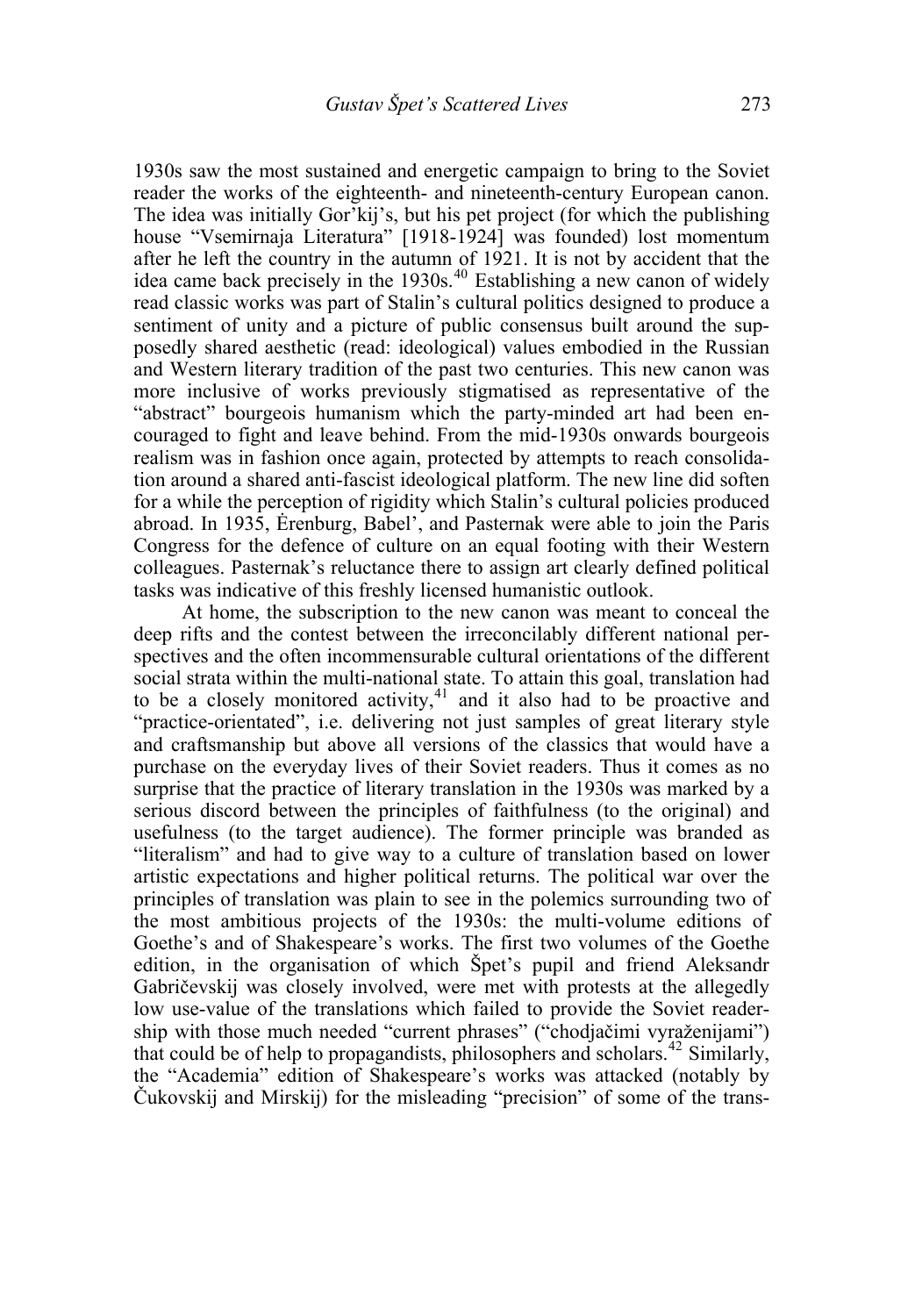1930s saw the most sustained and energetic campaign to bring to the Soviet reader the works of the eighteenth- and nineteenth-century European canon. The idea was initially Gor'kij's, but his pet project (for which the publishing house "Vsemirnaja Literatura" [1918-1924] was founded) lost momentum after he left the country in the autumn of 1921. It is not by accident that the idea came back precisely in the 1930s.<sup>40</sup> Establishing a new canon of widely read classic works was part of Stalin's cultural politics designed to produce a sentiment of unity and a picture of public consensus built around the supposedly shared aesthetic (read: ideological) values embodied in the Russian and Western literary tradition of the past two centuries. This new canon was more inclusive of works previously stigmatised as representative of the "abstract" bourgeois humanism which the party-minded art had been encouraged to fight and leave behind. From the mid-1930s onwards bourgeois realism was in fashion once again, protected by attempts to reach consolidation around a shared anti-fascist ideological platform. The new line did soften for a while the perception of rigidity which Stalin's cultural policies produced abroad. In 1935, Erenburg, Babel', and Pasternak were able to join the Paris Congress for the defence of culture on an equal footing with their Western colleagues. Pasternak's reluctance there to assign art clearly defined political tasks was indicative of this freshly licensed humanistic outlook.

 At home, the subscription to the new canon was meant to conceal the deep rifts and the contest between the irreconcilably different national perspectives and the often incommensurable cultural orientations of the different social strata within the multi-national state. To attain this goal, translation had to be a closely monitored activity,<sup>41</sup> and it also had to be proactive and "practice-orientated", i.e. delivering not just samples of great literary style and craftsmanship but above all versions of the classics that would have a purchase on the everyday lives of their Soviet readers. Thus it comes as no surprise that the practice of literary translation in the 1930s was marked by a serious discord between the principles of faithfulness (to the original) and usefulness (to the target audience). The former principle was branded as "literalism" and had to give way to a culture of translation based on lower artistic expectations and higher political returns. The political war over the principles of translation was plain to see in the polemics surrounding two of the most ambitious projects of the 1930s: the multi-volume editions of Goethe's and of Shakespeare's works. The first two volumes of the Goethe edition, in the organisation of which Špet's pupil and friend Aleksandr Gabričevskij was closely involved, were met with protests at the allegedly low use-value of the translations which failed to provide the Soviet readership with those much needed "current phrases" ("chodjačimi vyraženijami") that could be of help to propagandists, philosophers and scholars.<sup>42</sup> Similarly, the "Academia" edition of Shakespeare's works was attacked (notably by ýukovskij and Mirskij) for the misleading "precision" of some of the trans-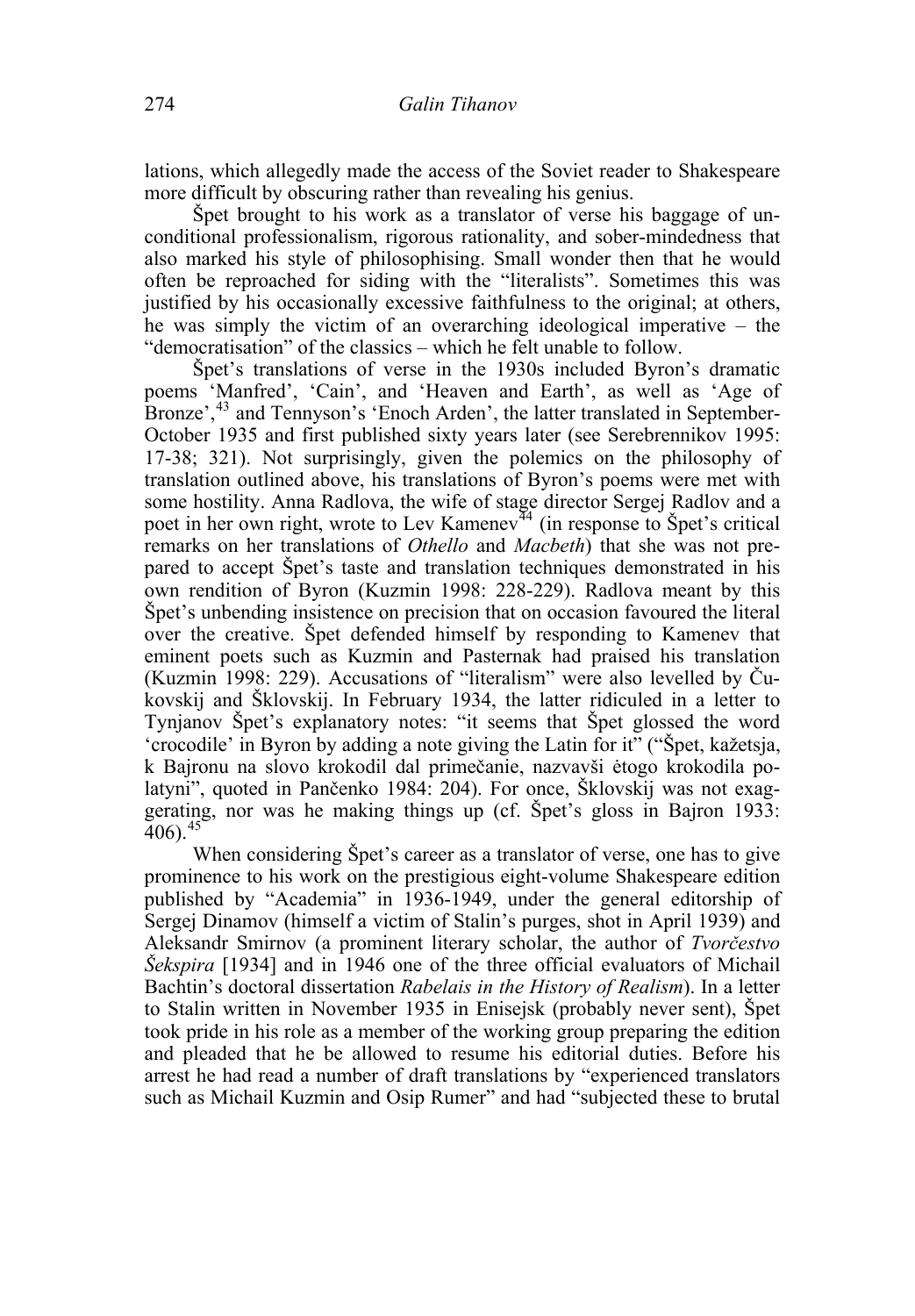lations, which allegedly made the access of the Soviet reader to Shakespeare more difficult by obscuring rather than revealing his genius.

 Špet brought to his work as a translator of verse his baggage of unconditional professionalism, rigorous rationality, and sober-mindedness that also marked his style of philosophising. Small wonder then that he would often be reproached for siding with the "literalists". Sometimes this was justified by his occasionally excessive faithfulness to the original; at others, he was simply the victim of an overarching ideological imperative – the "democratisation" of the classics – which he felt unable to follow.

 Špet's translations of verse in the 1930s included Byron's dramatic poems 'Manfred', 'Cain', and 'Heaven and Earth', as well as 'Age of Bronze',<sup>43</sup> and Tennyson's 'Enoch Arden', the latter translated in September-October 1935 and first published sixty years later (see Serebrennikov 1995: 17-38; 321). Not surprisingly, given the polemics on the philosophy of translation outlined above, his translations of Byron's poems were met with some hostility. Anna Radlova, the wife of stage director Sergej Radlov and a poet in her own right, wrote to Lev Kamenev<sup>44</sup> (in response to Špet's critical remarks on her translations of *Othello* and *Macbeth*) that she was not prepared to accept Špet's taste and translation techniques demonstrated in his own rendition of Byron (Kuzmin 1998: 228-229). Radlova meant by this Špet's unbending insistence on precision that on occasion favoured the literal over the creative. Špet defended himself by responding to Kamenev that eminent poets such as Kuzmin and Pasternak had praised his translation (Kuzmin 1998: 229). Accusations of "literalism" were also levelled by  $\text{C}u$ kovskij and Šklovskij. In February 1934, the latter ridiculed in a letter to Tynjanov Špet's explanatory notes: "it seems that Špet glossed the word 'crocodile' in Byron by adding a note giving the Latin for it" ("Špet, kažetsja, k Bajronu na slovo krokodil dal primečanie, nazvavši ėtogo krokodila polatyni", quoted in Pančenko 1984: 204). For once, Šklovskij was not exaggerating, nor was he making things up (cf. Špet's gloss in Bajron 1933:  $406$ )<sup>45</sup>

 When considering Špet's career as a translator of verse, one has to give prominence to his work on the prestigious eight-volume Shakespeare edition published by "Academia" in 1936-1949, under the general editorship of Sergej Dinamov (himself a victim of Stalin's purges, shot in April 1939) and Aleksandr Smirnov (a prominent literary scholar, the author of *Tvorčestvo Šekspira* [1934] and in 1946 one of the three official evaluators of Michail Bachtin's doctoral dissertation *Rabelais in the History of Realism*). In a letter to Stalin written in November 1935 in Enisejsk (probably never sent), Špet took pride in his role as a member of the working group preparing the edition and pleaded that he be allowed to resume his editorial duties. Before his arrest he had read a number of draft translations by "experienced translators such as Michail Kuzmin and Osip Rumer" and had "subjected these to brutal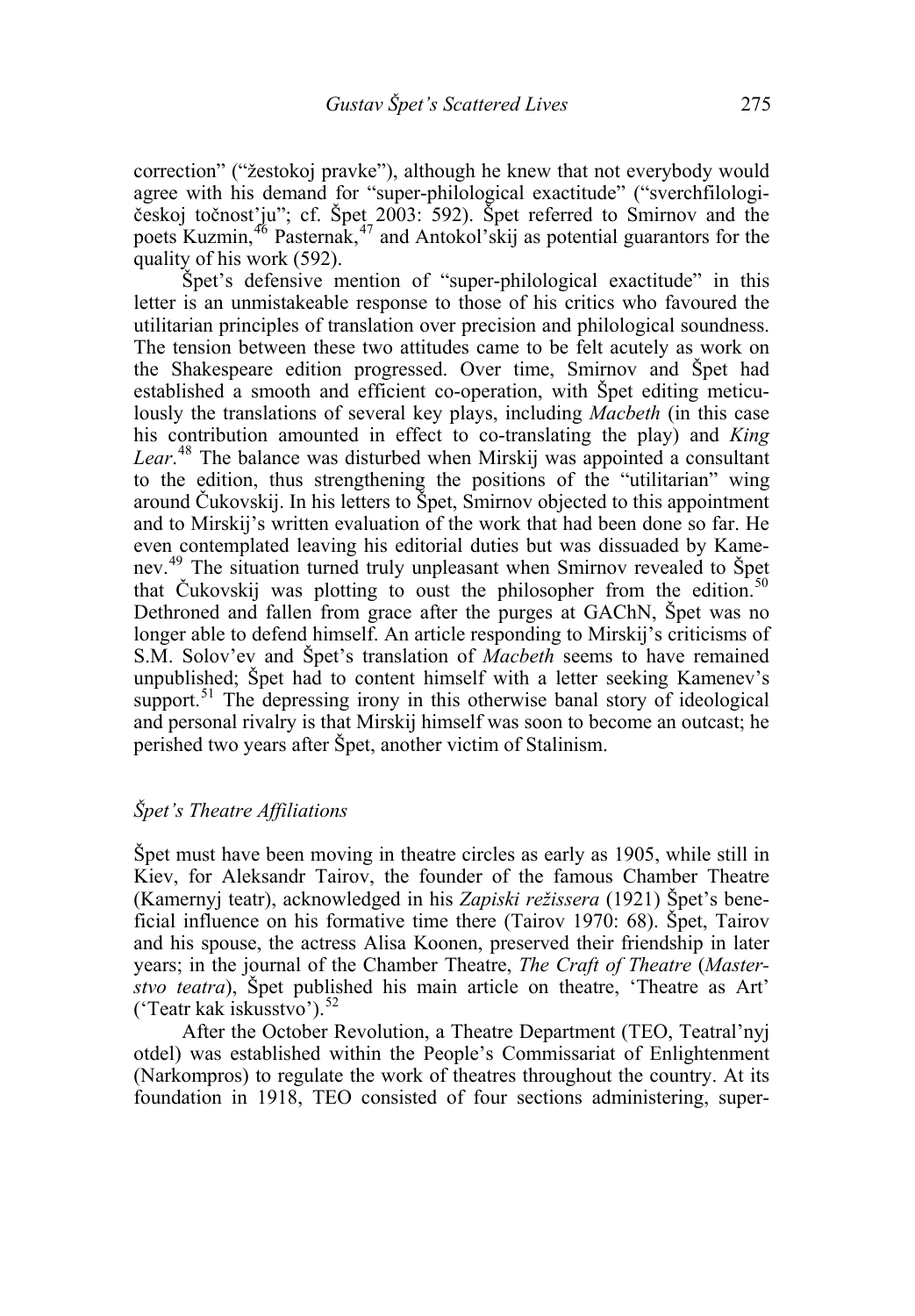correction" ("žestokoj pravke"), although he knew that not everybody would agree with his demand for "super-philological exactitude" ("sverchfilologičeskoj točnost'ju"; cf. Špet 2003: 592). Špet referred to Smirnov and the poets Kuzmin,<sup>46</sup> Pasternak,<sup>47</sup> and Antokol'skij as potential guarantors for the quality of his work (592).

 Špet's defensive mention of "super-philological exactitude" in this letter is an unmistakeable response to those of his critics who favoured the utilitarian principles of translation over precision and philological soundness. The tension between these two attitudes came to be felt acutely as work on the Shakespeare edition progressed. Over time, Smirnov and Špet had established a smooth and efficient co-operation, with Špet editing meticulously the translations of several key plays, including *Macbeth* (in this case his contribution amounted in effect to co-translating the play) and *King Lear*. 48 The balance was disturbed when Mirskij was appointed a consultant to the edition, thus strengthening the positions of the "utilitarian" wing around Čukovskij. In his letters to Špet, Smirnov objected to this appointment and to Mirskij's written evaluation of the work that had been done so far. He even contemplated leaving his editorial duties but was dissuaded by Kamenev.49 The situation turned truly unpleasant when Smirnov revealed to Špet that Čukovskij was plotting to oust the philosopher from the edition.<sup>50</sup> Dethroned and fallen from grace after the purges at GAChN, Špet was no longer able to defend himself. An article responding to Mirskij's criticisms of S.M. Solov'ev and Špet's translation of *Macbeth* seems to have remained unpublished; Špet had to content himself with a letter seeking Kamenev's support.<sup>51</sup> The depressing irony in this otherwise banal story of ideological and personal rivalry is that Mirskij himself was soon to become an outcast; he perished two years after Špet, another victim of Stalinism.

### *Špet's Theatre Affiliations*

Špet must have been moving in theatre circles as early as 1905, while still in Kiev, for Aleksandr Tairov, the founder of the famous Chamber Theatre (Kamernyj teatr), acknowledged in his *Zapiski režissera* (1921) Špet's beneficial influence on his formative time there (Tairov 1970: 68). Špet, Tairov and his spouse, the actress Alisa Koonen, preserved their friendship in later years; in the journal of the Chamber Theatre, *The Craft of Theatre* (*Masterstvo teatra*), Špet published his main article on theatre, 'Theatre as Art' ('Teatr kak iskusstvo'). $52$ 

 After the October Revolution, a Theatre Department (TEO, Teatral'nyj otdel) was established within the People's Commissariat of Enlightenment (Narkompros) to regulate the work of theatres throughout the country. At its foundation in 1918, TEO consisted of four sections administering, super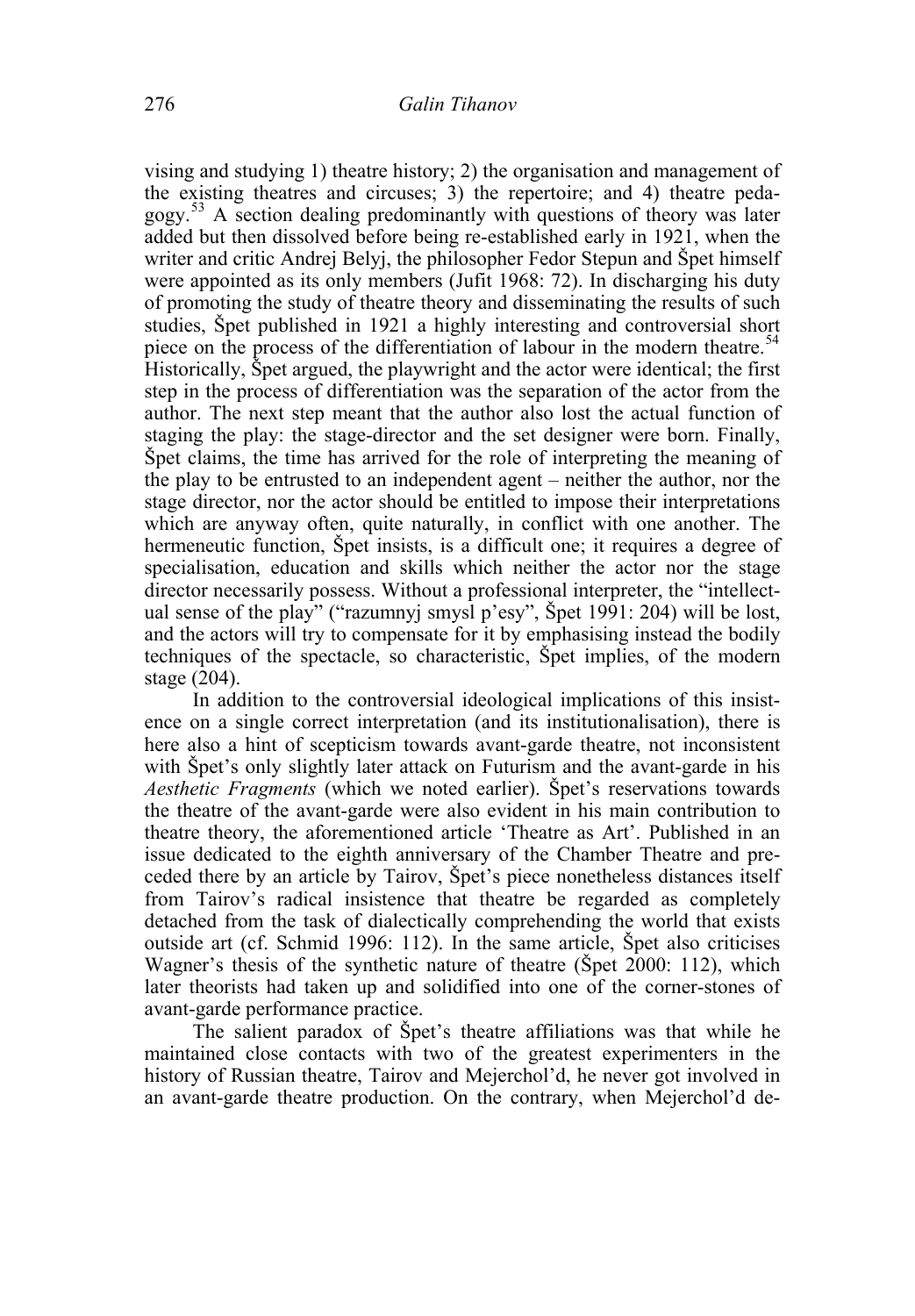vising and studying 1) theatre history; 2) the organisation and management of the existing theatres and circuses; 3) the repertoire; and 4) theatre pedagogy.53 A section dealing predominantly with questions of theory was later added but then dissolved before being re-established early in 1921, when the writer and critic Andrej Belyj, the philosopher Fedor Stepun and Špet himself were appointed as its only members (Jufit 1968: 72). In discharging his duty of promoting the study of theatre theory and disseminating the results of such studies, Špet published in 1921 a highly interesting and controversial short piece on the process of the differentiation of labour in the modern theatre.<sup>54</sup> Historically, Špet argued, the playwright and the actor were identical; the first step in the process of differentiation was the separation of the actor from the author. The next step meant that the author also lost the actual function of staging the play: the stage-director and the set designer were born. Finally, Špet claims, the time has arrived for the role of interpreting the meaning of the play to be entrusted to an independent agent – neither the author, nor the stage director, nor the actor should be entitled to impose their interpretations which are anyway often, quite naturally, in conflict with one another. The hermeneutic function, Špet insists, is a difficult one; it requires a degree of specialisation, education and skills which neither the actor nor the stage director necessarily possess. Without a professional interpreter, the "intellectual sense of the play" ("razumnyj smysl p'esy", Špet 1991: 204) will be lost, and the actors will try to compensate for it by emphasising instead the bodily techniques of the spectacle, so characteristic, Špet implies, of the modern stage  $(204)$ .

 In addition to the controversial ideological implications of this insistence on a single correct interpretation (and its institutionalisation), there is here also a hint of scepticism towards avant-garde theatre, not inconsistent with Špet's only slightly later attack on Futurism and the avant-garde in his *Aesthetic Fragments* (which we noted earlier). Špet's reservations towards the theatre of the avant-garde were also evident in his main contribution to theatre theory, the aforementioned article 'Theatre as Art'. Published in an issue dedicated to the eighth anniversary of the Chamber Theatre and preceded there by an article by Tairov, Špet's piece nonetheless distances itself from Tairov's radical insistence that theatre be regarded as completely detached from the task of dialectically comprehending the world that exists outside art (cf. Schmid 1996: 112). In the same article, Špet also criticises Wagner's thesis of the synthetic nature of theatre (Špet 2000: 112), which later theorists had taken up and solidified into one of the corner-stones of avant-garde performance practice.

 The salient paradox of Špet's theatre affiliations was that while he maintained close contacts with two of the greatest experimenters in the history of Russian theatre, Tairov and Mejerchol'd, he never got involved in an avant-garde theatre production. On the contrary, when Mejerchol'd de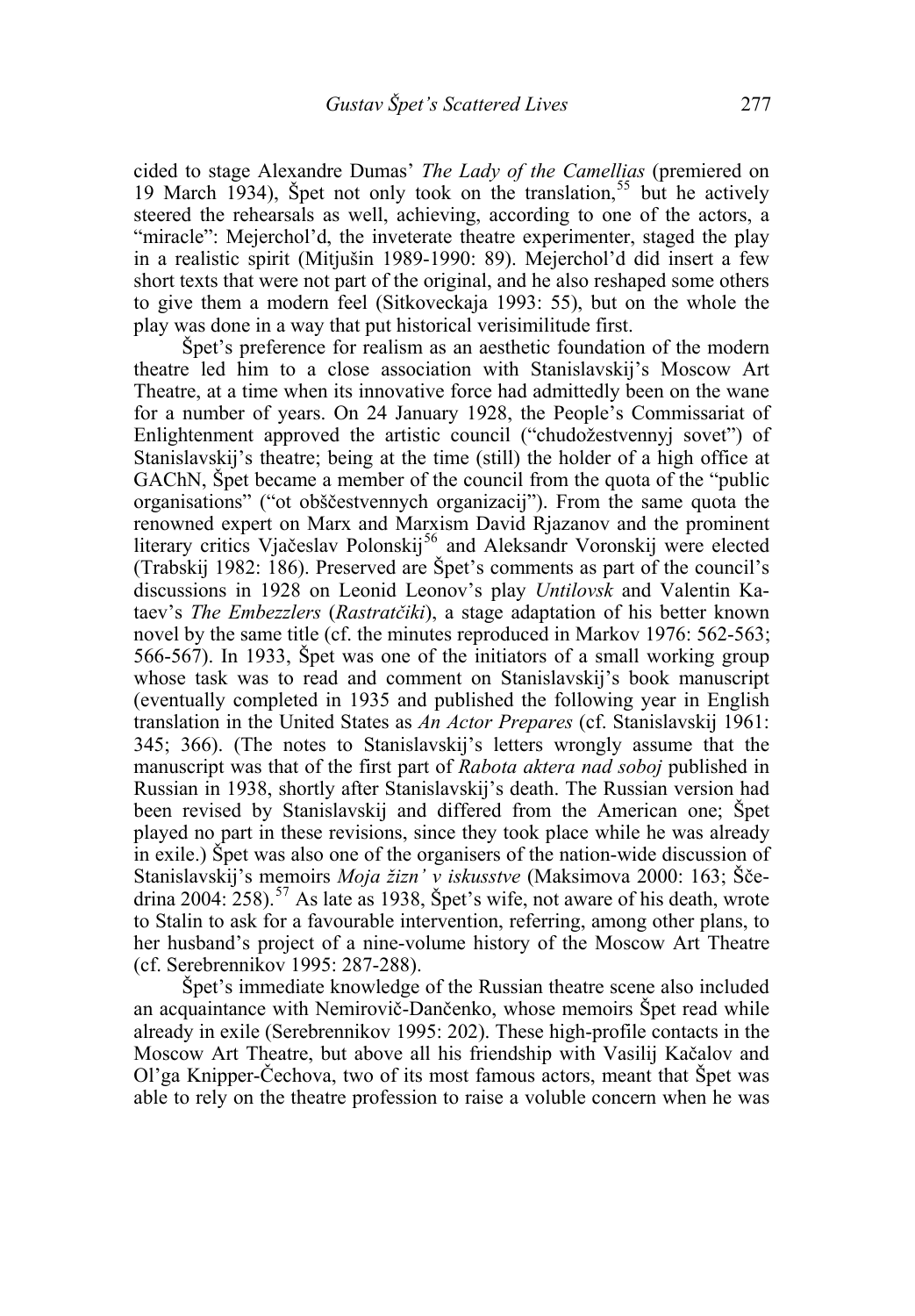cided to stage Alexandre Dumas' *The Lady of the Camellias* (premiered on 19 March 1934), Špet not only took on the translation,<sup>55</sup> but he actively steered the rehearsals as well, achieving, according to one of the actors, a "miracle": Mejerchol'd, the inveterate theatre experimenter, staged the play in a realistic spirit (Mitjušin 1989-1990: 89). Mejerchol'd did insert a few short texts that were not part of the original, and he also reshaped some others to give them a modern feel (Sitkoveckaja 1993: 55), but on the whole the play was done in a way that put historical verisimilitude first.

 Špet's preference for realism as an aesthetic foundation of the modern theatre led him to a close association with Stanislavskij's Moscow Art Theatre, at a time when its innovative force had admittedly been on the wane for a number of years. On 24 January 1928, the People's Commissariat of Enlightenment approved the artistic council ("chudožestvennyj sovet") of Stanislavskij's theatre; being at the time (still) the holder of a high office at GAChN, Špet became a member of the council from the quota of the "public organisations" ("ot obščestvennych organizacij"). From the same quota the renowned expert on Marx and Marxism David Rjazanov and the prominent literary critics Vjačeslav Polonskij<sup>56</sup> and Aleksandr Voronskij were elected (Trabskij 1982: 186). Preserved are Špet's comments as part of the council's discussions in 1928 on Leonid Leonov's play *Untilovsk* and Valentin Kataev's *The Embezzlers* (*Rastratčiki*), a stage adaptation of his better known novel by the same title (cf. the minutes reproduced in Markov 1976: 562-563; 566-567). In 1933, Špet was one of the initiators of a small working group whose task was to read and comment on Stanislavskij's book manuscript (eventually completed in 1935 and published the following year in English translation in the United States as *An Actor Prepares* (cf. Stanislavskij 1961: 345; 366). (The notes to Stanislavskij's letters wrongly assume that the manuscript was that of the first part of *Rabota aktera nad soboj* published in Russian in 1938, shortly after Stanislavskij's death. The Russian version had been revised by Stanislavskij and differed from the American one; Špet played no part in these revisions, since they took place while he was already in exile.) Špet was also one of the organisers of the nation-wide discussion of Stanislavskij's memoirs *Moja žizn' v iskusstve* (Maksimova 2000: 163; Ščedrina 2004:  $258$ ).<sup>57</sup> As late as 1938, Špet's wife, not aware of his death, wrote to Stalin to ask for a favourable intervention, referring, among other plans, to her husband's project of a nine-volume history of the Moscow Art Theatre (cf. Serebrennikov 1995: 287-288).

 Špet's immediate knowledge of the Russian theatre scene also included an acquaintance with Nemirovič-Dančenko, whose memoirs Špet read while already in exile (Serebrennikov 1995: 202). These high-profile contacts in the Moscow Art Theatre, but above all his friendship with Vasilij Kačalov and Ol'ga Knipper-Čechova, two of its most famous actors, meant that Spet was able to rely on the theatre profession to raise a voluble concern when he was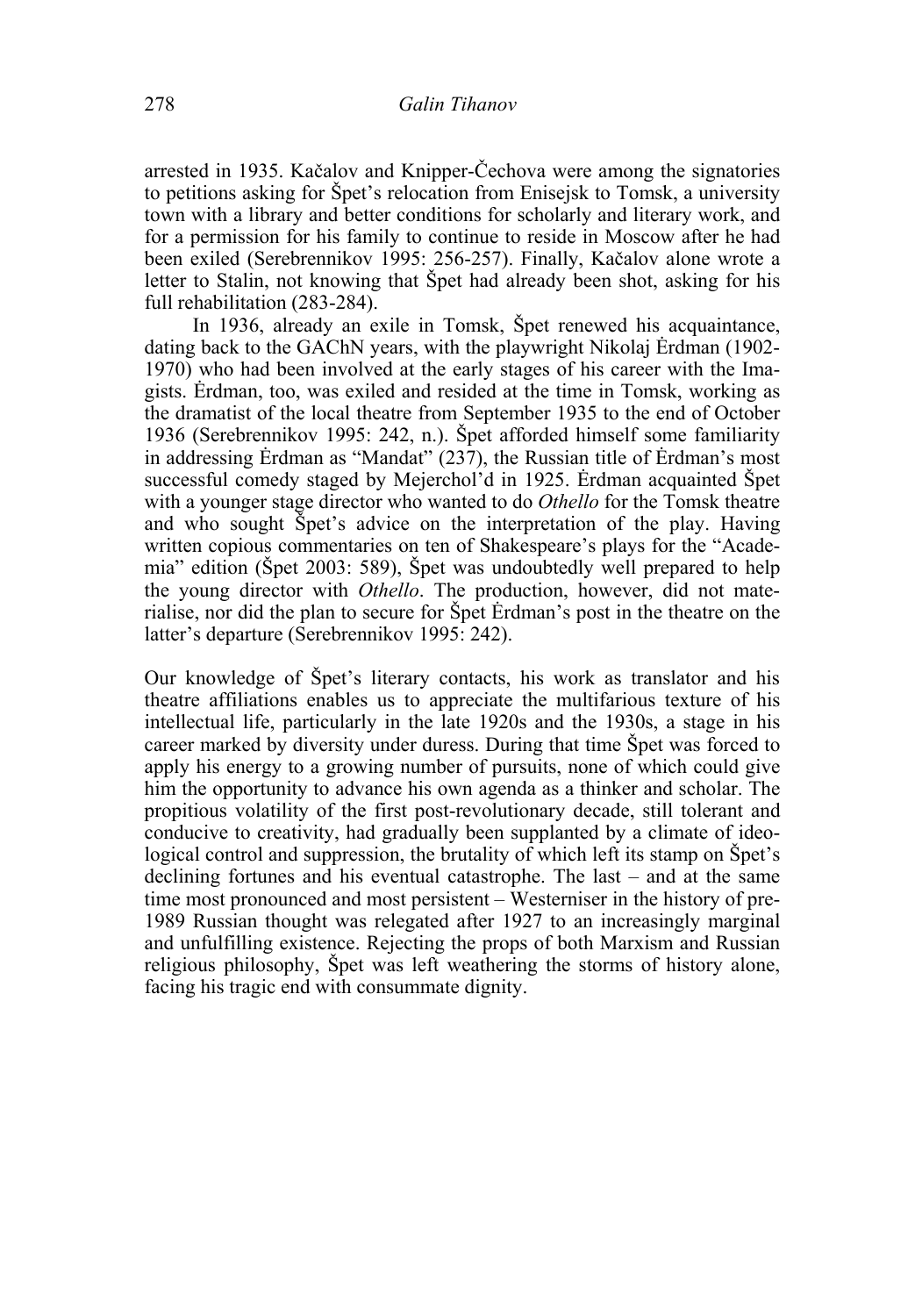arrested in 1935. Kačalov and Knipper-Čechova were among the signatories to petitions asking for Špet's relocation from Enisejsk to Tomsk, a university town with a library and better conditions for scholarly and literary work, and for a permission for his family to continue to reside in Moscow after he had been exiled (Serebrennikov 1995: 256-257). Finally, Kačalov alone wrote a letter to Stalin, not knowing that Špet had already been shot, asking for his full rehabilitation (283-284).

 In 1936, already an exile in Tomsk, Špet renewed his acquaintance, dating back to the GAChN years, with the playwright Nikolaj Erdman (1902-1970) who had been involved at the early stages of his career with the Imagists. Erdman, too, was exiled and resided at the time in Tomsk, working as the dramatist of the local theatre from September 1935 to the end of October 1936 (Serebrennikov 1995: 242, n.). Špet afforded himself some familiarity in addressing Erdman as "Mandat"  $(237)$ , the Russian title of Erdman's most successful comedy staged by Mejerchol'd in 1925. Erdman acquainted Špet with a younger stage director who wanted to do *Othello* for the Tomsk theatre and who sought Špet's advice on the interpretation of the play. Having written copious commentaries on ten of Shakespeare's plays for the "Academia" edition (Špet 2003: 589), Špet was undoubtedly well prepared to help the young director with *Othello*. The production, however, did not materialise, nor did the plan to secure for Spet Erdman's post in the theatre on the latter's departure (Serebrennikov 1995: 242).

Our knowledge of Špet's literary contacts, his work as translator and his theatre affiliations enables us to appreciate the multifarious texture of his intellectual life, particularly in the late 1920s and the 1930s, a stage in his career marked by diversity under duress. During that time Špet was forced to apply his energy to a growing number of pursuits, none of which could give him the opportunity to advance his own agenda as a thinker and scholar. The propitious volatility of the first post-revolutionary decade, still tolerant and conducive to creativity, had gradually been supplanted by a climate of ideological control and suppression, the brutality of which left its stamp on Špet's declining fortunes and his eventual catastrophe. The last – and at the same time most pronounced and most persistent – Westerniser in the history of pre-1989 Russian thought was relegated after 1927 to an increasingly marginal and unfulfilling existence. Rejecting the props of both Marxism and Russian religious philosophy, Špet was left weathering the storms of history alone, facing his tragic end with consummate dignity.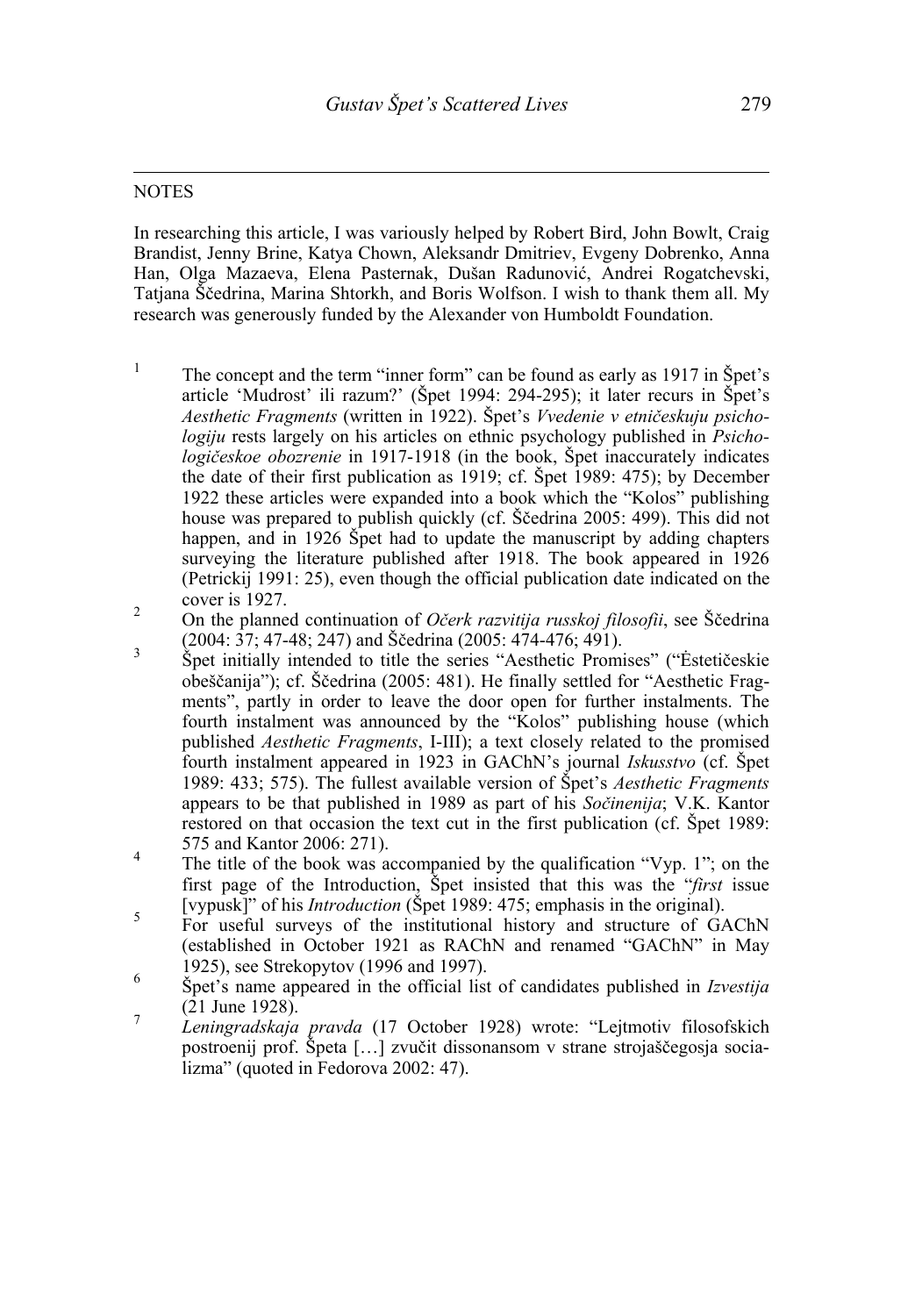#### **NOTES**

In researching this article, I was variously helped by Robert Bird, John Bowlt, Craig Brandist, Jenny Brine, Katya Chown, Aleksandr Dmitriev, Evgeny Dobrenko, Anna Han, Olga Mazaeva, Elena Pasternak, Dušan Radunović, Andrei Rogatchevski, Tatjana Ščedrina, Marina Shtorkh, and Boris Wolfson. I wish to thank them all. My research was generously funded by the Alexander von Humboldt Foundation.

- 1 The concept and the term "inner form" can be found as early as 1917 in Špet's article 'Mudrost' ili razum?' (Špet 1994: 294-295); it later recurs in Špet's *Aesthetic Fragments* (written in 1922). Špet's *Vvedenie v etniþeskuju psichologiju* rests largely on his articles on ethnic psychology published in *Psichologičeskoe obozrenie* in 1917-1918 (in the book, Špet inaccurately indicates the date of their first publication as 1919; cf. Špet 1989: 475); by December 1922 these articles were expanded into a book which the "Kolos" publishing house was prepared to publish quickly (cf. Ščedrina 2005: 499). This did not happen, and in 1926 Spet had to update the manuscript by adding chapters surveying the literature published after 1918. The book appeared in 1926 (Petrickij 1991: 25), even though the official publication date indicated on the cover is 1927.
- 2 On the planned continuation of *Očerk razvitija russkoj filosofii*, see Ščedrina  $(2004: 37; 47-48; 247)$  and Ščedrina  $(2005: 474-476; 491)$ .
- Špet initially intended to title the series "Aesthetic Promises" ("Ėstetičeskie obeščanija"); cf. Ščedrina (2005: 481). He finally settled for "Aesthetic Fragments", partly in order to leave the door open for further instalments. The fourth instalment was announced by the "Kolos" publishing house (which published *Aesthetic Fragments*, I-III); a text closely related to the promised fourth instalment appeared in 1923 in GAChN's journal *Iskusstvo* (cf. Špet 1989: 433; 575). The fullest available version of Špet's *Aesthetic Fragments* appears to be that published in 1989 as part of his *Soþinenija*; V.K. Kantor restored on that occasion the text cut in the first publication (cf. Špet 1989:  $575$  and Kantor 2006: 271).
- The title of the book was accompanied by the qualification "Vyp. 1"; on the first page of the Introduction, Špet insisted that this was the "*first* issue [vypusk]" of his *Introduction* (Špet 1989: 475; emphasis in the original). 5
- For useful surveys of the institutional history and structure of GAChN (established in October 1921 as RAChN and renamed "GAChN" in May  $1925$ , see Strekopytov (1996 and 1997).
- Špet's name appeared in the official list of candidates published in *Izvestija* (21 June 1928). 7 *Leningradskaja pravda* (17 October 1928) wrote: "Lejtmotiv filosofskich
- postroenij prof. Špeta [...] zvučit dissonansom v strane strojaščegosja socializma" (quoted in Fedorova 2002: 47).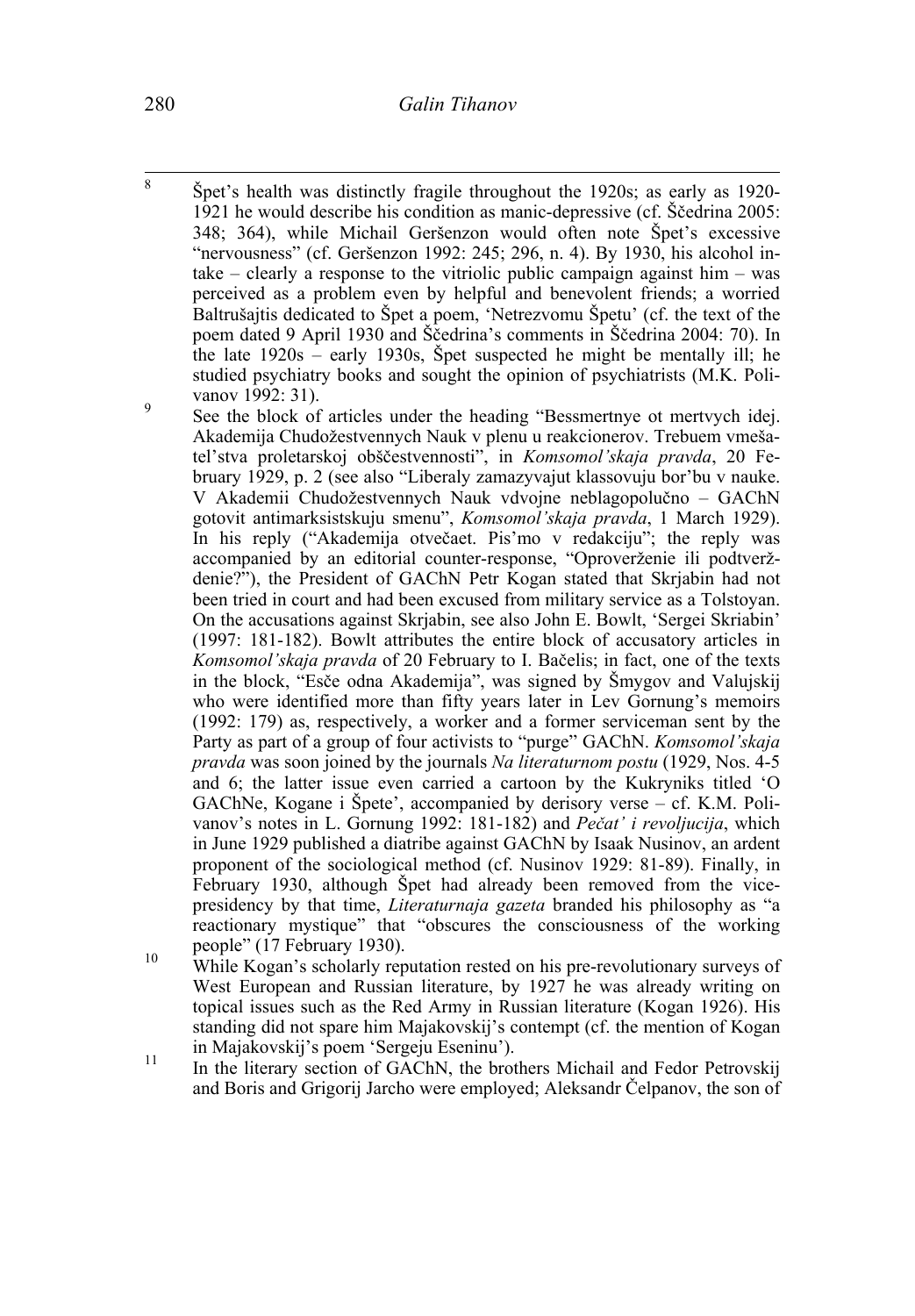Špet's health was distinctly fragile throughout the 1920s; as early as 1920- 1921 he would describe his condition as manic-depressive (cf. Ščedrina 2005: 348; 364), while Michail Geršenzon would often note Špet's excessive "nervousness" (cf. Geršenzon 1992: 245; 296, n. 4). By 1930, his alcohol intake – clearly a response to the vitriolic public campaign against him – was perceived as a problem even by helpful and benevolent friends; a worried Baltrušajtis dedicated to Špet a poem, 'Netrezvomu Špetu' (cf. the text of the poem dated 9 April 1930 and Ščedrina's comments in Ščedrina 2004: 70). In the late 1920s – early 1930s, Špet suspected he might be mentally ill; he studied psychiatry books and sought the opinion of psychiatrists (M.K. Polivanov 1992: 31).

 See the block of articles under the heading "Bessmertnye ot mertvych idej. Akademija Chudožestvennych Nauk v plenu u reakcionerov. Trebuem vmešatel'stva proletarskoj obščestvennosti", in *Komsomol'skaja pravda*, 20 February 1929, p. 2 (see also "Liberaly zamazyvajut klassovuju bor'bu v nauke. V Akademii Chudožestvennych Nauk vdvojne neblagopolučno – GAChN gotovit antimarksistskuju smenu", *Komsomol'skaja pravda*, 1 March 1929). In his reply ("Akademija otvečaet. Pis'mo v redakciju"; the reply was accompanied by an editorial counter-response, "Oproverženie ili podtverždenie?"), the President of GAChN Petr Kogan stated that Skrjabin had not been tried in court and had been excused from military service as a Tolstoyan. On the accusations against Skrjabin, see also John E. Bowlt, 'Sergei Skriabin' (1997: 181-182). Bowlt attributes the entire block of accusatory articles in *Komsomol'skaja pravda* of 20 February to I. Bačelis; in fact, one of the texts in the block, "Esče odna Akademija", was signed by Šmygov and Valujskij who were identified more than fifty years later in Lev Gornung's memoirs (1992: 179) as, respectively, a worker and a former serviceman sent by the Party as part of a group of four activists to "purge" GAChN. *Komsomol'skaja pravda* was soon joined by the journals *Na literaturnom postu* (1929, Nos. 4-5 and 6; the latter issue even carried a cartoon by the Kukryniks titled 'O GAChNe, Kogane i Špete', accompanied by derisory verse – cf. K.M. Polivanov's notes in L. Gornung 1992: 181-182) and *Pečat' i revoljucija*, which in June 1929 published a diatribe against GAChN by Isaak Nusinov, an ardent proponent of the sociological method (cf. Nusinov 1929: 81-89). Finally, in February 1930, although Špet had already been removed from the vicepresidency by that time, *Literaturnaja gazeta* branded his philosophy as "a reactionary mystique" that "obscures the consciousness of the working people" (17 February 1930).<br><sup>10</sup> While Kogan's scholarly reputation rested on his pre-revolutionary surveys of

- West European and Russian literature, by 1927 he was already writing on topical issues such as the Red Army in Russian literature (Kogan 1926). His standing did not spare him Majakovskij's contempt (cf. the mention of Kogan
- in Majakovskij's poem 'Sergeju Eseninu').<br><sup>11</sup> In the literary section of GAChN, the brothers Michail and Fedor Petrovskij and Boris and Grigorij Jarcho were employed; Aleksandr Čelpanov, the son of

8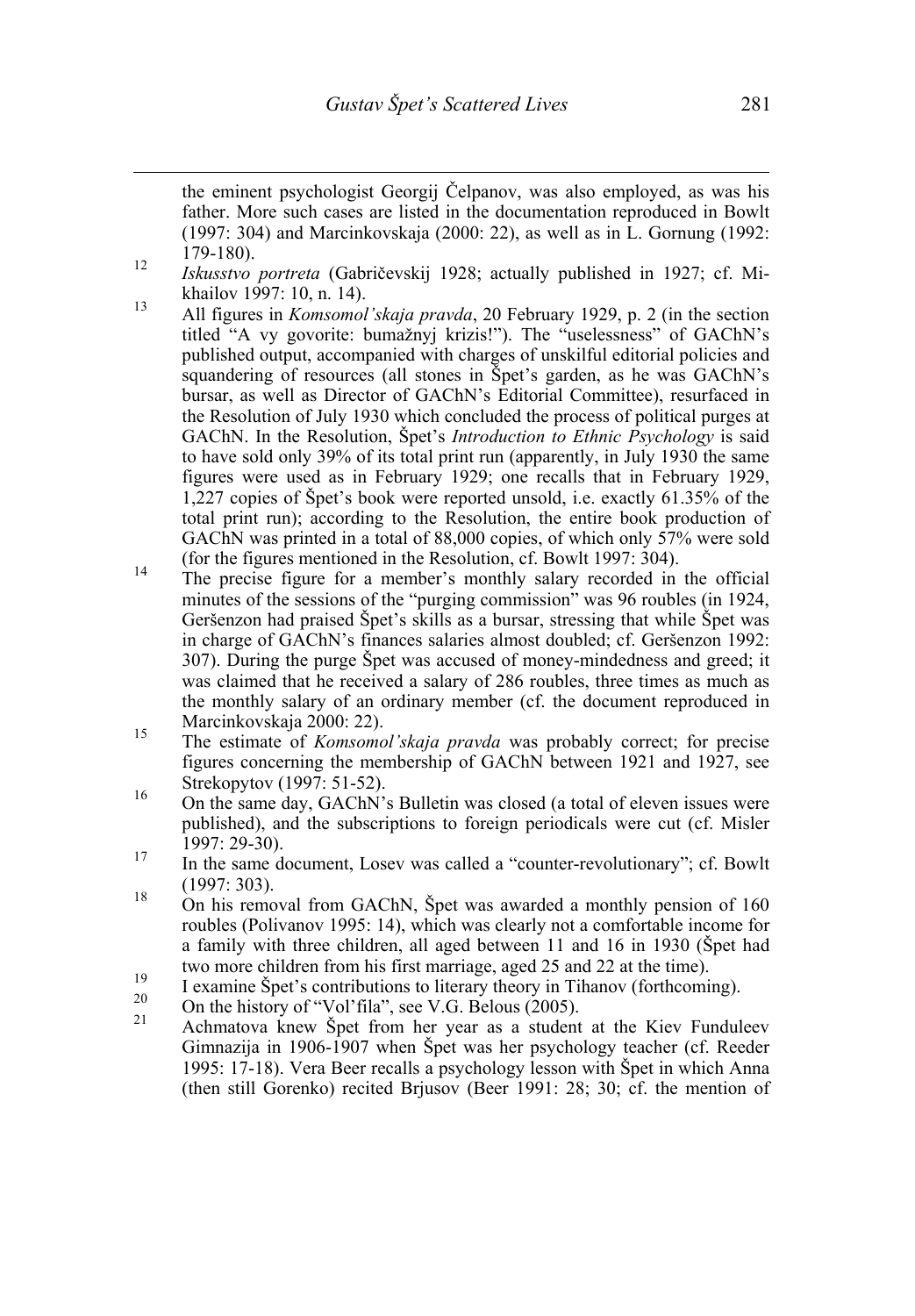the eminent psychologist Georgij Čelpanov, was also employed, as was his father. More such cases are listed in the documentation reproduced in Bowlt (1997: 304) and Marcinkovskaja (2000: 22), as well as in L. Gornung (1992:

- 179-180).<br>*Iskusstvo portreta* (Gabričevskij 1928; actually published in 1927; cf. Mikhailov 1997: 10, n. 14).
- <sup>13</sup> All figures in *Komsomol'skaja pravda*, 20 February 1929, p. 2 (in the section titled "A vy govorite: bumažnyj krizis!"). The "uselessness" of GAChN's published output, accompanied with charges of unskilful editorial policies and squandering of resources (all stones in Špet's garden, as he was GAChN's bursar, as well as Director of GAChN's Editorial Committee), resurfaced in the Resolution of July 1930 which concluded the process of political purges at GAChN. In the Resolution, Špet's *Introduction to Ethnic Psychology* is said to have sold only 39% of its total print run (apparently, in July 1930 the same figures were used as in February 1929; one recalls that in February 1929, 1,227 copies of Špet's book were reported unsold, i.e. exactly 61.35% of the total print run); according to the Resolution, the entire book production of GAChN was printed in a total of 88,000 copies, of which only 57% were sold
- (for the figures mentioned in the Resolution, cf. Bowlt 1997: 304). 14 The precise figure for a member's monthly salary recorded in the official minutes of the sessions of the "purging commission" was 96 roubles (in 1924, Geršenzon had praised Špet's skills as a bursar, stressing that while Špet was in charge of GAChN's finances salaries almost doubled; cf. Geršenzon 1992: 307). During the purge Špet was accused of money-mindedness and greed; it was claimed that he received a salary of 286 roubles, three times as much as the monthly salary of an ordinary member (cf. the document reproduced in
- Marcinkovskaja 2000: 22).<br><sup>15</sup> The estimate of *Komsomol'skaja pravda* was probably correct; for precise figures concerning the membership of GAChN between 1921 and 1927, see 16 Strekopytov (1997: 51-52).<br><sup>16</sup> On the same day, GAChN's Bulletin was closed (a total of eleven issues were
- published), and the subscriptions to foreign periodicals were cut (cf. Misler 1997: 29-30).<br>
In the same document, Losev was called a "counter-revolutionary"; cf. Bowlt
- (1997: 303).<br><sup>18</sup> On his removal from GAChN, Špet was awarded a monthly pension of 160
- roubles (Polivanov 1995: 14), which was clearly not a comfortable income for a family with three children, all aged between 11 and 16 in 1930 (Špet had
- 
- 
- two more children from his first marriage, aged 25 and 22 at the time).<br>
I examine Špet's contributions to literary theory in Tihanov (forthcoming).<br>
On the history of "Vol'fila", see V.G. Belous (2005).<br>
Achmatova knew Šp Gimnazija in 1906-1907 when Špet was her psychology teacher (cf. Reeder 1995: 17-18). Vera Beer recalls a psychology lesson with Špet in which Anna (then still Gorenko) recited Brjusov (Beer 1991: 28; 30; cf. the mention of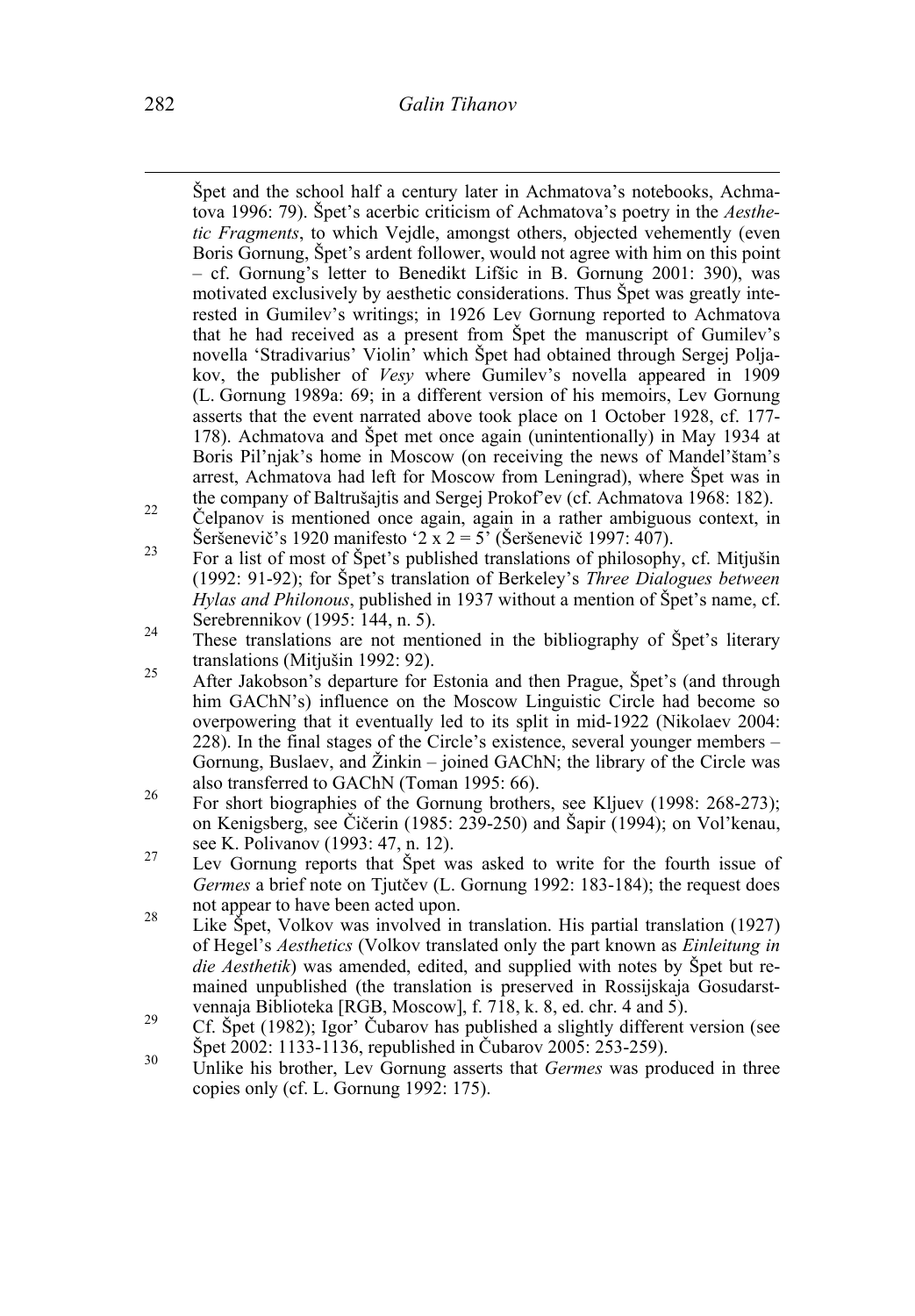Špet and the school half a century later in Achmatova's notebooks, Achmatova 1996: 79). Špet's acerbic criticism of Achmatova's poetry in the *Aesthetic Fragments*, to which Vejdle, amongst others, objected vehemently (even Boris Gornung, Špet's ardent follower, would not agree with him on this point – cf. Gornung's letter to Benedikt Lifšic in B. Gornung 2001: 390), was motivated exclusively by aesthetic considerations. Thus Špet was greatly interested in Gumilev's writings; in 1926 Lev Gornung reported to Achmatova that he had received as a present from Špet the manuscript of Gumilev's novella 'Stradivarius' Violin' which Špet had obtained through Sergej Poljakov, the publisher of *Vesy* where Gumilev's novella appeared in 1909 (L. Gornung 1989a: 69; in a different version of his memoirs, Lev Gornung asserts that the event narrated above took place on 1 October 1928, cf. 177- 178). Achmatova and Špet met once again (unintentionally) in May 1934 at Boris Pil'njak's home in Moscow (on receiving the news of Mandel'štam's arrest, Achmatova had left for Moscow from Leningrad), where Špet was in

- the company of Baltrušajtis and Sergej Prokof'ev (cf. Achmatova 1968: 182).<br>
Čelpanov is mentioned once again, again in a rather ambiguous context, in<br>
Šeršenevič's 1920 manifesto '2 x 2 = 5' (Šeršenevič 1997: 407).
- <sup>23</sup> For a list of most of Špet's published translations of philosophy, cf. Mitjušin (1992: 91-92); for Špet's translation of Berkeley's *Three Dialogues between Hylas and Philonous*, published in 1937 without a mention of Špet's name, cf. Serebrennikov (1995: 144, n. 5).<br><sup>24</sup> These translations are not mentioned in the bibliography of Špet's literary
- translations (Mitjušin 1992: 92).<br><sup>25</sup> After Jakobson's departure for Estonia and then Prague, Špet's (and through
- him GAChN's) influence on the Moscow Linguistic Circle had become so overpowering that it eventually led to its split in mid-1922 (Nikolaev 2004: 228). In the final stages of the Circle's existence, several younger members – Gornung, Buslaev, and Žinkin – joined GAChN; the library of the Circle was
- also transferred to GAChN (Toman 1995: 66).<br><sup>26</sup> For short biographies of the Gornung brothers, see Kljuev (1998: 268-273); on Kenigsberg, see Čičerin (1985: 239-250) and Šapir (1994); on Vol'kenau, see K. Polivanov (1993: 47. n. 12).
- $\frac{27}{27}$  Lev Gornung reports that Spet was asked to write for the fourth issue of *Germes* a brief note on Tjutčev (L. Gornung 1992: 183-184); the request does not appear to have been acted upon.
- not appear to have been acted upon. 28 Like Špet, Volkov was involved in translation. His partial translation (1927) of Hegel's *Aesthetics* (Volkov translated only the part known as *Einleitung in die Aesthetik*) was amended, edited, and supplied with notes by Špet but remained unpublished (the translation is preserved in Rossijskaja Gosudarst-
- vennaja Biblioteka [RGB, Moscow], f. 718, k. 8, ed. chr. 4 and 5).<br>
29 Cf. Špet (1982); Igor' Čubarov has published a slightly different version (see<br>
Špet 2002: 1133-1136, republished in Čubarov 2005: 253-259).
- Špet 2002: 1133-1136, republished in ýubarov 2005: 253-259). 30 Unlike his brother, Lev Gornung asserts that *Germes* was produced in three copies only (cf. L. Gornung 1992: 175).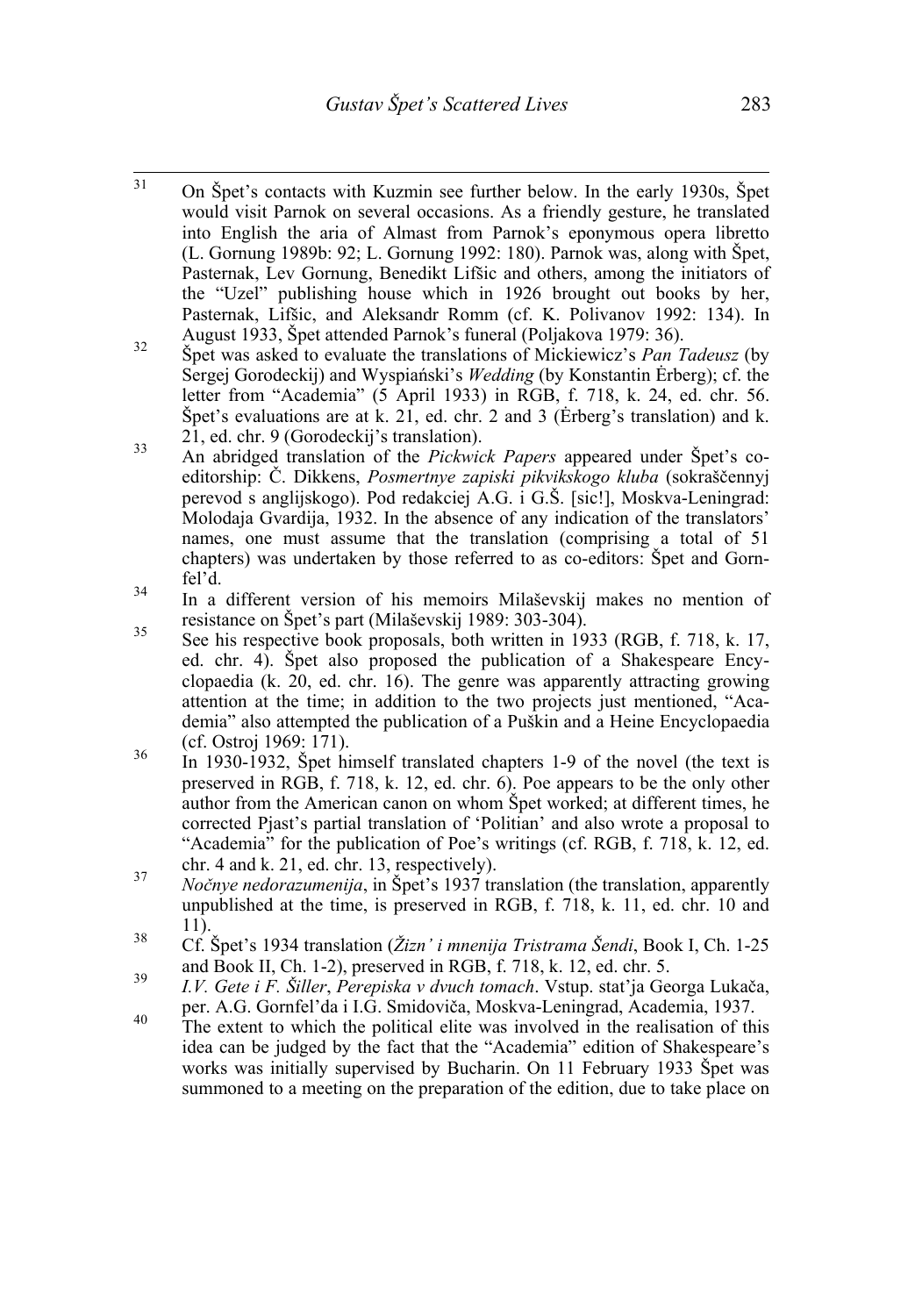- $\frac{31}{31}$  On Špet's contacts with Kuzmin see further below. In the early 1930s, Špet would visit Parnok on several occasions. As a friendly gesture, he translated into English the aria of Almast from Parnok's eponymous opera libretto (L. Gornung 1989b: 92; L. Gornung 1992: 180). Parnok was, along with Špet, Pasternak, Lev Gornung, Benedikt Lifšic and others, among the initiators of the "Uzel" publishing house which in 1926 brought out books by her, Pasternak, Lifšic, and Aleksandr Romm (cf. K. Polivanov 1992: 134). In August 1933, Špet attended Parnok's funeral (Poljakova 1979: 36).
- August 1933, Špet attended Parnok's funeral (Poljakova 1979: 36). 32 Špet was asked to evaluate the translations of Mickiewicz's *Pan Tadeusz* (by Sergej Gorodeckij) and Wyspiański's *Wedding* (by Konstantin Erberg); cf. the letter from "Academia" (5 April 1933) in RGB, f. 718, k. 24, ed. chr. 56. Špet's evaluations are at k.  $2\hat{1}$ , ed. chr. 2 and 3 (Erberg's translation) and k.  $21$ , ed. chr. 9 (Gorodeckij's translation).
- 21, ed. chr. 9 (Gorodeckij's translation). 33 An abridged translation of the *Pickwick Papers* appeared under Špet's coeditorship: Č. Dikkens, *Posmertnye zapiski pikvikskogo kluba* (sokraščennyj perevod s anglijskogo). Pod redakciej A.G. i G.Š. [sic!], Moskva-Leningrad: Molodaja Gvardija, 1932. In the absence of any indication of the translators' names, one must assume that the translation (comprising a total of 51 chapters) was undertaken by those referred to as co-editors: Špet and Gornfel'd.
- 34 In a different version of his memoirs Milaševskij makes no mention of
- resistance on Špet's part (Milaševskij 1989: 303-304).<br><sup>35</sup> See his respective book proposals, both written in 1933 (RGB, f. 718, k. 17, ed. chr. 4). Špet also proposed the publication of a Shakespeare Encyclopaedia (k. 20, ed. chr. 16). The genre was apparently attracting growing attention at the time; in addition to the two projects just mentioned, "Academia" also attempted the publication of a Puškin and a Heine Encyclopaedia
- (cf. Ostroj 1969: 171). 36 In 1930-1932, Špet himself translated chapters 1-9 of the novel (the text is preserved in RGB, f. 718, k. 12, ed. chr. 6). Poe appears to be the only other author from the American canon on whom Špet worked; at different times, he corrected Pjast's partial translation of 'Politian' and also wrote a proposal to "Academia" for the publication of Poe's writings (cf. RGB, f. 718, k. 12, ed. chr. 4 and k. 21, ed. chr. 13, respectively). 37 *Noþnye nedorazumenija*, in Špet's 1937 translation (the translation, apparently
- unpublished at the time, is preserved in RGB, f. 718, k. 11, ed. chr. 10 and 11). 38 Cf. Špet's 1934 translation (*Žizn' i mnenija Tristrama Šendi*, Book I, Ch. 1-25
- 
- and Book II, Ch. 1-2), preserved in RGB, f. 718, k. 12, ed. chr. 5.<br>*I.V. Gete i F. Šiller, Perepiska v dvuch tomach*. Vstup. stat'ja Georga Lukača, per. A.G. Gornfel'da i I.G. Smidoviča, Moskva-Leningrad, Academia, 1937.
- per. A.G. Gornfel'da i I.G. Smidoviþa, Moskva-Leningrad, Academia, 1937. 40 The extent to which the political elite was involved in the realisation of this idea can be judged by the fact that the "Academia" edition of Shakespeare's works was initially supervised by Bucharin. On 11 February 1933 Špet was summoned to a meeting on the preparation of the edition, due to take place on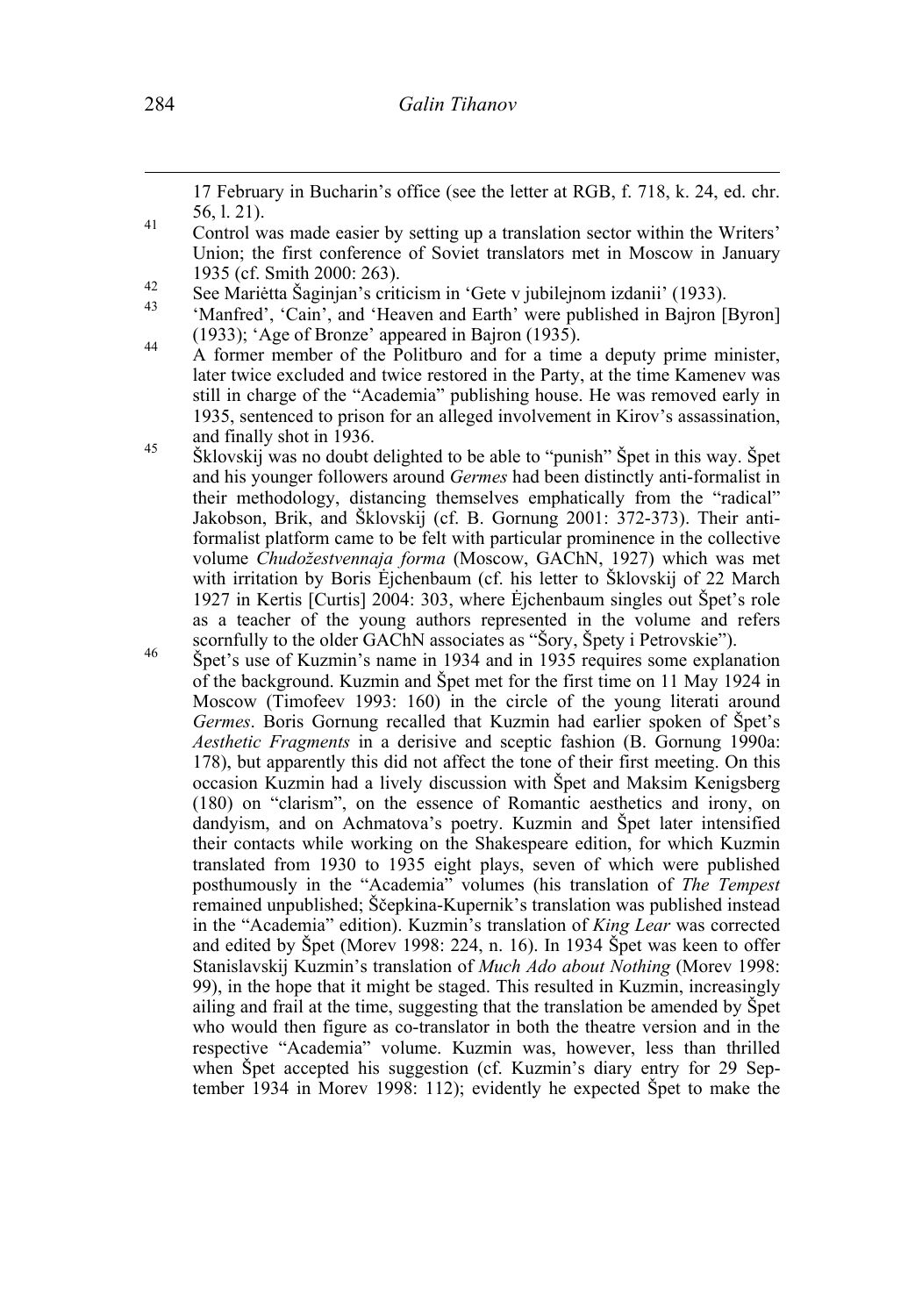17 February in Bucharin's office (see the letter at RGB, f. 718, k. 24, ed. chr.

- $\frac{56}{11}$  Control was made easier by setting up a translation sector within the Writers' Union; the first conference of Soviet translators met in Moscow in January
- 
- 1935 (cf. Smith 2000: 263).<br>
See Marietta Šaginjan's criticism in 'Gete v jubilejnom izdanii' (1933).<br>
'Manfred', 'Cain', and 'Heaven and Earth' were published in Bajron [Byron]
- (1933); 'Age of Bronze' appeared in Bajron (1935). 44 A former member of the Politburo and for a time a deputy prime minister, later twice excluded and twice restored in the Party, at the time Kamenev was still in charge of the "Academia" publishing house. He was removed early in 1935, sentenced to prison for an alleged involvement in Kirov's assassination,
- and finally shot in 1936.<br><sup>45</sup> Šklovskij was no doubt delighted to be able to "punish" Špet in this way. Špet and his younger followers around *Germes* had been distinctly anti-formalist in their methodology, distancing themselves emphatically from the "radical" Jakobson, Brik, and Šklovskij (cf. B. Gornung 2001: 372-373). Their antiformalist platform came to be felt with particular prominence in the collective volume *Chudožestvennaja forma* (Moscow, GAChN, 1927) which was met with irritation by Boris Ejchenbaum (cf. his letter to Šklovskij of 22 March 1927 in Kertis [Curtis] 2004: 303, where Ejchenbaum singles out Špet's role as a teacher of the young authors represented in the volume and refers scornfully to the older GAChN associates as "Sory, Spety i Petrovskie").
- scornfully to the older GAChN associates as "Šory, Špety i Petrovskie"). 46 Špet's use of Kuzmin's name in 1934 and in 1935 requires some explanation of the background. Kuzmin and Špet met for the first time on 11 May 1924 in Moscow (Timofeev 1993: 160) in the circle of the young literati around *Germes*. Boris Gornung recalled that Kuzmin had earlier spoken of Špet's *Aesthetic Fragments* in a derisive and sceptic fashion (B. Gornung 1990a: 178), but apparently this did not affect the tone of their first meeting. On this occasion Kuzmin had a lively discussion with Špet and Maksim Kenigsberg (180) on "clarism", on the essence of Romantic aesthetics and irony, on dandyism, and on Achmatova's poetry. Kuzmin and Špet later intensified their contacts while working on the Shakespeare edition, for which Kuzmin translated from 1930 to 1935 eight plays, seven of which were published posthumously in the "Academia" volumes (his translation of *The Tempest* remained unpublished; Ščepkina-Kupernik's translation was published instead in the "Academia" edition). Kuzmin's translation of *King Lear* was corrected and edited by Špet (Morev 1998: 224, n. 16). In 1934 Špet was keen to offer Stanislavskij Kuzmin's translation of *Much Ado about Nothing* (Morev 1998: 99), in the hope that it might be staged. This resulted in Kuzmin, increasingly ailing and frail at the time, suggesting that the translation be amended by Špet who would then figure as co-translator in both the theatre version and in the respective "Academia" volume. Kuzmin was, however, less than thrilled when Spet accepted his suggestion (cf. Kuzmin's diary entry for 29 September 1934 in Morev 1998: 112); evidently he expected Špet to make the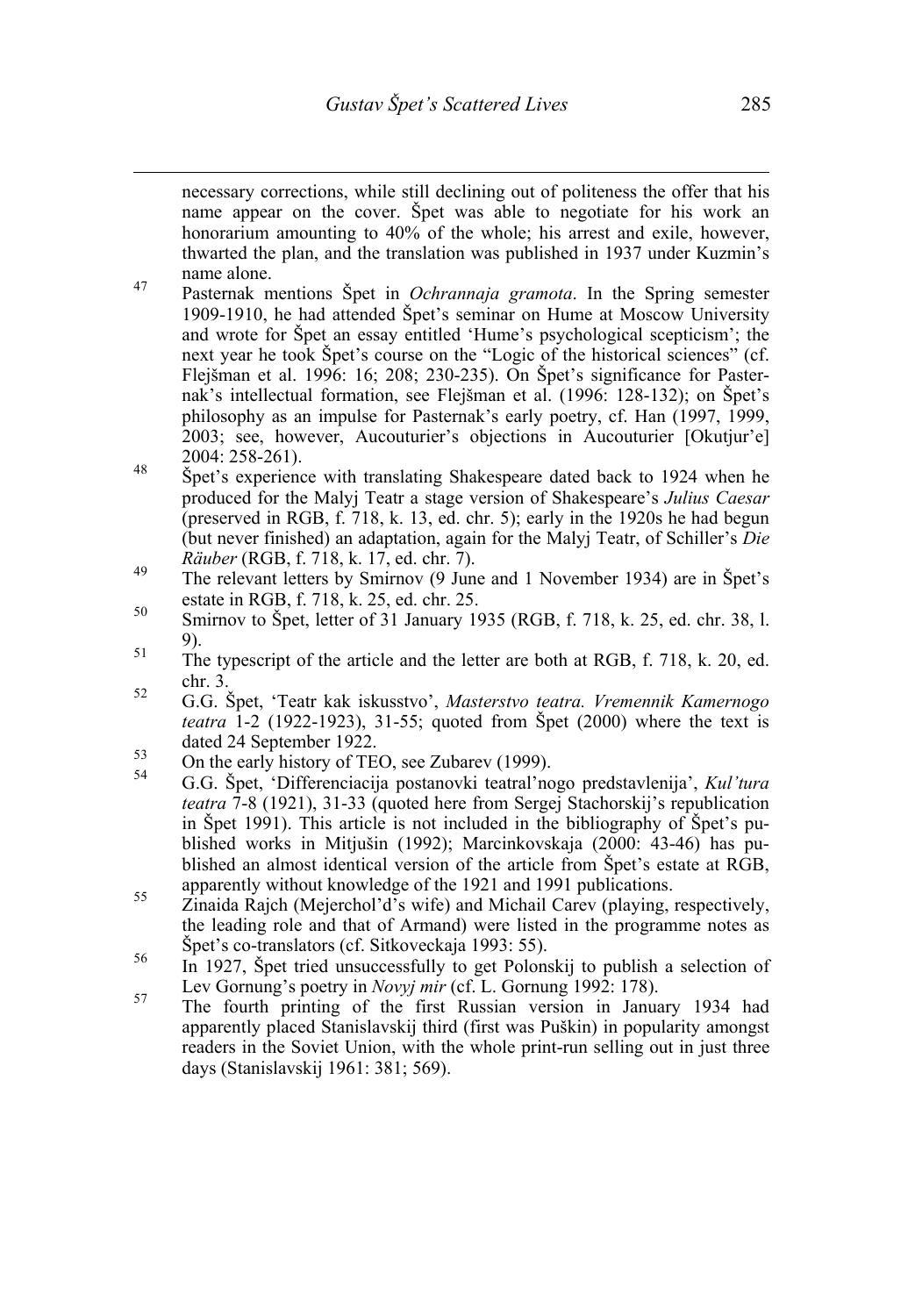necessary corrections, while still declining out of politeness the offer that his name appear on the cover. Špet was able to negotiate for his work an honorarium amounting to 40% of the whole; his arrest and exile, however, thwarted the plan, and the translation was published in 1937 under Kuzmin's name alone.

- 47 Pasternak mentions Špet in *Ochrannaja gramota*. In the Spring semester 1909-1910, he had attended Špet's seminar on Hume at Moscow University and wrote for Špet an essay entitled 'Hume's psychological scepticism'; the next year he took Špet's course on the "Logic of the historical sciences" (cf. Flejšman et al. 1996: 16; 208; 230-235). On Špet's significance for Pasternak's intellectual formation, see Flejšman et al. (1996: 128-132); on Špet's philosophy as an impulse for Pasternak's early poetry, cf. Han (1997, 1999, 2003; see, however, Aucouturier's objections in Aucouturier [Okutjur'e]
- 2004: 258-261).<br><sup>48</sup> Špet's experience with translating Shakespeare dated back to 1924 when he produced for the Malyj Teatr a stage version of Shakespeare's *Julius Caesar* (preserved in RGB, f. 718, k. 13, ed. chr. 5); early in the 1920s he had begun (but never finished) an adaptation, again for the Malyj Teatr, of Schiller's *Die*
- *Räuber* (RGB, f. 718, k. 17, ed. chr. 7).<br><sup>49</sup> The relevant letters by Smirnov (9 June and 1 November 1934) are in Špet's estate in RGB, f. 718, k. 25, ed. chr. 25.<br><sup>50</sup> Smirnov to Špet, letter of 31 January 1935 (RGB, f. 718, k. 25, ed. chr. 38, l.
- 
- $9$ .<br>The typescript of the article and the letter are both at RGB, f. 718, k. 20, ed. chr. 3.
- 52 G.G. Špet, 'Teatr kak iskusstvo', *Masterstvo teatra. Vremennik Kamernogo teatra* 1-2 (1922-1923), 31-55; quoted from Špet (2000) where the text is
- 
- dated 24 September 1922.<br>
54 On the early history of TEO, see Zubarev (1999).<br>
54 G.G. Špet, 'Differenciacija postanovki teatral'nogo predstavlenija', *Kul'tura teatra* 7-8 (1921), 31-33 (quoted here from Sergej Stachorskij's republication in Špet 1991). This article is not included in the bibliography of Špet's published works in Mitjušin (1992); Marcinkovskaja (2000: 43-46) has published an almost identical version of the article from Špet's estate at RGB,
- apparently without knowledge of the 1921 and 1991 publications. 55 Zinaida Rajch (Mejerchol'd's wife) and Michail Carev (playing, respectively, the leading role and that of Armand) were listed in the programme notes as  $\frac{\text{Spet's co-translators (cf. Sitkoveckaja 1993: 55)}}{\text{In 1927. Spet tried unsuccessfully to get Polonskij to publish a selection of}}$
- 
- Lev Gornung's poetry in *Novyj mir* (cf. L. Gornung 1992: 178). 57 The fourth printing of the first Russian version in January 1934 had apparently placed Stanislavskij third (first was Puškin) in popularity amongst readers in the Soviet Union, with the whole print-run selling out in just three days (Stanislavskij 1961: 381; 569).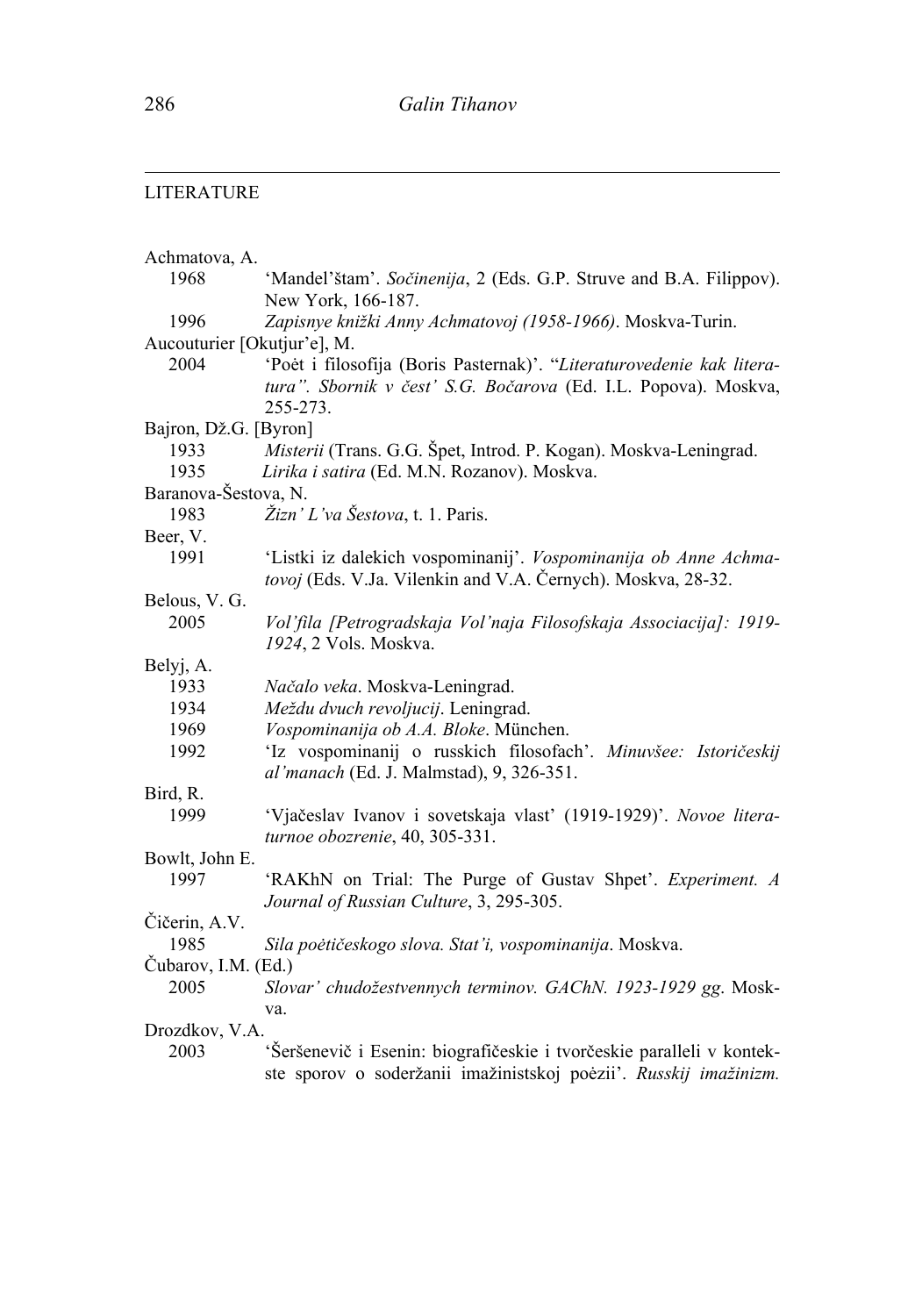## LITERATURE

| Achmatova, A.               |                                                                       |
|-----------------------------|-----------------------------------------------------------------------|
| 1968                        | 'Mandel'štam'. Sočinenija, 2 (Eds. G.P. Struve and B.A. Filippov).    |
|                             | New York, 166-187.                                                    |
| 1996                        | Zapisnye knižki Anny Achmatovoj (1958-1966). Moskva-Turin.            |
| Aucouturier [Okutjur'e], M. |                                                                       |
| 2004                        | 'Poėt i filosofija (Boris Pasternak)'. "Literaturovedenie kak litera- |
|                             | tura". Sbornik v čest' S.G. Bočarova (Ed. I.L. Popova). Moskva,       |
|                             | 255-273.                                                              |
| Bajron, Dž.G. [Byron]       |                                                                       |
| 1933                        | Misterii (Trans. G.G. Špet, Introd. P. Kogan). Moskva-Leningrad.      |
| 1935                        | Lirika i satira (Ed. M.N. Rozanov). Moskva.                           |
| Baranova-Šestova, N.        |                                                                       |
| 1983                        | Žizn' L'va Šestova, t. 1. Paris.                                      |
| Beer, V.                    |                                                                       |
| 1991                        | 'Listki iz dalekich vospominanij'. Vospominanija ob Anne Achma-       |
|                             | tovoj (Eds. V.Ja. Vilenkin and V.A. Černych). Moskva, 28-32.          |
| Belous, V. G.               |                                                                       |
| 2005                        | Vol'fila [Petrogradskaja Vol'naja Filosofskaja Associacija]: 1919-    |
|                             | 1924, 2 Vols. Moskva.                                                 |
| Belyj, A.                   |                                                                       |
| 1933                        | Načalo veka. Moskva-Leningrad.                                        |
| 1934                        | Meždu dvuch revoljucij. Leningrad.                                    |
| 1969                        | Vospominanija ob A.A. Bloke. München.                                 |
| 1992                        | 'Iz vospominanij o russkich filosofach'. Minuvšee: Istoričeskij       |
|                             | al'manach (Ed. J. Malmstad), 9, 326-351.                              |
| Bird, R.                    |                                                                       |
| 1999                        | 'Vjačeslav Ivanov i sovetskaja vlast' (1919-1929)'. Novoe litera-     |
|                             | turnoe obozrenie, 40, 305-331.                                        |
| Bowlt, John E.              |                                                                       |
| 1997                        | 'RAKhN on Trial: The Purge of Gustav Shpet'. Experiment. A            |
|                             | Journal of Russian Culture, 3, 295-305.                               |
| Čičerin, A.V.               |                                                                       |
| 1985                        | Sila poėtičeskogo slova. Stat'i, vospominanija. Moskva.               |
| Čubarov, I.M. (Ed.)         |                                                                       |
| 2005                        | Slovar' chudožestvennych terminov. GAChN. 1923-1929 gg. Mosk-         |
|                             | va.                                                                   |
| Drozdkov, V.A.              |                                                                       |
| 2003                        | 'Šeršenevič i Esenin: biografičeskie i tvorčeskie paralleli v kontek- |
|                             | ste sporov o soderžanii imažinistskoj poėzii'. Russkij imažinizm.     |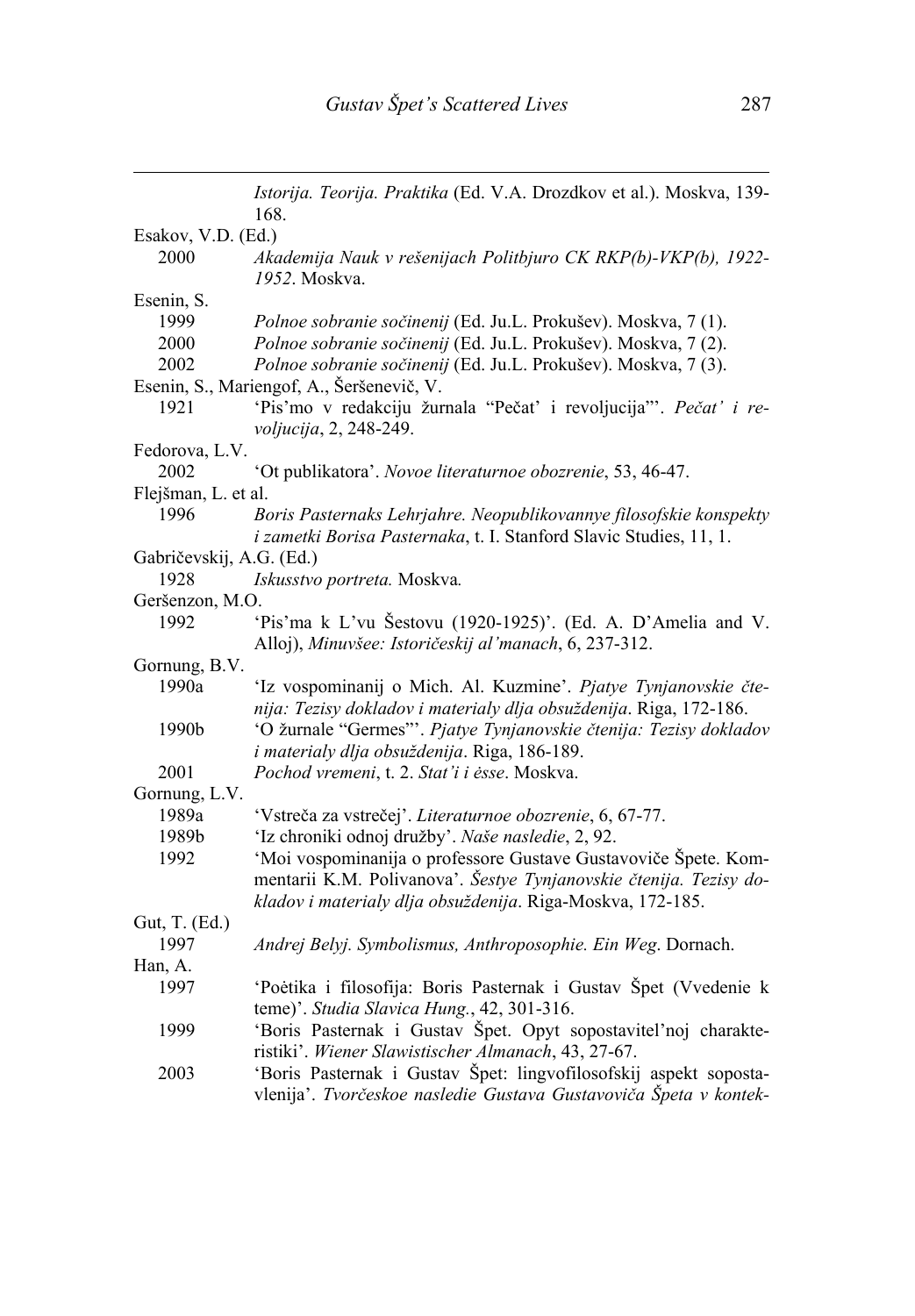|                          | Istorija. Teorija. Praktika (Ed. V.A. Drozdkov et al.). Moskva, 139-<br>168.    |
|--------------------------|---------------------------------------------------------------------------------|
| Esakov, V.D. (Ed.)       |                                                                                 |
| 2000                     | Akademija Nauk v rešenijach Politbjuro CK RKP(b)-VKP(b), 1922-<br>1952. Moskva. |
| Esenin, S.               |                                                                                 |
| 1999                     | Polnoe sobranie sočinenij (Ed. Ju.L. Prokušev). Moskva, 7 (1).                  |
| 2000                     | Polnoe sobranie sočinenij (Ed. Ju.L. Prokušev). Moskva, 7 (2).                  |
| 2002                     | Polnoe sobranie sočinenij (Ed. Ju.L. Prokušev). Moskva, 7 (3).                  |
|                          | Esenin, S., Mariengof, A., Šeršenevič, V.                                       |
| 1921                     | 'Pis'mo v redakciju žurnala "Pečat' i revoljucija"'. Pečat' i re-               |
|                          | voljucija, 2, 248-249.                                                          |
| Fedorova, L.V.           |                                                                                 |
| 2002                     | 'Ot publikatora'. Novoe literaturnoe obozrenie, 53, 46-47.                      |
| Flejšman, L. et al.      |                                                                                 |
| 1996                     | Boris Pasternaks Lehrjahre. Neopublikovannye filosofskie konspekty              |
|                          | i zametki Borisa Pasternaka, t. I. Stanford Slavic Studies, 11, 1.              |
| Gabričevskij, A.G. (Ed.) |                                                                                 |
| 1928                     | Iskusstvo portreta. Moskva.                                                     |
| Geršenzon, M.O.          |                                                                                 |
| 1992                     | 'Pis'ma k L'vu Šestovu (1920-1925)'. (Ed. A. D'Amelia and V.                    |
|                          | Alloj), Minuvšee: Istoričeskij al'manach, 6, 237-312.                           |
| Gornung, B.V.            |                                                                                 |
| 1990a                    | 'Iz vospominanij o Mich. Al. Kuzmine'. Pjatye Tynjanovskie čte-                 |
|                          | nija: Tezisy dokladov i materialy dlja obsuždenija. Riga, 172-186.              |
| 1990b                    | 'O žurnale "Germes"'. Pjatye Tynjanovskie čtenija: Tezisy dokladov              |
|                          | i materialy dlja obsuždenija. Riga, 186-189.                                    |
| 2001                     | Pochod vremeni, t. 2. Stat'i i ėsse. Moskva.                                    |
| Gornung, L.V.            |                                                                                 |
| 1989a                    | 'Vstreča za vstrečej'. Literaturnoe obozrenie, 6, 67-77.                        |
| 1989b                    | 'Iz chroniki odnoj družby'. Naše nasledie, 2, 92.                               |
| 1992                     | 'Moi vospominanija o professore Gustave Gustavoviče Špete. Kom-                 |
|                          | mentarii K.M. Polivanova'. Šestye Tynjanovskie čtenija. Tezisy do-              |
|                          | kladov i materialy dlja obsuždenija. Riga-Moskva, 172-185.                      |
| Gut, T. (Ed.)            |                                                                                 |
| 1997                     | Andrej Belyj. Symbolismus, Anthroposophie. Ein Weg. Dornach.                    |
| Han, A.                  |                                                                                 |
| 1997                     | 'Poėtika i filosofija: Boris Pasternak i Gustav Špet (Vvedenie k                |
|                          | teme)'. Studia Slavica Hung., 42, 301-316.                                      |
| 1999                     | 'Boris Pasternak i Gustav Špet. Opyt sopostavitel'noj charakte-                 |
|                          | ristiki'. Wiener Slawistischer Almanach, 43, 27-67.                             |
| 2003                     | 'Boris Pasternak i Gustav Špet: lingvofilosofskij aspekt soposta-               |
|                          | vlenija'. Tvorčeskoe nasledie Gustava Gustavoviča Špeta v kontek-               |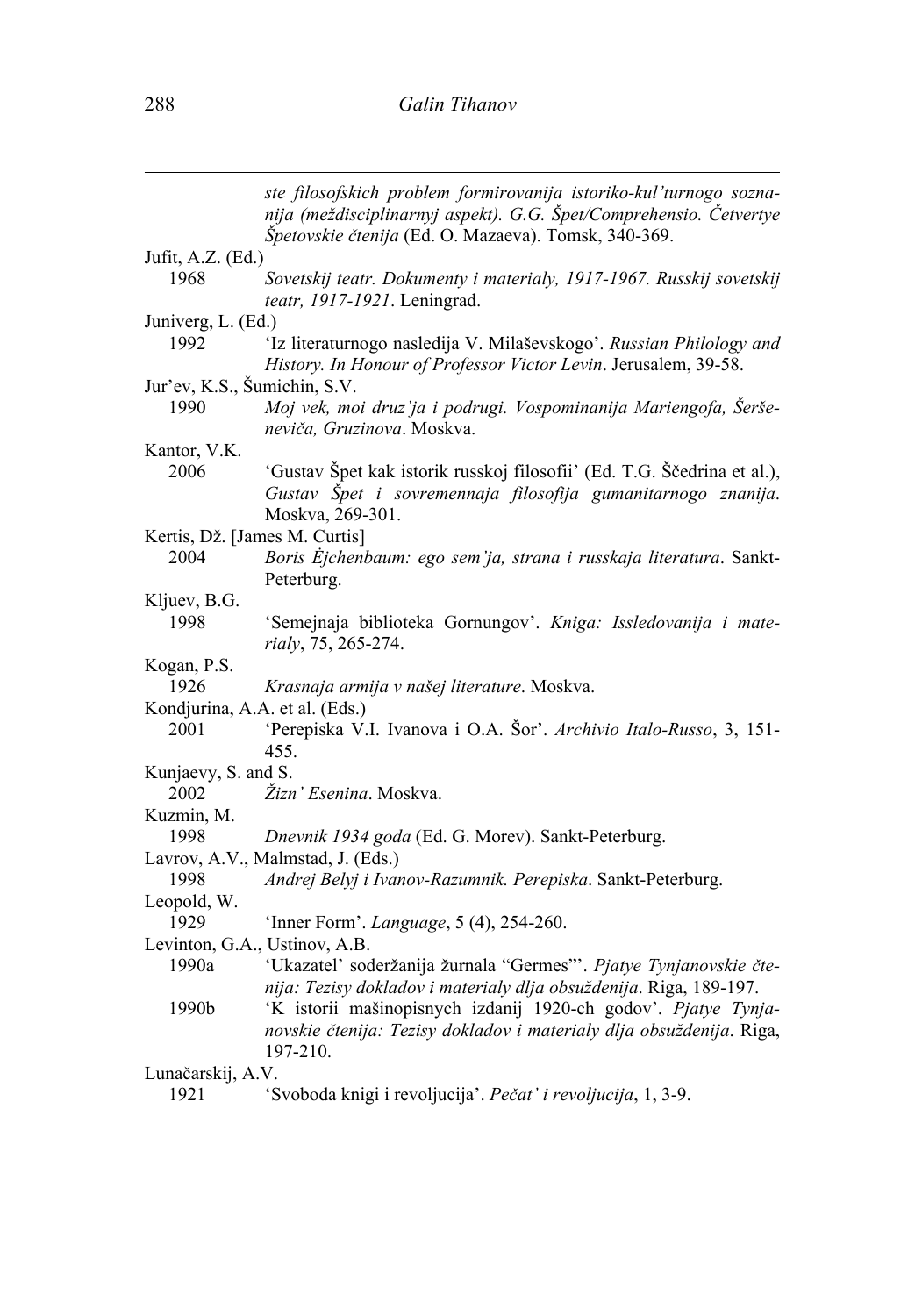|                                | ste filosofskich problem formirovanija istoriko-kul'turnogo sozna-<br>nija (meždisciplinarnyj aspekt). G.G. Špet/Comprehensio. Četvertye<br>Špetovskie čtenija (Ed. O. Mazaeva). Tomsk, 340-369. |
|--------------------------------|--------------------------------------------------------------------------------------------------------------------------------------------------------------------------------------------------|
| Jufit, A.Z. (Ed.)              |                                                                                                                                                                                                  |
| 1968                           | Sovetskij teatr. Dokumenty i materialy, 1917-1967. Russkij sovetskij<br>teatr, 1917-1921. Leningrad.                                                                                             |
| Juniverg, L. (Ed.)             |                                                                                                                                                                                                  |
| 1992                           | 'Iz literaturnogo nasledija V. Milaševskogo'. Russian Philology and<br>History. In Honour of Professor Victor Levin. Jerusalem, 39-58.                                                           |
| Jur'ev, K.S., Šumichin, S.V.   |                                                                                                                                                                                                  |
| 1990                           | Moj vek, moi druz'ja i podrugi. Vospominanija Mariengofa, Šerše-<br>neviča, Gruzinova. Moskva.                                                                                                   |
| Kantor, V.K.                   |                                                                                                                                                                                                  |
| 2006                           | 'Gustav Špet kak istorik russkoj filosofii' (Ed. T.G. Ščedrina et al.),<br>Gustav Špet i sovremennaja filosofija gumanitarnogo znanija.<br>Moskva, 269-301.                                      |
| Kertis, Dž. [James M. Curtis]  |                                                                                                                                                                                                  |
| 2004                           | Boris Ėjchenbaum: ego sem'ja, strana i russkaja literatura. Sankt-<br>Peterburg.                                                                                                                 |
| Kljuev, B.G.                   |                                                                                                                                                                                                  |
| 1998                           | 'Semejnaja biblioteka Gornungov'. Kniga: Issledovanija i mate-<br>rialy, 75, 265-274.                                                                                                            |
| Kogan, P.S.<br>1926            | Krasnaja armija v našej literature. Moskva.                                                                                                                                                      |
| Kondjurina, A.A. et al. (Eds.) |                                                                                                                                                                                                  |
| 2001                           | 'Perepiska V.I. Ivanova i O.A. Šor'. Archivio Italo-Russo, 3, 151-<br>455.                                                                                                                       |
| Kunjaevy, S. and S.            |                                                                                                                                                                                                  |
| 2002                           | Žizn' Esenina. Moskva.                                                                                                                                                                           |
| Kuzmin, M.                     |                                                                                                                                                                                                  |
| 1998                           | Dnevnik 1934 goda (Ed. G. Morev). Sankt-Peterburg.                                                                                                                                               |
|                                | Lavrov, A.V., Malmstad, J. (Eds.)                                                                                                                                                                |
| 1998                           | Andrej Belyj i Ivanov-Razumnik. Perepiska. Sankt-Peterburg.                                                                                                                                      |
| Leopold, W.                    |                                                                                                                                                                                                  |
| 1929                           | 'Inner Form'. Language, 5 (4), 254-260.                                                                                                                                                          |
| Levinton, G.A., Ustinov, A.B.  |                                                                                                                                                                                                  |
| 1990a                          | 'Ukazatel' soderžanija žurnala "Germes"'. Pjatye Tynjanovskie čte-<br>nija: Tezisy dokladov i materialy dlja obsuždenija. Riga, 189-197.                                                         |
| 1990b                          | 'K istorii mašinopisnych izdanij 1920-ch godov'. Pjatye Tynja-<br>novskie čtenija: Tezisy dokladov i materialy dlja obsuždenija. Riga,<br>197-210.                                               |
| Lunačarskij, A.V.              |                                                                                                                                                                                                  |
| 1921                           | 'Svoboda knigi i revoljucija'. Pečat' i revoljucija, 1, 3-9.                                                                                                                                     |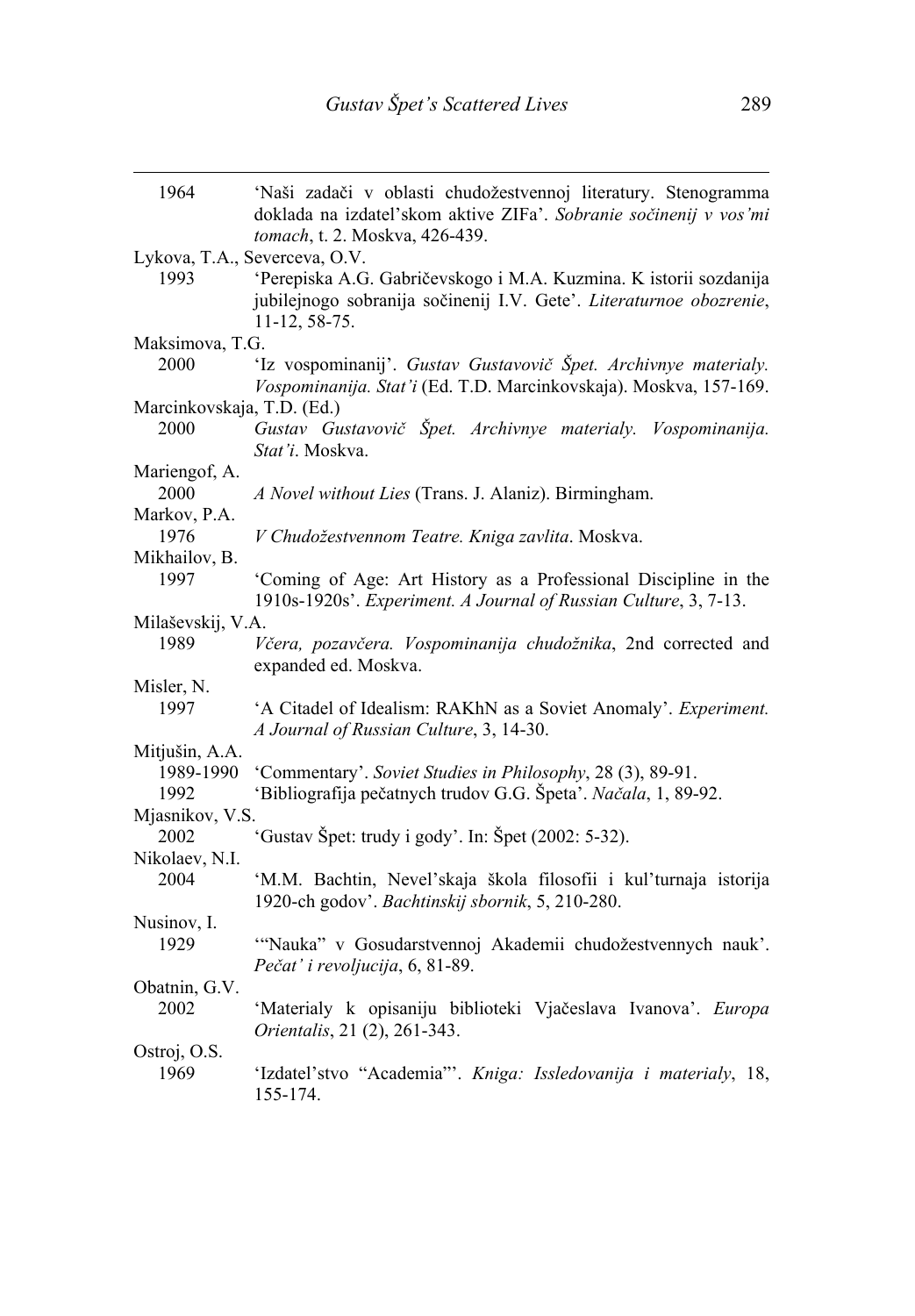| 1964                       | 'Naši zadači v oblasti chudožestvennoj literatury. Stenogramma<br>doklada na izdateľ skom aktive ZIFa'. Sobranie sočinenij v vos'mi<br>tomach, t. 2. Moskva, 426-439. |
|----------------------------|-----------------------------------------------------------------------------------------------------------------------------------------------------------------------|
|                            |                                                                                                                                                                       |
|                            | Lykova, T.A., Severceva, O.V.                                                                                                                                         |
| 1993                       | 'Perepiska A.G. Gabričevskogo i M.A. Kuzmina. K istorii sozdanija<br>jubilejnogo sobranija sočinenij I.V. Gete'. Literaturnoe obozrenie,<br>11-12, 58-75.             |
| Maksimova, T.G.            |                                                                                                                                                                       |
| 2000                       | 'Iz vospominanij'. Gustav Gustavovič Špet. Archivnye materialy.                                                                                                       |
|                            | Vospominanija. Stat'i (Ed. T.D. Marcinkovskaja). Moskva, 157-169.                                                                                                     |
| Marcinkovskaja, T.D. (Ed.) |                                                                                                                                                                       |
| 2000                       | Gustav Gustavovič Špet. Archivnye materialy. Vospominanija.                                                                                                           |
|                            | Stat'i. Moskva.                                                                                                                                                       |
| Mariengof, A.              |                                                                                                                                                                       |
| 2000                       | A Novel without Lies (Trans. J. Alaniz). Birmingham.                                                                                                                  |
| Markov, P.A.               |                                                                                                                                                                       |
| 1976                       | V Chudožestvennom Teatre. Kniga zavlita. Moskva.                                                                                                                      |
| Mikhailov, B.              |                                                                                                                                                                       |
| 1997                       | 'Coming of Age: Art History as a Professional Discipline in the                                                                                                       |
|                            | 1910s-1920s'. Experiment. A Journal of Russian Culture, 3, 7-13.                                                                                                      |
| Milaševskij, V.A.          |                                                                                                                                                                       |
| 1989                       | Včera, pozavčera. Vospominanija chudožnika, 2nd corrected and<br>expanded ed. Moskva.                                                                                 |
| Misler, N.                 |                                                                                                                                                                       |
| 1997                       | 'A Citadel of Idealism: RAKhN as a Soviet Anomaly'. Experiment.<br>A Journal of Russian Culture, 3, 14-30.                                                            |
| Mitjušin, A.A.             |                                                                                                                                                                       |
| 1989-1990                  | 'Commentary'. Soviet Studies in Philosophy, 28 (3), 89-91.                                                                                                            |
| 1992                       | 'Bibliografija pečatnych trudov G.G. Špeta'. Načala, 1, 89-92.                                                                                                        |
| Mjasnikov, V.S.            |                                                                                                                                                                       |
| 2002                       | 'Gustav Špet: trudy i gody'. In: Špet (2002: 5-32).                                                                                                                   |
| Nikolaev, N.I.             |                                                                                                                                                                       |
| 2004                       | 'M.M. Bachtin, Nevel'skaja škola filosofii i kul'turnaja istorija<br>1920-ch godov'. Bachtinskij sbornik, 5, 210-280.                                                 |
| Nusinov, I.                |                                                                                                                                                                       |
| 1929                       | "Nauka" v Gosudarstvennoj Akademii chudožestvennych nauk'.                                                                                                            |
|                            | Pečat' i revoljucija, 6, 81-89.                                                                                                                                       |
| Obatnin, G.V.              |                                                                                                                                                                       |
| 2002                       | 'Materialy k opisaniju biblioteki Vjačeslava Ivanova'. Europa<br>Orientalis, 21 (2), 261-343.                                                                         |
| Ostroj, O.S.               |                                                                                                                                                                       |
| 1969                       | 'Izdatel'stvo "Academia"'. Kniga: Issledovanija i materialy, 18,<br>155-174.                                                                                          |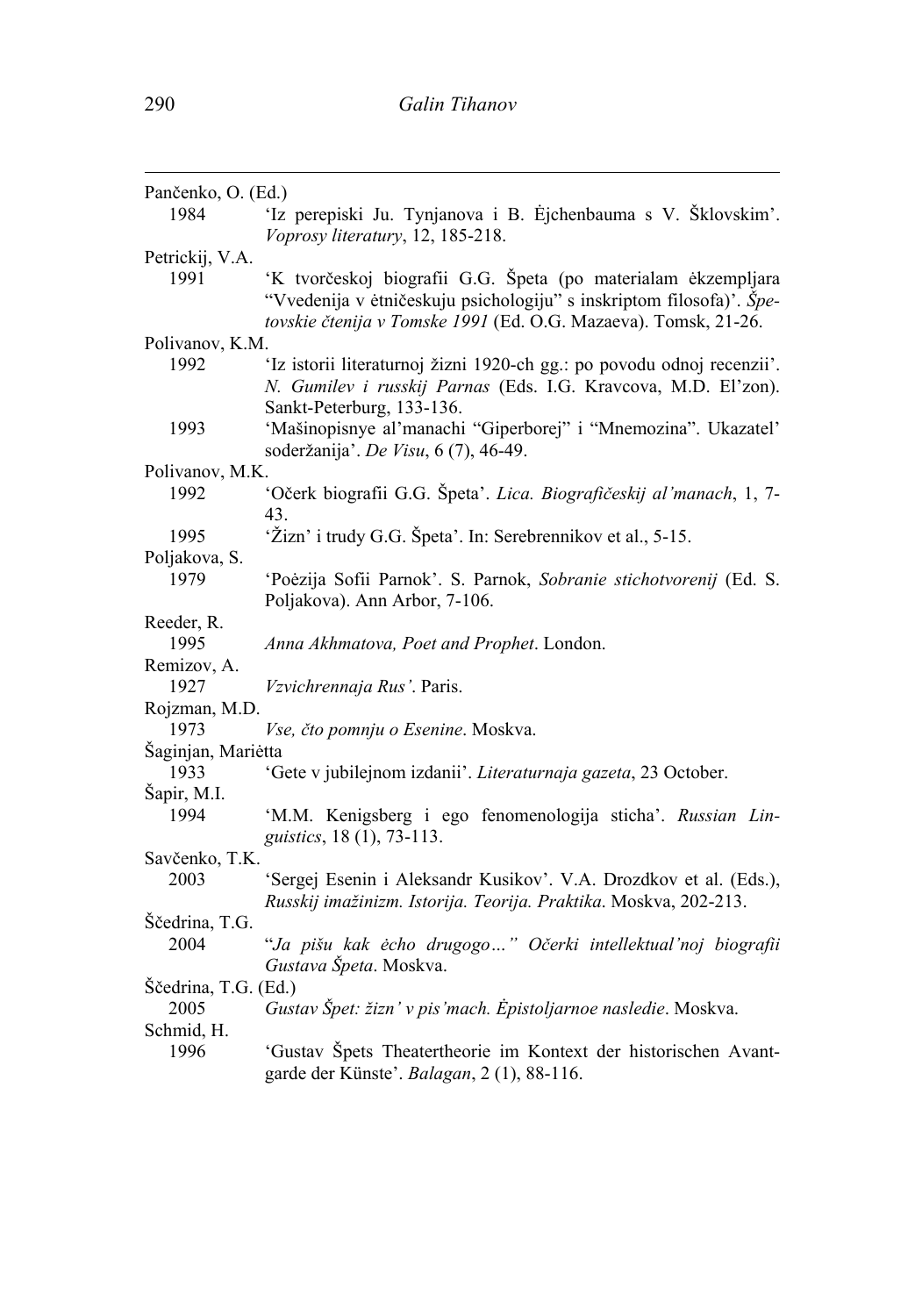| Pančenko, O. (Ed.)   |                                                                                                                                                                                                          |
|----------------------|----------------------------------------------------------------------------------------------------------------------------------------------------------------------------------------------------------|
| 1984                 | 'Iz perepiski Ju. Tynjanova i B. Ejchenbauma s V. Šklovskim'.<br>Voprosy literatury, 12, 185-218.                                                                                                        |
| Petrickij, V.A.      |                                                                                                                                                                                                          |
| 1991                 | 'K tvorčeskoj biografii G.G. Špeta (po materialam ėkzempljara<br>"Vvedenija v etničeskuju psichologiju" s inskriptom filosofa)'. Špe-<br>tovskie čtenija v Tomske 1991 (Ed. O.G. Mazaeva). Tomsk, 21-26. |
| Polivanov, K.M.      |                                                                                                                                                                                                          |
| 1992                 | 'Iz istorii literaturnoj žizni 1920-ch gg.: po povodu odnoj recenzii'.<br>N. Gumilev i russkij Parnas (Eds. I.G. Kravcova, M.D. El'zon).<br>Sankt-Peterburg, 133-136.                                    |
| 1993                 | 'Mašinopisnye al'manachi "Giperborej" i "Mnemozina". Ukazatel'<br>soderžanija'. De Visu, 6 (7), 46-49.                                                                                                   |
| Polivanov, M.K.      |                                                                                                                                                                                                          |
| 1992                 | 'Očerk biografii G.G. Špeta'. Lica. Biografičeskij al'manach, 1, 7-<br>43.                                                                                                                               |
| 1995                 | 'Žizn' i trudy G.G. Špeta'. In: Serebrennikov et al., 5-15.                                                                                                                                              |
| Poljakova, S.        |                                                                                                                                                                                                          |
| 1979                 | 'Poėzija Sofii Parnok'. S. Parnok, Sobranie stichotvorenij (Ed. S.<br>Poljakova). Ann Arbor, 7-106.                                                                                                      |
| Reeder, R.           |                                                                                                                                                                                                          |
| 1995                 | Anna Akhmatova, Poet and Prophet. London.                                                                                                                                                                |
| Remizov, A.          |                                                                                                                                                                                                          |
| 1927                 | Vzvichrennaja Rus'. Paris.                                                                                                                                                                               |
| Rojzman, M.D.        |                                                                                                                                                                                                          |
| 1973                 | Vse, čto pomnju o Esenine. Moskva.                                                                                                                                                                       |
| Šaginjan, Mariėtta   |                                                                                                                                                                                                          |
| 1933                 | 'Gete v jubilejnom izdanii'. Literaturnaja gazeta, 23 October.                                                                                                                                           |
| Šapir, M.I.          |                                                                                                                                                                                                          |
| 1994                 | 'M.M. Kenigsberg i ego fenomenologija sticha'. Russian Lin-<br>guistics, 18 (1), 73-113.                                                                                                                 |
| Savčenko, T.K.       |                                                                                                                                                                                                          |
| 2003                 | 'Sergej Esenin i Aleksandr Kusikov'. V.A. Drozdkov et al. (Eds.),<br>Russkij imažinizm. Istorija. Teorija. Praktika. Moskva, 202-213.                                                                    |
| Ščedrina, T.G.       |                                                                                                                                                                                                          |
| 2004                 | "Ja pišu kak ėcho drugogo" Očerki intellektual'noj biografii<br>Gustava Špeta. Moskva.                                                                                                                   |
| Ščedrina, T.G. (Ed.) |                                                                                                                                                                                                          |
| 2005                 | Gustav Špet: žizn' v pis'mach. Ėpistoljarnoe nasledie. Moskva.                                                                                                                                           |
| Schmid, H.           |                                                                                                                                                                                                          |
| 1996                 | 'Gustav Špets Theatertheorie im Kontext der historischen Avant-<br>garde der Künste'. Balagan, 2 (1), 88-116.                                                                                            |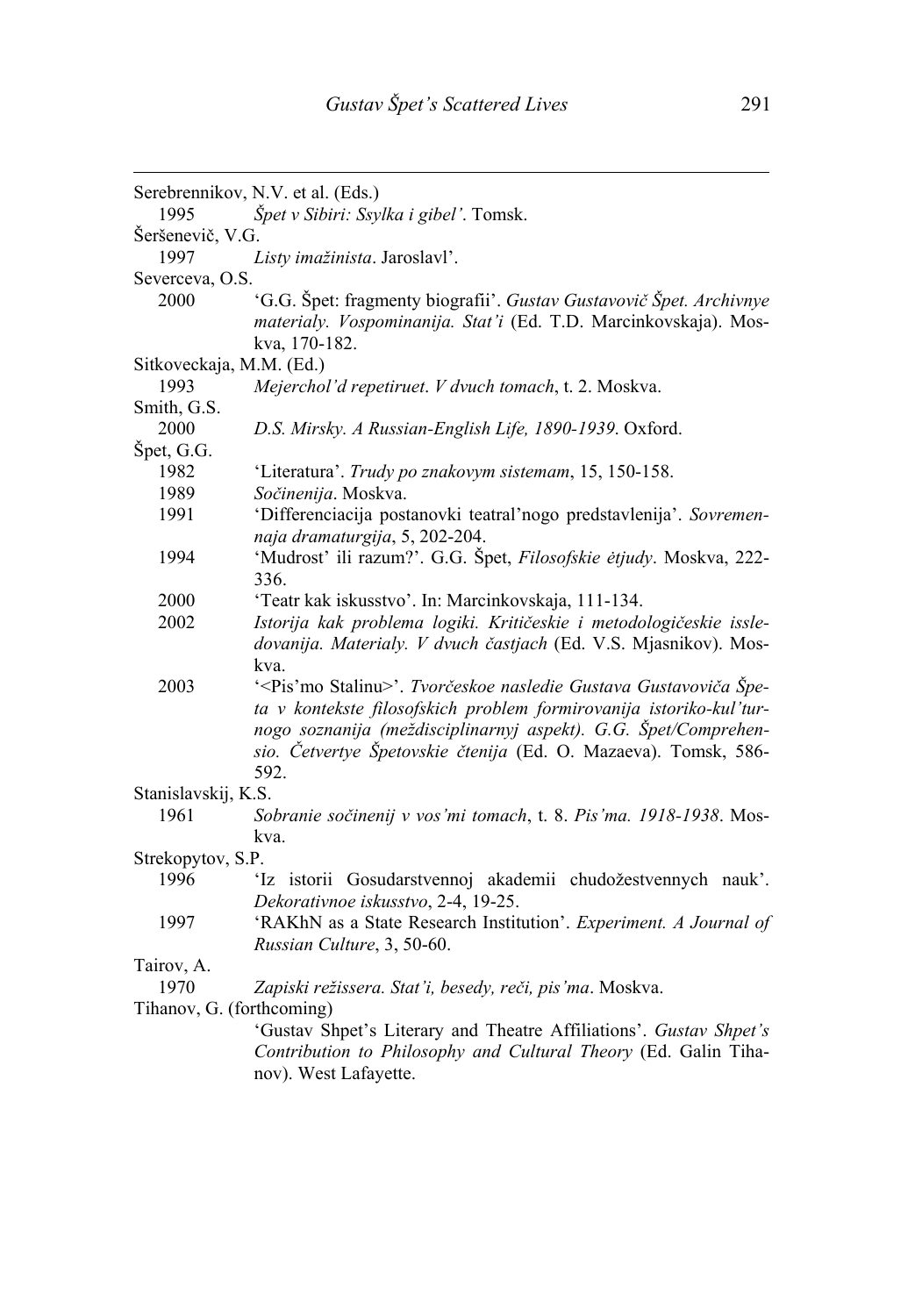|                           | Serebrennikov, N.V. et al. (Eds.)                                                                                                                                                                                                                                                                      |
|---------------------------|--------------------------------------------------------------------------------------------------------------------------------------------------------------------------------------------------------------------------------------------------------------------------------------------------------|
| 1995                      | Špet v Sibiri: Ssylka i gibel'. Tomsk.                                                                                                                                                                                                                                                                 |
| Šeršenevič, V.G.          |                                                                                                                                                                                                                                                                                                        |
| 1997                      | Listy imažinista. Jaroslavl'.                                                                                                                                                                                                                                                                          |
| Severceva, O.S.           |                                                                                                                                                                                                                                                                                                        |
| 2000                      | 'G.G. Špet: fragmenty biografii'. Gustav Gustavovič Špet. Archivnye<br>materialy. Vospominanija. Stat'i (Ed. T.D. Marcinkovskaja). Mos-<br>kva, 170-182.                                                                                                                                               |
| Sitkoveckaja, M.M. (Ed.)  |                                                                                                                                                                                                                                                                                                        |
| 1993                      | Mejerchol'd repetiruet. V dvuch tomach, t. 2. Moskva.                                                                                                                                                                                                                                                  |
| Smith, G.S.               |                                                                                                                                                                                                                                                                                                        |
| 2000                      | D.S. Mirsky. A Russian-English Life, 1890-1939. Oxford.                                                                                                                                                                                                                                                |
| Špet, G.G.                |                                                                                                                                                                                                                                                                                                        |
| 1982                      | 'Literatura'. Trudy po znakovym sistemam, 15, 150-158.                                                                                                                                                                                                                                                 |
| 1989                      | Sočinenija. Moskva.                                                                                                                                                                                                                                                                                    |
| 1991                      | 'Differenciacija postanovki teatral'nogo predstavlenija'. Sovremen-<br>naja dramaturgija, 5, 202-204.                                                                                                                                                                                                  |
| 1994                      | 'Mudrost' ili razum?'. G.G. Špet, Filosofskie ėtjudy. Moskva, 222-<br>336.                                                                                                                                                                                                                             |
| 2000                      | 'Teatr kak iskusstvo'. In: Marcinkovskaja, 111-134.                                                                                                                                                                                                                                                    |
| 2002                      | Istorija kak problema logiki. Kritičeskie i metodologičeskie issle-                                                                                                                                                                                                                                    |
|                           | dovanija. Materialy. V dvuch častjach (Ed. V.S. Mjasnikov). Mos-<br>kva.                                                                                                                                                                                                                               |
| 2003                      | ' <pis'mo stalinu="">'. Tvorčeskoe nasledie Gustava Gustavoviča Špe-<br/>ta v kontekste filosofskich problem formirovanija istoriko-kul'tur-<br/>nogo soznanija (meždisciplinarnyj aspekt). G.G. Špet/Comprehen-<br/>sio. Četvertye Špetovskie čtenija (Ed. O. Mazaeva). Tomsk, 586-<br/>592.</pis'mo> |
| Stanislavskij, K.S.       |                                                                                                                                                                                                                                                                                                        |
| 1961                      | Sobranie sočinenij v vos'mi tomach, t. 8. Pis'ma. 1918-1938. Mos-                                                                                                                                                                                                                                      |
|                           | kva.                                                                                                                                                                                                                                                                                                   |
| Strekopytov, S.P.         |                                                                                                                                                                                                                                                                                                        |
| 1996                      | 'Iz istorii Gosudarstvennoj akademii chudožestvennych nauk'.                                                                                                                                                                                                                                           |
|                           | Dekorativnoe iskusstvo, 2-4, 19-25.                                                                                                                                                                                                                                                                    |
| 1997                      | 'RAKhN as a State Research Institution'. Experiment. A Journal of                                                                                                                                                                                                                                      |
|                           | Russian Culture, 3, 50-60.                                                                                                                                                                                                                                                                             |
| Tairov, A.                |                                                                                                                                                                                                                                                                                                        |
| 1970                      | Zapiski režissera. Stat'i, besedy, reči, pis'ma. Moskva.                                                                                                                                                                                                                                               |
| Tihanov, G. (forthcoming) |                                                                                                                                                                                                                                                                                                        |
|                           | 'Gustav Shpet's Literary and Theatre Affiliations'. Gustav Shpet's<br>Contribution to Philosophy and Cultural Theory (Ed. Galin Tiha-<br>nov). West Lafayette.                                                                                                                                         |